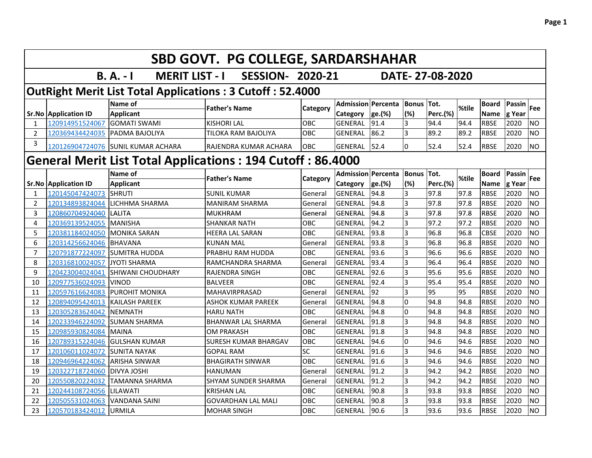|                | SBD GOVT. PG COLLEGE, SARDARSHAHAR             |                                                                   |                             |            |                                   |                |                         |                  |       |                            |                |                |  |
|----------------|------------------------------------------------|-------------------------------------------------------------------|-----------------------------|------------|-----------------------------------|----------------|-------------------------|------------------|-------|----------------------------|----------------|----------------|--|
|                |                                                | $B. A. - I$<br><b>MERIT LIST - I</b>                              | <b>SESSION- 2020-21</b>     |            |                                   |                |                         | DATE-27-08-2020  |       |                            |                |                |  |
|                |                                                | <b>OutRight Merit List Total Applications: 3 Cutoff: 52.4000</b>  |                             |            |                                   |                |                         |                  |       |                            |                |                |  |
|                |                                                | Name of                                                           | <b>Father's Name</b>        | Category   | <b>Admission Percenta</b>         |                | <b>Bonus</b><br>(%)     | Tot.             | %tile | <b>Board</b>               | Passin         | <b>Fee</b>     |  |
| $\mathbf{1}$   | <b>Sr.No Application ID</b><br>120914951524067 | <b>Applicant</b><br><b>GOMATI SWAMI</b>                           | <b>KISHORI LAL</b>          | OBC        | <b>Category</b><br><b>GENERAL</b> | ge.(%)<br>91.4 | $\overline{3}$          | Perc.(%)<br>94.4 | 94.4  | <b>Name</b><br><b>RBSE</b> | g Year<br>2020 | <b>NO</b>      |  |
| $\overline{2}$ | 120369434424035                                | PADMA BAJOLIYA                                                    | <b>TILOKA RAM BAJOLIYA</b>  | OBC        | <b>GENERAL</b>                    | 86.2           | $\overline{3}$          | 89.2             | 89.2  | <b>RBSE</b>                | 2020           | <b>NO</b>      |  |
| 3              |                                                | 120126904724076 SUNIL KUMAR ACHARA                                | RAJENDRA KUMAR ACHARA       | OBC        | GENERAL                           | 52.4           | 0                       | 52.4             | 52.4  | <b>RBSE</b>                | 2020           | <b>NO</b>      |  |
|                |                                                |                                                                   |                             |            |                                   |                |                         |                  |       |                            |                |                |  |
|                |                                                | <b>General Merit List Total Applications: 194 Cutoff: 86.4000</b> |                             |            |                                   |                |                         |                  |       |                            |                |                |  |
|                |                                                | Name of                                                           | <b>Father's Name</b>        | Category   | <b>Admission Percenta</b>         |                | <b>Bonus Tot.</b>       |                  | %tile | <b>Board</b>               | Passin         | Fee            |  |
|                | <b>Sr.No Application ID</b>                    | <b>Applicant</b>                                                  |                             |            | Category                          | ge.(%)         | (%)                     | <b>Perc.(%)</b>  |       | <b>Name</b>                | g Year         |                |  |
| 1              | 120145047424073                                | <b>SHRUTI</b>                                                     | <b>SUNIL KUMAR</b>          | General    | <b>GENERAL</b>                    | 94.8           | 3                       | 97.8             | 97.8  | <b>RBSE</b>                | 2020           | <b>NO</b>      |  |
| $\overline{2}$ | 120134893824044                                | LICHHMA SHARMA                                                    | <b>MANIRAM SHARMA</b>       | General    | <b>GENERAL</b>                    | 94.8           | $\overline{3}$          | 97.8             | 97.8  | <b>RBSE</b>                | 2020           | <b>NO</b>      |  |
| 3              | 120860704924040                                | LALITA                                                            | <b>MUKHRAM</b>              | General    | <b>GENERAL</b>                    | 94.8           | $\overline{3}$          | 97.8             | 97.8  | <b>RBSE</b>                | 2020           | <b>NO</b>      |  |
| 4              | 120369139524055                                | <b>MANISHA</b>                                                    | <b>SHANKAR NATH</b>         | OBC        | <b>GENERAL</b>                    | 94.2           | $\overline{3}$          | 97.2             | 97.2  | <b>RBSE</b>                | 2020           | <b>NO</b>      |  |
| 5              | 120381184024050                                | <b>MONIKA SARAN</b>                                               | <b>HEERA LAL SARAN</b>      | OBC        | <b>GENERAL</b>                    | 93.8           | $\overline{3}$          | 96.8             | 96.8  | <b>CBSE</b>                | 2020           | <b>NO</b>      |  |
| 6              | 120314256624046                                | <b>BHAVANA</b>                                                    | <b>KUNAN MAL</b>            | General    | <b>GENERAL</b>                    | 93.8           | $\overline{3}$          | 96.8             | 96.8  | <b>RBSE</b>                | 2020           | <b>NO</b>      |  |
| $\overline{7}$ | 120791877224097                                | SUMITRA HUDDA                                                     | PRABHU RAM HUDDA            | OBC        | <b>GENERAL</b>                    | 93.6           | $\overline{3}$          | 96.6             | 96.6  | <b>RBSE</b>                | 2020           | <b>NO</b>      |  |
| 8              | 120316810024057                                | <b>JYOTI SHARMA</b>                                               | RAMCHANDRA SHARMA           | General    | <b>GENERAL</b>                    | 93.4           | $\overline{3}$          | 96.4             | 96.4  | <b>RBSE</b>                | 2020           | <b>NO</b>      |  |
| 9              | 120423004024041                                | SHIWANI CHOUDHARY                                                 | RAJENDRA SINGH              | OBC        | <b>GENERAL</b>                    | 92.6           | $\overline{3}$          | 95.6             | 95.6  | <b>RBSE</b>                | 2020           | <b>NO</b>      |  |
| 10             | 120977536024093                                | <b>VINOD</b>                                                      | <b>BALVEER</b>              | OBC        | <b>GENERAL</b>                    | 92.4           | $\overline{3}$          | 95.4             | 95.4  | <b>RBSE</b>                | 2020           | <b>NO</b>      |  |
| 11             | 120597616624083                                | <b>PUROHIT MONIKA</b>                                             | MAHAVIRPRASAD               | General    | <b>GENERAL</b>                    | 92             | $\overline{3}$          | 95               | 95    | <b>RBSE</b>                | 2020           | <b>NO</b>      |  |
| 12             | 120894095424013                                | <b>KAILASH PAREEK</b>                                             | <b>ASHOK KUMAR PAREEK</b>   | General    | <b>GENERAL</b>                    | 94.8           | l0                      | 94.8             | 94.8  | <b>RBSE</b>                | 2020           | <b>NO</b>      |  |
| 13             | 120305283624042                                | <b>NEMNATH</b>                                                    | <b>HARU NATH</b>            | <b>OBC</b> | <b>GENERAL</b>                    | 94.8           | <sup>0</sup>            | 94.8             | 94.8  | <b>RBSE</b>                | 2020           | <b>NO</b>      |  |
| 14             | 120233946224092                                | <b>SUMAN SHARMA</b>                                               | <b>BHANWAR LAL SHARMA</b>   | General    | <b>GENERAL</b>                    | 91.8           | $\overline{3}$          | 94.8             | 94.8  | <b>RBSE</b>                | 2020           | N <sub>O</sub> |  |
| 15             | 120985930824084                                | <b>MAINA</b>                                                      | <b>OM PRAKASH</b>           | OBC        | <b>GENERAL</b>                    | 91.8           | $\overline{3}$          | 94.8             | 94.8  | <b>RBSE</b>                | 2020           | <b>NO</b>      |  |
| 16             | 120789315224046                                | <b>GULSHAN KUMAR</b>                                              | <b>SURESH KUMAR BHARGAV</b> | OBC        | <b>GENERAL</b>                    | 94.6           | l0                      | 94.6             | 94.6  | <b>RBSE</b>                | 2020           | <b>NO</b>      |  |
| 17             | 120106011024072                                | <b>SUNITA NAYAK</b>                                               | <b>GOPAL RAM</b>            | SC         | <b>GENERAL</b>                    | 91.6           | $\overline{3}$          | 94.6             | 94.6  | <b>RBSE</b>                | 2020           | <b>NO</b>      |  |
| 18             | 120946964224062                                | <b>ARISHA SINWAR</b>                                              | <b>BHAGIRATH SINWAR</b>     | OBC        | <b>GENERAL</b>                    | 91.6           | $\overline{3}$          | 94.6             | 94.6  | <b>RBSE</b>                | 2020           | <b>NO</b>      |  |
| 19             | 120322718724060                                | <b>DIVYA JOSHI</b>                                                | <b>HANUMAN</b>              | General    | <b>GENERAL</b>                    | 91.2           | $\overline{3}$          | 94.2             | 94.2  | <b>RBSE</b>                | 2020           | <b>NO</b>      |  |
| 20             | 120550820224032                                | <b>TAMANNA SHARMA</b>                                             | <b>SHYAM SUNDER SHARMA</b>  | General    | <b>GENERAL</b>                    | 91.2           | $\overline{\mathbf{3}}$ | 94.2             | 94.2  | <b>RBSE</b>                | 2020           | <b>NO</b>      |  |
| 21             | 120244108724056                                | LILAWATI                                                          | <b>KRISHAN LAL</b>          | OBC        | <b>GENERAL</b>                    | 90.8           | $\overline{3}$          | 93.8             | 93.8  | <b>RBSE</b>                | 2020           | <b>NO</b>      |  |
| 22             | 120505531024063                                | <b>VANDANA SAINI</b>                                              | <b>GOVARDHAN LAL MALI</b>   | OBC        | <b>GENERAL</b>                    | 90.8           | $\overline{\mathbf{3}}$ | 93.8             | 93.8  | <b>RBSE</b>                | 2020           | <b>NO</b>      |  |
| 23             | 120570183424012                                | <b>URMILA</b>                                                     | <b>MOHAR SINGH</b>          | OBC        | <b>GENERAL</b>                    | 90.6           | $\overline{3}$          | 93.6             | 93.6  | <b>RBSE</b>                | 2020           | <b>NO</b>      |  |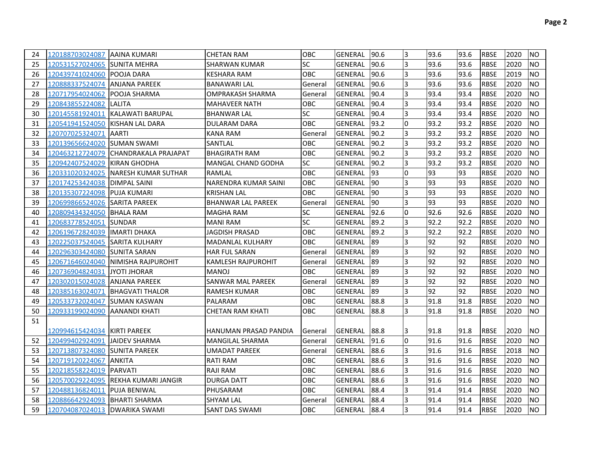| 24 | 120188703024087 AAINA KUMARI     |                                       | <b>CHETAN RAM</b>         | OBC        | GENERAL        | 190.6 | I3             | 93.6 | 93.6 | <b>RBSE</b> | 2020 | <b>NO</b>      |
|----|----------------------------------|---------------------------------------|---------------------------|------------|----------------|-------|----------------|------|------|-------------|------|----------------|
| 25 | 120531527024065 SUNITA MEHRA     |                                       | SHARWAN KUMAR             | <b>SC</b>  | GENERAL        | 90.6  | l3             | 93.6 | 93.6 | <b>RBSE</b> | 2020 | <b>NO</b>      |
| 26 | 120439741024060 POOJA DARA       |                                       | KESHARA RAM               | <b>OBC</b> | GENERAL        | 90.6  | 3              | 93.6 | 93.6 | <b>RBSE</b> | 2019 | <b>NO</b>      |
| 27 | 120888337524074 ANJANA PAREEK    |                                       | <b>BANAWARI LAL</b>       | General    | GENERAL        | 90.6  | l3             | 93.6 | 93.6 | <b>RBSE</b> | 2020 | <b>NO</b>      |
| 28 | 120717954024062  POOJA SHARMA    |                                       | OMPRAKASH SHARMA          | General    | <b>GENERAL</b> | 90.4  | 3              | 93.4 | 93.4 | <b>RBSE</b> | 2020 | <b>NO</b>      |
| 29 | 120843855224082 LALITA           |                                       | <b>MAHAVEER NATH</b>      | OBC        | <b>GENERAL</b> | 90.4  | 3              | 93.4 | 93.4 | <b>RBSE</b> | 2020 | <b>NO</b>      |
| 30 | 120145581924011                  | KALAWATI BARUPAL                      | <b>BHANWAR LAL</b>        | <b>SC</b>  | <b>GENERAL</b> | 90.4  | 3              | 93.4 | 93.4 | <b>RBSE</b> | 2020 | <b>NO</b>      |
| 31 | 120541941524050  KISHAN LAL DARA |                                       | DULARAM DARA              | OBC        | <b>GENERAL</b> | 93.2  | l0             | 93.2 | 93.2 | <b>RBSE</b> | 2020 | <b>NO</b>      |
| 32 | 120707025324071 AARTI            |                                       | <b>KANA RAM</b>           | General    | <b>GENERAL</b> | 90.2  | 3              | 93.2 | 93.2 | <b>RBSE</b> | 2020 | <b>NO</b>      |
| 33 | 120139656624020 SUMAN SWAMI      |                                       | SANTLAL                   | <b>OBC</b> | <b>GENERAL</b> | 90.2  | l3             | 93.2 | 93.2 | <b>RBSE</b> | 2020 | <b>NO</b>      |
| 34 |                                  | 120463212724079  CHANDRAKALA PRAJAPAT | <b>BHAGIRATH RAM</b>      | OBC        | <b>GENERAL</b> | 90.2  | 3              | 93.2 | 93.2 | <b>RBSE</b> | 2020 | <b>NO</b>      |
| 35 | 120942407524029  KIRAN GHODHA    |                                       | MANGAL CHAND GODHA        | <b>SC</b>  | <b>GENERAL</b> | 90.2  | 3              | 93.2 | 93.2 | <b>RBSE</b> | 2020 | <b>NO</b>      |
| 36 | 120331020324025                  | INARESH KUMAR SUTHAR                  | RAMLAL                    | OBC        | <b>GENERAL</b> | 193   | l0             | 93   | 93   | <b>RBSE</b> | 2020 | <b>NO</b>      |
| 37 | 120174253424038                  | <b>DIMPAL SAINI</b>                   | NARENDRA KUMAR SAINI      | OBC        | GENERAL        | 190   | 3              | 93   | 93   | <b>RBSE</b> | 2020 | <b>NO</b>      |
| 38 | 120135307224098 PUJA KUMARI      |                                       | <b>KRISHAN LAL</b>        | OBC        | <b>GENERAL</b> | 190   | 3              | 93   | 93   | <b>RBSE</b> | 2020 | <b>NO</b>      |
| 39 | 120699866524026  SARITA PAREEK   |                                       | <b>BHANWAR LAL PAREEK</b> | General    | <b>GENERAL</b> | l90   | 3              | 93   | 93   | <b>RBSE</b> | 2020 | <b>NO</b>      |
| 40 | 120809434324050 BHALA RAM        |                                       | <b>MAGHA RAM</b>          | <b>SC</b>  | <b>GENERAL</b> | 92.6  | I٥             | 92.6 | 92.6 | <b>RBSE</b> | 2020 | <b>NO</b>      |
| 41 | 120683778524051                  | <b>ISUNDAR</b>                        | <b>MANI RAM</b>           | SC         | <b>GENERAL</b> | 89.2  | Iз             | 92.2 | 92.2 | <b>RBSE</b> | 2020 | <b>NO</b>      |
| 42 | 120619672824039  IMARTI DHAKA    |                                       | <b>JAGDISH PRASAD</b>     | OBC        | <b>GENERAL</b> | 89.2  | Iз             | 92.2 | 92.2 | <b>RBSE</b> | 2020 | <b>NO</b>      |
| 43 | 120225037524045 SARITA KULHARY   |                                       | <b>MADANLAL KULHARY</b>   | OBC        | <b>GENERAL</b> | 89    | $\overline{3}$ | 92   | 92   | <b>RBSE</b> | 2020 | <b>NO</b>      |
| 44 | 120296303424080 SUNITA SARAN     |                                       | <b>HAR FUL SARAN</b>      | General    | <b>GENERAL</b> | 89    | Iз             | 92   | 92   | <b>RBSE</b> | 2020 | <b>NO</b>      |
| 45 |                                  | 120671646024040 NIMISHA RAJPUROHIT    | <b>KAMLESH RAJPUROHIT</b> | General    | <b>GENERAL</b> | 89    | 3              | 92   | 92   | <b>RBSE</b> | 2020 | <b>NO</b>      |
| 46 | 120736904824031                  | <b>JYOTI JHORAR</b>                   | <b>MANOJ</b>              | OBC        | <b>GENERAL</b> | 89    | 3              | 92   | 92   | <b>RBSE</b> | 2020 | <b>NO</b>      |
| 47 | 120302015024028 ANJANA PAREEK    |                                       | SANWAR MAL PAREEK         | General    | <b>GENERAL</b> | 89    | l3             | 92   | 92   | <b>RBSE</b> | 2020 | <b>NO</b>      |
| 48 | 120385163024071                  | <b>IBHAGVATI THALOR</b>               | <b>RAMESH KUMAR</b>       | <b>OBC</b> | <b>GENERAL</b> | 89    | 3              | 92   | 92   | <b>RBSE</b> | 2020 | <b>NO</b>      |
| 49 | 120533732024047 SUMAN KASWAN     |                                       | PALARAM                   | <b>OBC</b> | GENERAL        | 88.8  | l3             | 91.8 | 91.8 | <b>RBSE</b> | 2020 | <b>NO</b>      |
| 50 | 120933199024090  AANANDI KHATI   |                                       | <b>CHETAN RAM KHATI</b>   | <b>OBC</b> | <b>GENERAL</b> | 88.8  | l3             | 91.8 | 91.8 | <b>RBSE</b> | 2020 | <b>NO</b>      |
| 51 |                                  |                                       |                           |            |                |       |                |      |      |             |      |                |
|    | 120994615424034  KIRTI PAREEK    |                                       | HANUMAN PRASAD PANDIA     | General    | GENERAL        | 88.8  | I3             | 91.8 | 91.8 | <b>RBSE</b> | 2020 | NO.            |
| 52 | 120499402924091                  | <b>JAIDEV SHARMA</b>                  | <b>MANGILAL SHARMA</b>    | General    | <b>GENERAL</b> | 91.6  | l0             | 91.6 | 91.6 | <b>RBSE</b> | 2020 | <b>NO</b>      |
| 53 | 120713807324080 SUNITA PAREEK    |                                       | <b>UMADAT PAREEK</b>      | General    | <b>GENERAL</b> | 88.6  | l3             | 91.6 | 91.6 | <b>RBSE</b> | 2018 | <b>NO</b>      |
| 54 | 120719120224067 ANKITA           |                                       | RATI RAM                  | <b>OBC</b> | <b>GENERAL</b> | 88.6  | l3             | 91.6 | 91.6 | <b>RBSE</b> | 2020 | <b>NO</b>      |
| 55 | 120218558224019 PARVATI          |                                       | <b>RAJI RAM</b>           | <b>OBC</b> | <b>GENERAL</b> | 88.6  | l3             | 91.6 | 91.6 | <b>RBSE</b> | 2020 | <b>NO</b>      |
| 56 |                                  | 120570029224095 REKHA KUMARI JANGIR   | <b>DURGA DATT</b>         | <b>OBC</b> | <b>GENERAL</b> | 88.6  | $\overline{3}$ | 91.6 | 91.6 | <b>RBSE</b> | 2020 | <b>NO</b>      |
| 57 | 120488136824011 PUJA BENIWAL     |                                       | PHUSARAM                  | <b>OBC</b> | <b>GENERAL</b> | 88.4  | l3             | 91.4 | 91.4 | <b>RBSE</b> | 2020 | <b>NO</b>      |
| 58 | 120886642924093   BHARTI SHARMA  |                                       | <b>SHYAM LAL</b>          | General    | <b>GENERAL</b> | 88.4  | l3             | 91.4 | 91.4 | <b>RBSE</b> | 2020 | <b>NO</b>      |
| 59 | 120704087024013   DWARIKA SWAMI  |                                       | <b>SANT DAS SWAMI</b>     | OBC        | GENERAL 88.4   |       | 3              | 91.4 | 91.4 | <b>RBSE</b> | 2020 | N <sub>O</sub> |
|    |                                  |                                       |                           |            |                |       |                |      |      |             |      |                |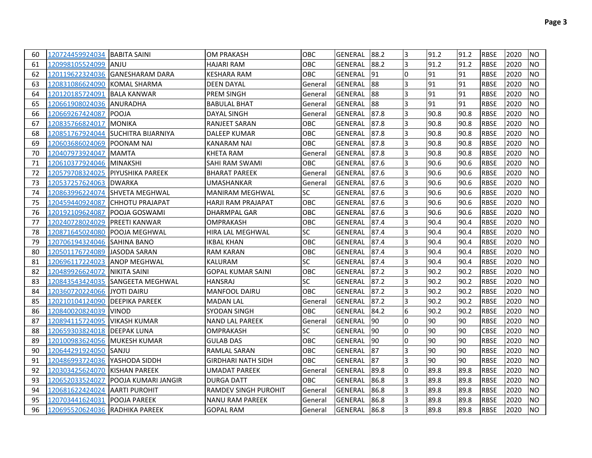| 60 | 120724459924034 BABITA SAINI   |                                      | <b>OM PRAKASH</b>         | <b>OBC</b> | GENERAL        | 88.2      | 3  | 91.2 | 91.2  | <b>RBSE</b> | 2020 | <b>NO</b> |
|----|--------------------------------|--------------------------------------|---------------------------|------------|----------------|-----------|----|------|-------|-------------|------|-----------|
| 61 | 120998105524099                | <b>JANJU</b>                         | <b>HAJARI RAM</b>         | OBC        | <b>GENERAL</b> | 88.2      | 3  | 91.2 | 91.2  | <b>RBSE</b> | 2020 | <b>NO</b> |
| 62 |                                |                                      | KESHARA RAM               | OBC        | GENERAL        | <b>91</b> | l0 | 91   | 91    | <b>RBSE</b> | 2020 | <b>NO</b> |
| 63 | 120831086624090 KOMAL SHARMA   |                                      | DEEN DAYAL                | General    | <b>GENERAL</b> | 188       | 3  | 91   | 91    | <b>RBSE</b> | 2020 | <b>NO</b> |
| 64 | 120120185724091 BALA KANWAR    |                                      | <b>PREM SINGH</b>         | General    | <b>GENERAL</b> | 188       | 3  | 91   | 91    | <b>RBSE</b> | 2020 | <b>NO</b> |
| 65 |                                |                                      | <b>BABULAL BHAT</b>       | General    | GENERAL        | 88        | 3  | 91   | 91    | <b>RBSE</b> | 2020 | <b>NO</b> |
| 66 | 120669267424087                | <b>IPOOJA</b>                        | DAYAL SINGH               | General    | GENERAL        | 87.8      | 3  | 90.8 | 90.8  | <b>RBSE</b> | 2020 | <b>NO</b> |
| 67 | 120835766824017 MONIKA         |                                      | RANJEET SARAN             | OBC        | GENERAL        | 87.8      | 3  | 90.8 | 90.8  | <b>RBSE</b> | 2020 | <b>NO</b> |
| 68 | 120851767924044                | <b>ISUCHITRA BIJARNIYA</b>           | <b>DALEEP KUMAR</b>       | OBC        | GENERAL        | 87.8      | 3  | 90.8 | 90.8  | <b>RBSE</b> | 2020 | <b>NO</b> |
| 69 | 120603686024069                | <b>IPOONAM NAI</b>                   | KANARAM NAI               | OBC        | GENERAL        | 187.8     | 3  | 90.8 | 90.8  | <b>RBSE</b> | 2020 | <b>NO</b> |
| 70 | 120407973924047                | <b>IMAMTA</b>                        | KHETA RAM                 | General    | <b>GENERAL</b> | 87.8      | 3  | 90.8 | 90.8  | <b>RBSE</b> | 2020 | <b>NO</b> |
| 71 | 120610377924046 MINAKSHI       |                                      | SAHI RAM SWAMI            | OBC        | GENERAL        | 87.6      | 3  | 90.6 | 90.6  | <b>RBSE</b> | 2020 | <b>NO</b> |
| 72 |                                | 120579708324025  PIYUSHIKA PAREEK    | <b>BHARAT PAREEK</b>      | General    | <b>GENERAL</b> | 87.6      | 3  | 90.6 | 90.6  | <b>RBSE</b> | 2020 | <b>NO</b> |
| 73 | 120537257624063  DWARKA        |                                      | UMASHANKAR                | General    | <b>GENERAL</b> | 87.6      | 3  | 90.6 | 90.6  | <b>RBSE</b> | 2020 | <b>NO</b> |
| 74 | 120863996224074                | <b>ISHVETA MEGHWAL</b>               | <b>MANIRAM MEGHWAL</b>    | SC         | GENERAL        | 87.6      | 3  | 90.6 | 90.6  | <b>RBSE</b> | 2020 | <b>NO</b> |
| 75 | 120459440924087                | <b>ICHHOTU PRAJAPAT</b>              | HARJI RAM PRAJAPAT        | OBC        | GENERAL        | 187.6     | 3  | 90.6 | 190.6 | <b>RBSE</b> | 2020 | <b>NO</b> |
| 76 | 120192109624087                | <b>POOJA GOSWAMI</b>                 | DHARMPAL GAR              | ОВС        | GENERAL        | 87.6      | 3  | 90.6 | 90.6  | <b>RBSE</b> | 2020 | <b>NO</b> |
| 77 | 120240728024029                | <b>IPREETI KANWAR</b>                | OMPRAKASH                 | OBC        | GENERAL        | 87.4      | 3  | 90.4 | 90.4  | <b>RBSE</b> | 2020 | <b>NO</b> |
| 78 | 120871645024080                | <b>POOJA MEGHWAL</b>                 | HIRA LAL MEGHWAL          | SC         | GENERAL        | 87.4      | 3  | 90.4 | 90.4  | <b>RBSE</b> | 2020 | <b>NO</b> |
| 79 | 120706194324046 SAHINA BANO    |                                      | IKBAL KHAN                | OBC        | GENERAL        | 87.4      | 3  | 90.4 | 90.4  | <b>RBSE</b> | 2020 | <b>NO</b> |
| 80 | 120501176724089                | JASODA SARAN                         | RAM KARAN                 | OBC        | GENERAL        | 87.4      | 3  | 90.4 | 90.4  | <b>RBSE</b> | 2020 | <b>NO</b> |
| 81 | 120696117224023  ANOP MEGHWAL  |                                      | KALURAM                   | SC         | GENERAL        | 87.4      | 3  | 90.4 | 90.4  | <b>RBSE</b> | 2020 | <b>NO</b> |
| 82 | 120489926624072                | NIKITA SAINI                         | <b>GOPAL KUMAR SAINI</b>  | OBC        | GENERAL        | 87.2      | 3  | 90.2 | 90.2  | <b>RBSE</b> | 2020 | <b>NO</b> |
| 83 |                                | 120843543424035 SANGEETA MEGHWAL     | HANSRAJ                   | SC         | <b>GENERAL</b> | 87.2      | 3  | 90.2 | 90.2  | <b>RBSE</b> | 2020 | <b>NO</b> |
| 84 | 120360720224066  JYOTI DAIRU   |                                      | <b>MANFOOL DAIRU</b>      | OBC        | GENERAL        | 87.2      | 3  | 90.2 | 90.2  | <b>RBSE</b> | 2020 | <b>NO</b> |
| 85 | 120210104124090                | <b>IDEEPIKA PAREEK</b>               | MADAN LAL                 | General    | GENERAL        | 87.2      | 13 | 90.2 | 90.2  | <b>RBSE</b> | 2020 | <b>NO</b> |
| 86 | 120840020824039                | <b>IVINOD</b>                        | SYODAN SINGH              | OBC        | <b>GENERAL</b> | 84.2      | 6  | 90.2 | 90.2  | <b>RBSE</b> | 2020 | <b>NO</b> |
| 87 | 120894115724095                | VIKASH KUMAR                         | <b>NAND LAL PAREEK</b>    | General    | <b>GENERAL</b> | 190       | 10 | 90   | 90    | <b>RBSE</b> | 2020 | <b>NO</b> |
| 88 | 120659303824018 DEEPAK LUNA    |                                      | OMPRAKASH                 | <b>SC</b>  | GENERAL        | 190       | 10 | 90   | 90    | <b>CBSE</b> | 2020 | <b>NO</b> |
| 89 | 120100983624056  MUKESH KUMAR  |                                      | <b>GULAB DAS</b>          | OBC        | <b>GENERAL</b> | 190       | 10 | 90   | 90    | <b>RBSE</b> | 2020 | <b>NO</b> |
| 90 | 120644291924050 SANJU          |                                      | RAMLAL SARAN              | OBC        | <b>GENERAL</b> | 87        | I3 | 90   | 90    | <b>RBSE</b> | 2020 | <b>NO</b> |
| 91 | 120486993724036  YASHODA SIDDH |                                      | <b>GIRDHARI NATH SIDH</b> | OBC        | GENERAL        | 87        | l3 | 90   | 90    | <b>RBSE</b> | 2020 | <b>NO</b> |
| 92 | 120303425624070  KISHAN PAREEK |                                      | <b>UMADAT PAREEK</b>      | General    | <b>GENERAL</b> | 89.8      | 10 | 89.8 | 89.8  | <b>RBSE</b> | 2020 | <b>NO</b> |
| 93 |                                | 120652033524027  POOJA KUMARI JANGIR | <b>DURGA DATT</b>         | OBC        | <b>GENERAL</b> | 86.8      | 3  | 89.8 | 89.8  | <b>RBSE</b> | 2020 | <b>NO</b> |
| 94 | 120681622424024  AARTI PUROHIT |                                      | RAMDEV SINGH PUROHIT      | General    | <b>GENERAL</b> | 86.8      | I3 | 89.8 | 89.8  | <b>RBSE</b> | 2020 | <b>NO</b> |
| 95 | 120703441624031 POOJA PAREEK   |                                      | <b>NANU RAM PAREEK</b>    | General    | <b>GENERAL</b> | 86.8      | 3  | 89.8 | 89.8  | <b>RBSE</b> | 2020 | <b>NO</b> |
| 96 | 120695520624036 RADHIKA PAREEK |                                      | <b>GOPAL RAM</b>          | General    | GENERAL 86.8   |           | 3  | 89.8 | 89.8  | <b>RBSE</b> | 2020 | <b>NO</b> |
|    |                                |                                      |                           |            |                |           |    |      |       |             |      |           |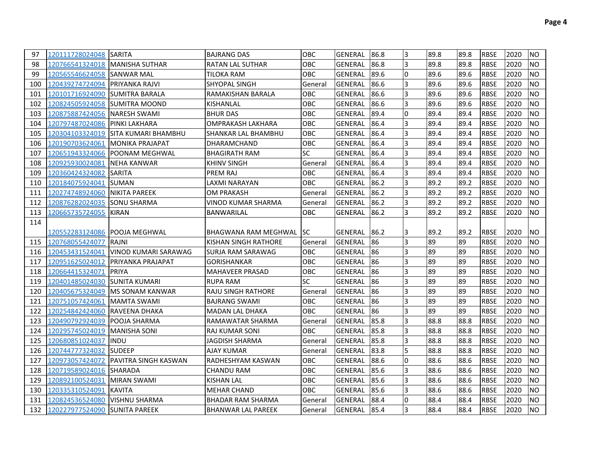| 97  | 120111728024048 SARITA           |                                      | IBAJRANG DAS               | <b>OBC</b> | GENERAL        | 86.8  | 13             | 89.8 | 89.8 | <b>RBSE</b> | 2020 | <b>INO</b> |
|-----|----------------------------------|--------------------------------------|----------------------------|------------|----------------|-------|----------------|------|------|-------------|------|------------|
| 98  | 120766541324018   MANISHA SUTHAR |                                      | <b>RATAN LAL SUTHAR</b>    | <b>OBC</b> | <b>GENERAL</b> | 86.8  | l3             | 89.8 | 89.8 | <b>RBSE</b> | 2020 | <b>NO</b>  |
| 99  | 120565546624058 SANWAR MAL       |                                      | TILOKA RAM                 | <b>OBC</b> | GENERAL        | 89.6  | 10             | 89.6 | 89.6 | <b>RBSE</b> | 2020 | <b>NO</b>  |
| 100 | 120439274724094 PRIYANKA RAJVI   |                                      | SHYOPAL SINGH              | General    | GENERAL        | 86.6  | 3              | 89.6 | 89.6 | <b>RBSE</b> | 2020 | <b>NO</b>  |
| 101 | 120101716924090 SUMITRA BARALA   |                                      | RAMAKISHAN BARALA          | OBC        | GENERAL        | 86.6  | 3              | 89.6 | 89.6 | <b>RBSE</b> | 2020 | <b>NO</b>  |
| 102 | 120824505924058 SUMITRA MOOND    |                                      | KISHANLAL                  | OBC        | GENERAL        | 86.6  | l3             | 89.6 | 89.6 | <b>RBSE</b> | 2020 | <b>NO</b>  |
| 103 | 120875887424056 NARESH SWAMI     |                                      | <b>BHUR DAS</b>            | OBC        | GENERAL        | 89.4  | 0              | 89.4 | 89.4 | <b>RBSE</b> | 2020 | <b>NO</b>  |
| 104 | 120797487024086 PINKI LAKHARA    |                                      | OMPRAKASH LAKHARA          | OBC        | GENERAL        | 86.4  | l3             | 89.4 | 89.4 | <b>RBSE</b> | 2020 | <b>NO</b>  |
| 105 |                                  | 120304103324019 SITA KUMARI BHAMBHU  | <b>SHANKAR LAL BHAMBHU</b> | OBC        | GENERAL        | 86.4  | l3             | 89.4 | 89.4 | <b>RBSE</b> | 2020 | <b>NO</b>  |
| 106 |                                  | 120190703624061 MONIKA PRAJAPAT      | <b>DHARAMCHAND</b>         | OBC        | <b>GENERAL</b> | 86.4  | Iз             | 89.4 | 89.4 | <b>RBSE</b> | 2020 | <b>NO</b>  |
| 107 |                                  | 120651943324066 POONAM MEGHWAL       | <b>BHAGIRATH RAM</b>       | <b>SC</b>  | <b>GENERAL</b> | 86.4  | Iз             | 89.4 | 89.4 | <b>RBSE</b> | 2020 | <b>NO</b>  |
| 108 | 120925930024081 NEHA KANWAR      |                                      | <b>KHINV SINGH</b>         | General    | <b>GENERAL</b> | 86.4  | l3             | 89.4 | 89.4 | <b>RBSE</b> | 2020 | <b>NO</b>  |
| 109 | 120360424324082                  | <b>ISARITA</b>                       | <b>PREM RAJ</b>            | OBC        | <b>GENERAL</b> | 86.4  | Iз             | 89.4 | 89.4 | <b>RBSE</b> | 2020 | <b>NO</b>  |
| 110 | 120184075924041                  | <b>ISUMAN</b>                        | <b>LAXMI NARAYAN</b>       | OBC        | <b>GENERAL</b> | 86.2  | Iз             | 89.2 | 89.2 | <b>RBSE</b> | 2020 | <b>NO</b>  |
| 111 | 120274748924060 NIKITA PAREEK    |                                      | <b>OM PRAKASH</b>          | General    | <b>GENERAL</b> | 86.2  | Iз             | 89.2 | 89.2 | <b>RBSE</b> | 2020 | <b>NO</b>  |
| 112 | 120876282024035 SONU SHARMA      |                                      | <b>VINOD KUMAR SHARMA</b>  | General    | <b>GENERAL</b> | 86.2  | l3             | 89.2 | 89.2 | <b>RBSE</b> | 2020 | <b>NO</b>  |
| 113 | 120665735724055 KIRAN            |                                      | <b>BANWARILAL</b>          | OBC        | <b>GENERAL</b> | 86.2  | Iз             | 89.2 | 89.2 | <b>RBSE</b> | 2020 | <b>NO</b>  |
| 114 |                                  |                                      |                            |            |                |       |                |      |      |             |      |            |
|     | 120552283124086 POOJA MEGHWAL    |                                      | BHAGWANA RAM MEGHWAL SC    |            | GENERAL        | 86.2  | I3             | 89.2 | 89.2 | IRBSE       | 2020 | <b>NO</b>  |
| 115 | 120768055424077                  | RAJNI                                | KISHAN SINGH RATHORE       | General    | <b>GENERAL</b> | 186   | 3              | 89   | 89   | <b>RBSE</b> | 2020 | <b>NO</b>  |
| 116 | 120453431524041                  | VINOD KUMARI SARAWAG                 | <b>SURJA RAM SARAWAG</b>   | OBC        | <b>GENERAL</b> | 86    | 3              | 89   | 89   | <b>RBSE</b> | 2020 | <b>NO</b>  |
| 117 | 120951625024012                  | <b>PRIYANKA PRAJAPAT</b>             | <b>GORISHANKAR</b>         | OBC        | <b>GENERAL</b> | 86    | 3              | 89   | 89   | <b>RBSE</b> | 2020 | <b>NO</b>  |
| 118 | 120664415324071                  | <b>PRIYA</b>                         | <b>MAHAVEER PRASAD</b>     | OBC        | <b>GENERAL</b> | 86    | 3              | 89   | 89   | <b>RBSE</b> | 2020 | <b>NO</b>  |
| 119 | 120401485024030                  | <b>SUNITA KUMARI</b>                 | <b>RUPA RAM</b>            | <b>SC</b>  | <b>GENERAL</b> | 86    | 3              | 89   | 89   | <b>RBSE</b> | 2020 | <b>NO</b>  |
| 120 |                                  | 120405675324049 MS SONAM KANWAR      | <b>RAJU SINGH RATHORE</b>  | General    | <b>GENERAL</b> | 86    | 3              | 89   | 89   | <b>RBSE</b> | 2020 | <b>NO</b>  |
| 121 | 120751057424061                  | MAMTA SWAMI                          | <b>BAJRANG SWAMI</b>       | OBC        | <b>GENERAL</b> | 86    | 3              | 89   | 89   | <b>RBSE</b> | 2020 | <b>NO</b>  |
| 122 | 120254842424060 RAVEENA DHAKA    |                                      | <b>MADAN LAL DHAKA</b>     | OBC        | <b>GENERAL</b> | 86    | 3              | 89   | 89   | <b>RBSE</b> | 2020 | <b>NO</b>  |
| 123 | 120490792924039                  | <b>POOJA SHARMA</b>                  | RAMAWATAR SHARMA           | General    | <b>GENERAL</b> | 85.8  | Iз             | 88.8 | 88.8 | <b>RBSE</b> | 2020 | <b>NO</b>  |
| 124 | 120295745024019   MANISHA SONI   |                                      | <b>RAJ KUMAR SONI</b>      | OBC        | <b>GENERAL</b> | 85.8  | Iз             | 88.8 | 88.8 | <b>RBSE</b> | 2020 | <b>NO</b>  |
| 125 | 120680851024037                  | <b>INDU</b>                          | <b>JAGDISH SHARMA</b>      | General    | <b>GENERAL</b> | 85.8  | $\overline{3}$ | 88.8 | 88.8 | <b>RBSE</b> | 2020 | <b>NO</b>  |
| 126 | 120744777324032 SUDEEP           |                                      | AJAY KUMAR                 | General    | <b>GENERAL</b> | 83.8  | 5              | 88.8 | 88.8 | <b>RBSE</b> | 2020 | <b>NO</b>  |
| 127 |                                  | 120973057424072 PAVITRA SINGH KASWAN | RADHESHYAM KASWAN          | OBC        | <b>GENERAL</b> | 88.6  | l0             | 88.6 | 88.6 | <b>RBSE</b> | 2020 | <b>NO</b>  |
| 128 | 120719589024016 SHARADA          |                                      | <b>CHANDU RAM</b>          | OBC        | <b>GENERAL</b> | 85.6  | Iз             | 88.6 | 88.6 | <b>RBSE</b> | 2020 | <b>NO</b>  |
| 129 | 120892100524031 MIRAN SWAMI      |                                      | <b>KISHAN LAL</b>          | OBC        | <b>GENERAL</b> | 85.6  | Iз             | 88.6 | 88.6 | <b>RBSE</b> | 2020 | <b>NO</b>  |
| 130 | 120335310524091                  | <b>KAVITA</b>                        | MEHAR CHAND                | OBC        | <b>GENERAL</b> | 85.6  | 3              | 88.6 | 88.6 | <b>RBSE</b> | 2020 | <b>NO</b>  |
| 131 | 120824536524080                  | VISHNU SHARMA                        | <b>BHADAR RAM SHARMA</b>   | General    | <b>GENERAL</b> | 88.4  | 0              | 88.4 | 88.4 | <b>RBSE</b> | 2020 | <b>NO</b>  |
| 132 | 120227977524090 SUNITA PAREEK    |                                      | <b>BHANWAR LAL PAREEK</b>  | General    | GENERAL        | 185.4 | 3              | 88.4 | 88.4 | <b>RBSE</b> | 2020 | <b>NO</b>  |
|     |                                  |                                      |                            |            |                |       |                |      |      |             |      |            |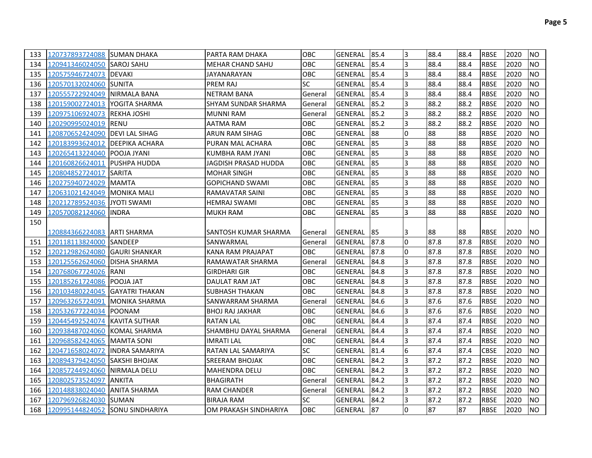| 133 | 120737893724088 SUMAN DHAKA     |                       | IPARTA RAM DHAKA         | <b>OBC</b> | GENERAL 185.4  |      | 13             | 88.4 | 88.4 | <b>RBSE</b> | 2020 | <b>INO</b> |
|-----|---------------------------------|-----------------------|--------------------------|------------|----------------|------|----------------|------|------|-------------|------|------------|
| 134 | 120941346024050 SAROJ SAHU      |                       | <b>MEHAR CHAND SAHU</b>  | <b>OBC</b> | GENERAL        | 85.4 | IЗ             | 88.4 | 88.4 | <b>RBSE</b> | 2020 | <b>NO</b>  |
| 135 | 120575946724073   DEVAKI        |                       | JAYANARAYAN              | OBC        | GENERAL        | 85.4 | IЗ             | 88.4 | 88.4 | <b>RBSE</b> | 2020 | <b>NO</b>  |
| 136 | 120570132024060 SUNITA          |                       | PREM RAJ                 | SC.        | GENERAL        | 85.4 | l3             | 88.4 | 88.4 | <b>RBSE</b> | 2020 | <b>NO</b>  |
| 137 | 120555722924049 NIRMALA BANA    |                       | <b>NETRAM BANA</b>       | General    | <b>GENERAL</b> | 85.4 | l3             | 88.4 | 88.4 | <b>RBSE</b> | 2020 | <b>NO</b>  |
| 138 | 120159002724013 YOGITA SHARMA   |                       | SHYAM SUNDAR SHARMA      | General    | <b>GENERAL</b> | 85.2 | l3             | 88.2 | 88.2 | <b>RBSE</b> | 2020 | <b>NO</b>  |
| 139 | 120975106924073 REKHA JOSHI     |                       | MUNNI RAM                | General    | GENERAL        | 85.2 | l3             | 88.2 | 88.2 | <b>RBSE</b> | 2020 | <b>NO</b>  |
| 140 | 120290995024019 RENU            |                       | AATMA RAM                | <b>OBC</b> | GENERAL        | 85.2 | l3             | 88.2 | 88.2 | <b>RBSE</b> | 2020 | <b>INO</b> |
| 141 | 120870652424090 DEVI LAL SIHAG  |                       | ARUN RAM SIHAG           | OBC        | GENERAL        | 88   | 0              | 88   | 88   | <b>RBSE</b> | 2020 | <b>INO</b> |
| 142 | 120183993624012 DEEPIKA ACHARA  |                       | PURAN MAL ACHARA         | OBC        | <b>GENERAL</b> | 85   | 3              | 88   | 88   | <b>RBSE</b> | 2020 | <b>NO</b>  |
| 143 | 120265413224040 POOJA JYANI     |                       | KUMBHA RAM JYANI         | OBC        | <b>GENERAL</b> | 85   | 3              | 88   | 88   | <b>RBSE</b> | 2020 | <b>NO</b>  |
| 144 | 120160826624011 PUSHPA HUDDA    |                       | JAGDISH PRASAD HUDDA     | OBC        | <b>GENERAL</b> | 85   | l3             | 88   | 88   | <b>RBSE</b> | 2020 | <b>NO</b>  |
| 145 | 120804852724017 SARITA          |                       | <b>MOHAR SINGH</b>       | OBC        | GENERAL        | 85   | l3             | 88   | 88   | <b>RBSE</b> | 2020 | <b>NO</b>  |
| 146 | 120275940724029 MAMTA           |                       | <b>GOPICHAND SWAMI</b>   | OBC        | GENERAL        | 85   | l3             | 88   | 88   | <b>RBSE</b> | 2020 | <b>NO</b>  |
| 147 | 120631021424049 MONIKA MALI     |                       | RAMAVATAR SAINI          | OBC        | <b>GENERAL</b> | 85   | 3              | 88   | 88   | <b>RBSE</b> | 2020 | <b>NO</b>  |
| 148 | 120212789524036 JYOTI SWAMI     |                       | <b>HEMRAJ SWAMI</b>      | OBC        | <b>GENERAL</b> | 85   | 3              | 88   | 88   | <b>RBSE</b> | 2020 | <b>NO</b>  |
| 149 | 120570082124060 INDRA           |                       | <b>MUKH RAM</b>          | OBC        | GENERAL        | 185  | 3              | 88   | 88   | <b>RBSE</b> | 2020 | <b>NO</b>  |
| 150 |                                 |                       |                          |            |                |      |                |      |      |             |      |            |
|     | 120884366224083 IARTI SHARMA    |                       | SANTOSH KUMAR SHARMA     | General    | GENERAL 185    |      | IЗ             | 88   | 88   | <b>RBSE</b> | 2020 | <b>NO</b>  |
| 151 | 120118113824000 SANDEEP         |                       | SANWARMAL                | General    | <b>GENERAL</b> | 87.8 | l0             | 87.8 | 87.8 | <b>RBSE</b> | 2020 | <b>NO</b>  |
| 152 | 120212982624080 GAURI SHANKAR   |                       | <b>KANA RAM PRAJAPAT</b> | <b>OBC</b> | GENERAL        | 87.8 | 0              | 87.8 | 87.8 | <b>RBSE</b> | 2020 | <b>NO</b>  |
| 153 | 120125562624060 DISHA SHARMA    |                       | RAMAWATAR SHARMA         | General    | <b>GENERAL</b> | 84.8 | Iз             | 87.8 | 87.8 | <b>RBSE</b> | 2020 | <b>NO</b>  |
| 154 | 120768067724026 RANI            |                       | <b>GIRDHARI GIR</b>      | OBC        | GENERAL        | 84.8 | l3             | 87.8 | 87.8 | <b>RBSE</b> | 2020 | <b>NO</b>  |
| 155 | 120185261724086 POOJA JAT       |                       | DAULAT RAM JAT           | OBC        | <b>GENERAL</b> | 84.8 | l3             | 87.8 | 87.8 | <b>RBSE</b> | 2020 | <b>NO</b>  |
| 156 | 120103480224045 GAYATRI THAKAN  |                       | <b>SUBHASH THAKAN</b>    | OBC        | <b>GENERAL</b> | 84.8 | Iз             | 87.8 | 87.8 | <b>RBSE</b> | 2020 | <b>NO</b>  |
| 157 | 120963265724091                 | MONIKA SHARMA         | SANWARRAM SHARMA         | General    | <b>GENERAL</b> | 84.6 | Iз             | 87.6 | 87.6 | <b>RBSE</b> | 2020 | <b>NO</b>  |
| 158 | 120532677224034 POONAM          |                       | <b>BHOJ RAJ JAKHAR</b>   | OBC        | <b>GENERAL</b> | 84.6 | Iз             | 87.6 | 87.6 | <b>RBSE</b> | 2020 | <b>NO</b>  |
| 159 | 120445492524074 KAVITA SUTHAR   |                       | <b>RATAN LAL</b>         | <b>OBC</b> | <b>GENERAL</b> | 84.4 | $\overline{3}$ | 87.4 | 87.4 | <b>RBSE</b> | 2020 | <b>NO</b>  |
| 160 | 120938487024060 KOMAL SHARMA    |                       | SHAMBHU DAYAL SHARMA     | General    | <b>GENERAL</b> | 84.4 | $\overline{3}$ | 87.4 | 87.4 | <b>RBSE</b> | 2020 | <b>NO</b>  |
| 161 | 120968582424065 MAMTA SONI      |                       | <b>IMRATILAL</b>         | OBC        | <b>GENERAL</b> | 84.4 | 3              | 87.4 | 87.4 | <b>RBSE</b> | 2020 | <b>NO</b>  |
| 162 | 120471658024072                 | <b>INDRA SAMARIYA</b> | RATAN LAL SAMARIYA       | <b>SC</b>  | <b>GENERAL</b> | 81.4 | 6              | 87.4 | 87.4 | <b>CBSE</b> | 2020 | <b>NO</b>  |
| 163 | 120894379424050 SAKSHI BHOJAK   |                       | SREERAM BHOJAK           | OBC        | <b>GENERAL</b> | 84.2 | Iз             | 87.2 | 87.2 | <b>RBSE</b> | 2020 | <b>NO</b>  |
| 164 | 120857244924060 NIRMALA DELU    |                       | <b>MAHENDRA DELU</b>     | OBC        | <b>GENERAL</b> | 84.2 | Iз             | 87.2 | 87.2 | <b>RBSE</b> | 2020 | <b>NO</b>  |
| 165 | 120802573524097                 | <b>ANKITA</b>         | <b>BHAGIRATH</b>         | General    | <b>GENERAL</b> | 84.2 | Iз             | 87.2 | 87.2 | <b>RBSE</b> | 2020 | <b>NO</b>  |
| 166 | 120148838024040 ANITA SHARMA    |                       | <b>RAM CHANDER</b>       | General    | <b>GENERAL</b> | 84.2 | Iз             | 87.2 | 87.2 | <b>RBSE</b> | 2020 | <b>NO</b>  |
| 167 | 120796926824030 SUMAN           |                       | <b>BIRAJA RAM</b>        | <b>SC</b>  | <b>GENERAL</b> | 84.2 | Iз             | 87.2 | 87.2 | <b>RBSE</b> | 2020 | <b>NO</b>  |
| 168 | 120995144824052 SONU SINDHARIYA |                       | OM PRAKASH SINDHARIYA    | <b>OBC</b> | GENERAL        | 87   | I٥             | 87   | 87   | <b>RBSE</b> | 2020 | <b>NO</b>  |
|     |                                 |                       |                          |            |                |      |                |      |      |             |      |            |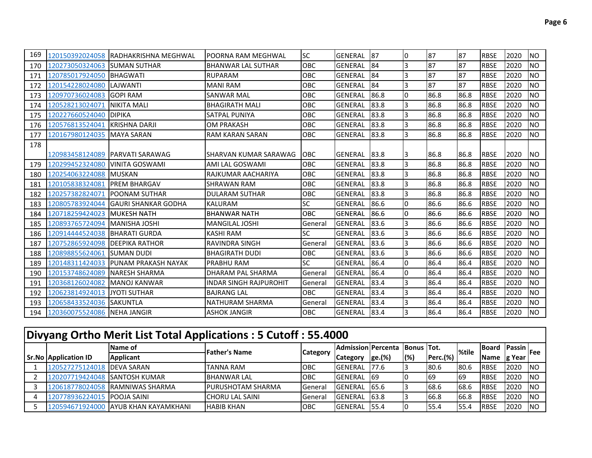| 169 |                              | 120150392024058 RADHAKRISHNA MEGHWAL | IPOORNA RAM MEGHWAL           | <b>SC</b>  | GENERAL              | <b>87</b> | 10 | 87   | 87   | <b>RBSE</b> | 2020 | <b>NO</b> |
|-----|------------------------------|--------------------------------------|-------------------------------|------------|----------------------|-----------|----|------|------|-------------|------|-----------|
| 170 | 120273050324063 SUMAN SUTHAR |                                      | <b>BHANWAR LAL SUTHAR</b>     | <b>OBC</b> | <b>GENERAL</b>       | 84        | l3 | 87   | 87   | <b>RBSE</b> | 2020 | <b>NO</b> |
| 171 | 120785017924050              | <b>BHAGWATI</b>                      | <b>RUPARAM</b>                | OBC        | <b>GENERAL</b>       | 84        | Iз | 87   | 87   | <b>RBSE</b> | 2020 | <b>NO</b> |
| 172 | 120154228024080              | LAJWANTI                             | <b>MANI RAM</b>               | <b>OBC</b> | <b>GENERAL</b>       | 84        | 3  | 87   | 87   | <b>RBSE</b> | 2020 | <b>NO</b> |
| 173 | 120970736024083              | <b>IGOPI RAM</b>                     | <b>SANWAR MAL</b>             | OBC        | <b>GENERAL</b>       | 86.8      | l0 | 86.8 | 86.8 | <b>RBSE</b> | 2020 | <b>NO</b> |
| 174 | 120528213024071              | NIKITA MALI                          | <b>BHAGIRATH MALI</b>         | OBC        | <b>GENERAL</b>       | 83.8      | l3 | 86.8 | 86.8 | <b>RBSE</b> | 2020 | <b>NO</b> |
| 175 | 120227660524040              | <b>DIPIKA</b>                        | SATPAL PUNIYA                 | OBC        | GENERAL              | 183.8     | 3  | 86.8 | 86.8 | <b>RBSE</b> | 2020 | <b>NO</b> |
| 176 | 120576813524041              | <b>IKRISHNA DARJI</b>                | <b>OM PRAKASH</b>             | OBC        | <b>GENERAL</b>       | 83.8      | l3 | 86.8 | 86.8 | <b>RBSE</b> | 2020 | <b>NO</b> |
| 177 | 120167980124035              | IMAYA SARAN                          | <b>RAM KARAN SARAN</b>        | OBC        | <b>GENERAL</b>       | 83.8      | l3 | 86.8 | 86.8 | <b>RBSE</b> | 2020 | <b>NO</b> |
| 178 |                              |                                      |                               |            |                      |           |    |      |      |             |      |           |
|     |                              | 120983458124089 PARVATI SARAWAG      | ISHARVAN KUMAR SARAWAG        | <b>OBC</b> | <b>GENERAL 183.8</b> |           | 13 | 86.8 | 86.8 | <b>RBSE</b> | 2020 | <b>NO</b> |
| 179 | 120299452324080              | VINITA GOSWAMI                       | AMI LAL GOSWAMI               | <b>OBC</b> | <b>GENERAL</b>       | 83.8      | 13 | 86.8 | 86.8 | <b>RBSE</b> | 2020 | <b>NO</b> |
| 180 | 120254063224088 MUSKAN       |                                      | RAJKUMAR AACHARIYA            | OBC        | <b>GENERAL</b>       | 83.8      | l3 | 86.8 | 86.8 | <b>RBSE</b> | 2020 | <b>NO</b> |
| 181 | 120105838324081              | <b>IPREM BHARGAV</b>                 | ISHRAWAN RAM                  | OBC        | <b>GENERAL</b>       | 83.8      | 3  | 86.8 | 86.8 | <b>RBSE</b> | 2020 | <b>NO</b> |
| 182 | 120257382824071              | POONAM SUTHAR                        | <b>DULARAM SUTHAR</b>         | OBC        | <b>GENERAL</b>       | 83.8      | 3  | 86.8 | 86.8 | <b>RBSE</b> | 2020 | <b>NO</b> |
| 183 | 120805783924044              | <b>GAURI SHANKAR GODHA</b>           | <b>KALURAM</b>                | SC         | <b>GENERAL</b>       | 86.6      | I٥ | 86.6 | 86.6 | <b>RBSE</b> | 2020 | <b>NO</b> |
| 184 | 120718259424023              | <b>MUKESH NATH</b>                   | <b>BHANWAR NATH</b>           | <b>OBC</b> | <b>GENERAL</b>       | 86.6      | l0 | 86.6 | 86.6 | <b>RBSE</b> | 2020 | <b>NO</b> |
| 185 | 120893765724094              | <b>MANISHA JOSHI</b>                 | <b>MANGILAL JOSHI</b>         | General    | <b>GENERAL</b>       | 83.6      | 3  | 86.6 | 86.6 | <b>RBSE</b> | 2020 | <b>NO</b> |
| 186 | 120914444524038              | <b>IBHARATI GURDA</b>                | KASHI RAM                     | <b>SC</b>  | <b>GENERAL</b>       | 83.6      | 3  | 86.6 | 86.6 | <b>RBSE</b> | 2020 | <b>NO</b> |
| 187 | 120752865924098              | <b>IDEEPIKA RATHOR</b>               | <b>RAVINDRA SINGH</b>         | General    | <b>GENERAL</b>       | 83.6      | Iз | 86.6 | 86.6 | <b>RBSE</b> | 2020 | <b>NO</b> |
| 188 | 120898855624061              | SUMAN DUDI                           | <b>BHAGIRATH DUDI</b>         | OBC        | <b>GENERAL</b>       | 83.6      | Iз | 86.6 | 86.6 | <b>RBSE</b> | 2020 | <b>NO</b> |
| 189 | 120148311424033              | <b>IPUNAM PRAKASH NAYAK</b>          | <b>PRABHU RAM</b>             | <b>SC</b>  | GENERAL              | 86.4      | l0 | 86.4 | 86.4 | <b>RBSE</b> | 2020 | <b>NO</b> |
| 190 | 120153748624089              | INARESH SHARMA                       | DHARAM PAL SHARMA             | General    | <b>GENERAL</b>       | 86.4      | I٥ | 86.4 | 86.4 | <b>RBSE</b> | 2020 | <b>NO</b> |
| 191 | 120368126024082              | IMANOJ KANWAR                        | <b>INDAR SINGH RAJPUROHIT</b> | General    | <b>GENERAL</b>       | 83.4      | l3 | 86.4 | 86.4 | <b>RBSE</b> | 2020 | <b>NO</b> |
| 192 | 120623814924013              | <b>JYOTI SUTHAR</b>                  | <b>BAJRANG LAL</b>            | <b>OBC</b> | <b>GENERAL</b>       | 83.4      | 3  | 86.4 | 86.4 | <b>RBSE</b> | 2020 | <b>NO</b> |
| 193 | 120658433524036              | <b>SAKUNTLA</b>                      | NATHURAM SHARMA               | General    | <b>GENERAL</b>       | 83.4      | Iз | 86.4 | 86.4 | <b>RBSE</b> | 2020 | <b>NO</b> |
| 194 | 120360075524086 NEHA JANGIR  |                                      | <b>ASHOK JANGIR</b>           | OBC        | GENERAL              | 83.4      | l3 | 86.4 | 86.4 | <b>RBSE</b> | 2020 | <b>NO</b> |

| Divyang Ortho Merit List Total Applications: 5 Cutoff: 55.4000 |                                      |                           |                 |                           |        |             |                 |       |              |                         |            |
|----------------------------------------------------------------|--------------------------------------|---------------------------|-----------------|---------------------------|--------|-------------|-----------------|-------|--------------|-------------------------|------------|
|                                                                | Name of                              | <b>Father's Name</b>      | <b>Category</b> | <b>Admission Percenta</b> |        | Bonus ITot. |                 | %tile | lBoard       | <sup>+</sup> Passin Fee |            |
| <b>Sr.No Application ID</b>                                    | <b>Applicant</b>                     |                           |                 | <b>Category</b>           | ge.(%) | $(\%)$      | <b>Perc.(%)</b> |       | <b>Name</b>  | g Year                  |            |
| 120527275124018 DEVA SARAN                                     |                                      | <b>TANNA RAM</b>          | <b>IOBC</b>     | <b>GENERAL</b>            | 177.6  |             | 180.6           | 180.6 | <b>RBSE</b>  | 2020                    | <b>INO</b> |
| 120207719424048 SANTOSH KUMAR                                  |                                      | <b>BHANWAR LAL</b>        | <b>OBC</b>      | <b>GENERAL</b>            | -169   |             | 169             | 169   | <b>RBSE</b>  | 2020                    | <b>INO</b> |
|                                                                | 120618778024058 RAMNIWAS SHARMA      | <b>IPURUSHOTAM SHARMA</b> | <b>General</b>  | <b>GENERAL</b>            | 65.6   |             | 68.6            | 68.6  | <b>RBSE</b>  | 2020                    | <b>INO</b> |
| 120778936224015 POOJA SAINI                                    |                                      | <b>ICHORU LAL SAINI</b>   | General         | <b>GENERAL</b>            | 63.8   |             | 66.8            | 66.8  | <b>IRBSE</b> | 2020                    | <b>INO</b> |
|                                                                | 120594671924000 AYUB KHAN KAYAMKHANI | <b>HABIB KHAN</b>         | ІОВС            | <b>GENERAL</b>            | 55.4   |             | 155.4           | 55.4  | <b>RBSE</b>  | 2020                    | <b>INO</b> |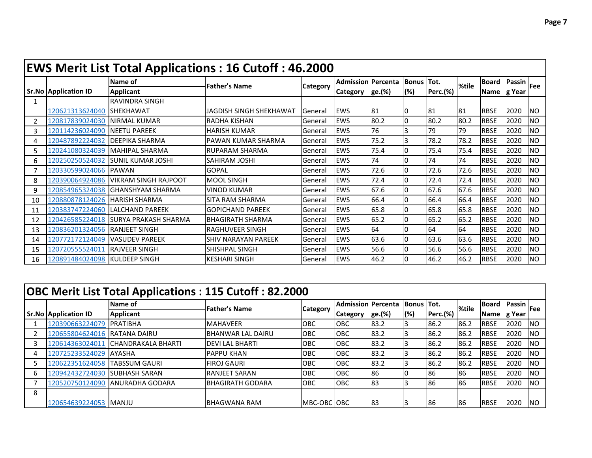|                |                             | <b>EWS Merit List Total Applications: 16 Cutoff: 46.2000</b> |                            |          |                           |        |            |                 |       |             |                                   |           |
|----------------|-----------------------------|--------------------------------------------------------------|----------------------------|----------|---------------------------|--------|------------|-----------------|-------|-------------|-----------------------------------|-----------|
|                |                             | Name of                                                      | <b>Father's Name</b>       | Category | <b>Admission Percenta</b> |        | Bonus Tot. |                 | %tile | Board       | $\overline{P}$ Passin $\vert$ Fee |           |
|                | <b>Sr.No Application ID</b> | <b>Applicant</b>                                             |                            |          | <b>Category</b>           | ge.(%) | (%)        | <b>Perc.(%)</b> |       | Name g Year |                                   |           |
|                |                             | RAVINDRA SINGH                                               |                            |          |                           |        |            |                 |       |             |                                   |           |
|                | 120621313624040 SHEKHAWAT   |                                                              | JAGDISH SINGH SHEKHAWAT    | General  | <b>EWS</b>                | 81     |            | 181             | 81    | <b>RBSE</b> | 2020                              | <b>NO</b> |
| $\overline{2}$ | 120817839024030             | <b>INIRMAL KUMAR</b>                                         | <b>RADHA KISHAN</b>        | General  | <b>EWS</b>                | 80.2   |            | 80.2            | 80.2  | <b>RBSE</b> | 2020                              | <b>NO</b> |
| 3              | 120114236024090             | <b>INEETU PAREEK</b>                                         | <b>HARISH KUMAR</b>        | General  | <b>EWS</b>                | 76     |            | 79              | 79    | <b>RBSE</b> | 2020                              | <b>NO</b> |
| 4              | 120487892224032             | <b>IDEEPIKA SHARMA</b>                                       | IPAWAN KUMAR SHARMA        | General  | <b>EWS</b>                | 75.2   | 3          | 78.2            | 78.2  | <b>RBSE</b> | 2020                              | <b>NO</b> |
| 5              | 120241080324039             | IMAHIPAL SHARMA                                              | RUPARAM SHARMA             | General  | <b>EWS</b>                | 75.4   |            | 75.4            | 75.4  | <b>RBSE</b> | 2020                              | <b>NO</b> |
| 6              | 120250250524032             | <b>ISUNIL KUMAR JOSHI</b>                                    | SAHIRAM JOSHI              | General  | <b>EWS</b>                | 74     |            | 74              | 74    | <b>RBSE</b> | 2020                              | <b>NO</b> |
| 7              | 120330599024066             | <b>PAWAN</b>                                                 | <b>GOPAL</b>               | General  | <b>EWS</b>                | 72.6   |            | 72.6            | 72.6  | <b>RBSE</b> | 2020                              | <b>NO</b> |
| 8              | 120390064924086             | IVIKRAM SINGH RAJPOOT                                        | <b>MOOL SINGH</b>          | General  | <b>EWS</b>                | 72.4   |            | 72.4            | 72.4  | <b>RBSE</b> | 2020                              | <b>NO</b> |
| 9              | 120854965324038             | IGHANSHYAM SHARMA                                            | VINOD KUMAR                | General  | <b>EWS</b>                | 67.6   |            | 67.6            | 67.6  | <b>RBSE</b> | 2020                              | <b>NO</b> |
| 10             | 120880878124026             | <b>IHARISH SHARMA</b>                                        | <b>SITA RAM SHARMA</b>     | General  | <b>EWS</b>                | 66.4   |            | 66.4            | 66.4  | <b>RBSE</b> | 2020                              | <b>NO</b> |
| 11             | 120383747224060             | <b>ILALCHAND PAREEK</b>                                      | <b>I</b> GOPICHAND PAREEK  | General  | <b>EWS</b>                | 65.8   |            | 65.8            | 65.8  | <b>RBSE</b> | 2020                              | <b>NO</b> |
| 12             | 120426585224018             | <b>ISURYA PRAKASH SHARMA</b>                                 | IBHAGIRATH SHARMA          | General  | <b>EWS</b>                | 65.2   |            | 65.2            | 65.2  | <b>RBSE</b> | 2020                              | <b>NO</b> |
| 13             | 120836201324056             | <b>IRANJEET SINGH</b>                                        | IRAGHUVEER SINGH           | General  | <b>EWS</b>                | 64     |            | 64              | 64    | <b>RBSE</b> | 2020                              | <b>NO</b> |
| 14             | 120772172124049             | <b>VASUDEV PAREEK</b>                                        | <b>SHIV NARAYAN PAREEK</b> | General  | <b>EWS</b>                | 63.6   |            | 63.6            | 63.6  | <b>RBSE</b> | 2020                              | <b>NO</b> |
| 15             | 120720555524011             | <b>IRAJVEER SINGH</b>                                        | SHISHPAL SINGH             | General  | <b>EWS</b>                | 56.6   |            | 56.6            | 56.6  | <b>RBSE</b> | 2020                              | <b>NO</b> |
| 16             | 120891484024098             | <b>IKULDEEP SINGH</b>                                        | <b>I</b> KESHARI SINGH     | General  | <b>EWS</b>                | 46.2   |            | 46.2            | 46.2  | <b>RBSE</b> | 2020                              | <b>NO</b> |

|   |                             |                            | <b>OBC Merit List Total Applications: 115 Cutoff: 82.2000</b> |                 |                             |        |             |                 |       |              |                                                                                                                                                                                                                                                                                                                                                                                                                                   |            |
|---|-----------------------------|----------------------------|---------------------------------------------------------------|-----------------|-----------------------------|--------|-------------|-----------------|-------|--------------|-----------------------------------------------------------------------------------------------------------------------------------------------------------------------------------------------------------------------------------------------------------------------------------------------------------------------------------------------------------------------------------------------------------------------------------|------------|
|   |                             | Name of                    | <b>Father's Name</b>                                          | <b>Category</b> | <b>Admission   Percenta</b> |        | Bonus ITot. |                 | %tile | <b>Board</b> | $\frac{1}{\sqrt{1-\frac{1}{\sqrt{1-\frac{1}{\sqrt{1-\frac{1}{\sqrt{1-\frac{1}{\sqrt{1-\frac{1}{\sqrt{1-\frac{1}{\sqrt{1-\frac{1}{\sqrt{1-\frac{1}{\sqrt{1-\frac{1}{\sqrt{1-\frac{1}{\sqrt{1-\frac{1}{\sqrt{1-\frac{1}{\sqrt{1-\frac{1}{\sqrt{1-\frac{1}{\sqrt{1-\frac{1}{\sqrt{1-\frac{1}{\sqrt{1-\frac{1}{\sqrt{1-\frac{1}{\sqrt{1-\frac{1}{\sqrt{1-\frac{1}{\sqrt{1-\frac{1}{\sqrt{1-\frac{1}{\sqrt{1-\frac{1}{\sqrt{1-\frac{1$ |            |
|   | <b>Sr.No Application ID</b> | <b>Applicant</b>           |                                                               |                 | <b>Category</b>             | ge.(%) | (%)         | <b>Perc.(%)</b> |       | <b>Name</b>  | g Year                                                                                                                                                                                                                                                                                                                                                                                                                            |            |
|   | 120390663224079             | PRATIBHA                   | <b>MAHAVEER</b>                                               | OBC             | OBC                         | 83.2   |             | 86.2            | 86.2  | <b>RBSE</b>  | 2020                                                                                                                                                                                                                                                                                                                                                                                                                              | <b>INO</b> |
|   | 120655804624016             | <b>IRATANA DAIRU</b>       | BHANWAR LAL DAIRU                                             | OBC             | <b>OBC</b>                  | 83.2   |             | 86.2            | 86.2  | <b>RBSE</b>  | 2020                                                                                                                                                                                                                                                                                                                                                                                                                              | <b>INO</b> |
| 3 | 12061436302401              | <b>ICHANDRAKALA BHARTI</b> | <b>DEVILAL BHARTI</b>                                         | OBC             | OBC                         | 83.2   |             | 86.2            | 86.2  | <b>RBSE</b>  | 2020                                                                                                                                                                                                                                                                                                                                                                                                                              | <b>INO</b> |
| 4 | 120725233524029             | <b>AYASHA</b>              | <b>PAPPU KHAN</b>                                             | OBC             | OBC                         | 83.2   |             | 86.2            | 86.2  | <b>RBSE</b>  | 2020                                                                                                                                                                                                                                                                                                                                                                                                                              | <b>INO</b> |
| 5 | 120622351624058             | TABSSUM GAURI              | <b>FIROJ GAURI</b>                                            | OBC             | OBC                         | 83.2   |             | 86.2            | 86.2  | <b>RBSE</b>  | 2020                                                                                                                                                                                                                                                                                                                                                                                                                              | <b>INO</b> |
| 6 | 120942432724030             | <b>SUBHASH SARAN</b>       | <b>RANJEET SARAN</b>                                          | OBC             | OBC                         | 186    | 10          | 86              | 86    | <b>RBSE</b>  | 2020                                                                                                                                                                                                                                                                                                                                                                                                                              | <b>NO</b>  |
|   | 120520750124090             | <b>JANURADHA GODARA</b>    | <b>BHAGIRATH GODARA</b>                                       | OBC             | <b>OBC</b>                  | 83     |             | 86              | 86    | <b>RBSE</b>  | 2020                                                                                                                                                                                                                                                                                                                                                                                                                              | <b>INO</b> |
| 8 |                             |                            |                                                               |                 |                             |        |             |                 |       |              |                                                                                                                                                                                                                                                                                                                                                                                                                                   |            |
|   | 120654639224053             | <b>IMANJU</b>              | <b>BHAGWANA RAM</b>                                           | MBC-OBC OBC     |                             | 83     |             | 186             | 186   | <b>RBSE</b>  | 2020                                                                                                                                                                                                                                                                                                                                                                                                                              | <b>INO</b> |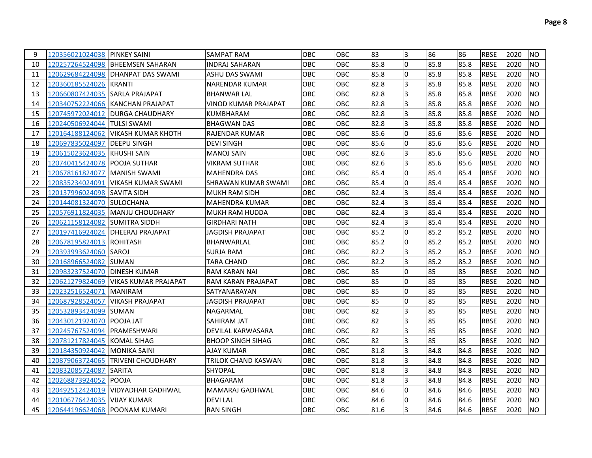| 9  | 120356021024038 PINKEY SAINI   |                                      | <b>SAMPAT RAM</b>        | OBC        | <b>OBC</b> | 83   | l3 | 86   | 86   | <b>RBSE</b> | 2020 | <b>NO</b>      |
|----|--------------------------------|--------------------------------------|--------------------------|------------|------------|------|----|------|------|-------------|------|----------------|
| 10 |                                | 120257264524098 BHEEMSEN SAHARAN     | <b>INDRAJ SAHARAN</b>    | OBC        | OBC        | 85.8 | l0 | 85.8 | 85.8 | <b>RBSE</b> | 2020 | <b>NO</b>      |
| 11 |                                |                                      | <b>ASHU DAS SWAMI</b>    | OBC        | OBC        | 85.8 | 0  | 85.8 | 85.8 | <b>RBSE</b> | 2020 | <b>NO</b>      |
| 12 | 120360185524026 KRANTI         |                                      | <b>NARENDAR KUMAR</b>    | OBC        | OBC        | 82.8 | 3  | 85.8 | 85.8 | <b>RBSE</b> | 2020 | NO.            |
| 13 | 120660807424035 SARLA PRAJAPAT |                                      | <b>BHANWAR LAL</b>       | OBC        | <b>OBC</b> | 82.8 | l3 | 85.8 | 85.8 | <b>RBSE</b> | 2020 | <b>NO</b>      |
| 14 |                                | 120340752224066 KANCHAN PRAJAPAT     | VINOD KUMAR PRAJAPAT     | <b>OBC</b> | <b>OBC</b> | 82.8 | 3  | 85.8 | 85.8 | <b>RBSE</b> | 2020 | <b>NO</b>      |
| 15 |                                | 120745972024012  DURGA CHAUDHARY     | <b>KUMBHARAM</b>         | OBC        | <b>OBC</b> | 82.8 | 3  | 85.8 | 85.8 | <b>RBSE</b> | 2020 | <b>NO</b>      |
| 16 | 120240506924044 TULSI SWAMI    |                                      | <b>BHAGWAN DAS</b>       | OBC        | <b>OBC</b> | 82.8 | l3 | 85.8 | 85.8 | <b>RBSE</b> | 2020 | <b>NO</b>      |
| 17 |                                | 120164188124062   VIKASH KUMAR KHOTH | IRAJENDAR KUMAR          | OBC        | <b>OBC</b> | 85.6 | 0  | 85.6 | 85.6 | <b>RBSE</b> | 2020 | <b>NO</b>      |
| 18 | 120697835024097                | <b>DEEPU SINGH</b>                   | <b>DEVI SINGH</b>        | OBC        | <b>OBC</b> | 85.6 | I٥ | 85.6 | 85.6 | <b>RBSE</b> | 2020 | <b>NO</b>      |
| 19 | 120615023624035 KHUSHI SAIN    |                                      | <b>MANOJ SAIN</b>        | OBC        | OBC        | 82.6 | 3  | 85.6 | 85.6 | <b>RBSE</b> | 2020 | <b>NO</b>      |
| 20 |                                |                                      | <b>VIKRAM SUTHAR</b>     | OBC        | OBC        | 82.6 | l3 | 85.6 | 85.6 | <b>RBSE</b> | 2020 | <b>NO</b>      |
| 21 | 120678161824077  MANISH SWAMI  |                                      | <b>MAHENDRA DAS</b>      | OBC        | <b>OBC</b> | 85.4 | 0  | 85.4 | 85.4 | <b>RBSE</b> | 2020 | <b>NO</b>      |
| 22 |                                | 120835234024091   VIKASH KUMAR SWAMI | SHRAWAN KUMAR SWAMI      | OBC        | <b>OBC</b> | 85.4 | 0  | 85.4 | 85.4 | <b>RBSE</b> | 2020 | <b>NO</b>      |
| 23 |                                |                                      | <b>MUKH RAM SIDH</b>     | <b>OBC</b> | <b>OBC</b> | 82.4 | l3 | 85.4 | 85.4 | <b>RBSE</b> | 2020 | NO.            |
| 24 | 120144081324070 SULOCHANA      |                                      | <b>MAHENDRA KUMAR</b>    | <b>OBC</b> | <b>OBC</b> | 82.4 | l3 | 85.4 | 85.4 | <b>RBSE</b> | 2020 | <b>NO</b>      |
| 25 |                                | 120576911824035  MANJU CHOUDHARY     | <b>MUKH RAM HUDDA</b>    | <b>OBC</b> | OBC        | 82.4 | Iз | 85.4 | 85.4 | <b>RBSE</b> | 2020 | <b>NO</b>      |
| 26 | 120621158124082 SUMITRA SIDDH  |                                      | <b>GIRDHARI NATH</b>     | OBC        | OBC        | 82.4 | l3 | 85.4 | 85.4 | <b>RBSE</b> | 2020 | <b>NO</b>      |
| 27 |                                | 120197416924024  DHEERAJ PRAJAPAT    | JAGDISH PRAJAPAT         | OBC        | <b>OBC</b> | 85.2 | 0  | 85.2 | 85.2 | <b>RBSE</b> | 2020 | <b>NO</b>      |
| 28 | 120678195824013 ROHITASH       |                                      | BHANWARLAL               | OBC        | OBC        | 85.2 | l0 | 85.2 | 85.2 | <b>RBSE</b> | 2020 | <b>NO</b>      |
| 29 | 120393993624060 SAROJ          |                                      | <b>SURJA RAM</b>         | OBC        | <b>OBC</b> | 82.2 | l3 | 85.2 | 85.2 | <b>RBSE</b> | 2020 | <b>NO</b>      |
| 30 |                                |                                      | <b>TARA CHAND</b>        | OBC        | OBC        | 82.2 | 3  | 85.2 | 85.2 | <b>RBSE</b> | 2020 | <b>NO</b>      |
| 31 | 120983237524070                | <b>DINESH KUMAR</b>                  | RAM KARAN NAI            | OBC        | OBC        | 85   | I٥ | 85   | 85   | <b>RBSE</b> | 2020 | <b>NO</b>      |
| 32 | 120621279824069                | <b>VIKAS KUMAR PRAJAPAT</b>          | RAM KARAN PRAJAPAT       | OBC        | OBC        | 85   | l0 | 85   | 85   | <b>RBSE</b> | 2020 | <b>NO</b>      |
| 33 | 120232516524071                | <b>MANIRAM</b>                       | SATYANARAYAN             | OBC        | OBC        | 85   | l0 | 85   | 85   | <b>RBSE</b> | 2020 | <b>NO</b>      |
| 34 | 120687928524057                | <b>VIKASH PRAJAPAT</b>               | JAGDISH PRAJAPAT         | OBC        | OBC        | 85   | l0 | 85   | 85   | <b>RBSE</b> | 2020 | <b>NO</b>      |
| 35 |                                |                                      | <b>NAGARMAL</b>          | OBC        | OBC        | 82   | l3 | 85   | 85   | <b>RBSE</b> | 2020 | <b>NO</b>      |
| 36 | 120430121924070 IPOOJA JAT     |                                      | SAHIRAM JAT              | OBC        | OBC        | 82   | l3 | 85   | 85   | <b>RBSE</b> | 2020 | <b>NO</b>      |
| 37 |                                |                                      | DEVILAL KARWASARA        | OBC        | OBC        | 82   | 3  | 85   | 85   | <b>RBSE</b> | 2020 | <b>NO</b>      |
| 38 | 120781217824045                | <b>KOMAL SIHAG</b>                   | <b>BHOOP SINGH SIHAG</b> | OBC        | OBC        | 82   | l3 | 85   | 85   | <b>RBSE</b> | 2020 | <b>NO</b>      |
| 39 | 120184350924042   MONIKA SAINI |                                      | <b>AJAY KUMAR</b>        | OBC        | OBC        | 81.8 | l3 | 84.8 | 84.8 | <b>RBSE</b> | 2020 | <b>NO</b>      |
| 40 |                                | 120879063724065 TRIVENI CHOUDHARY    | TRILOK CHAND KASWAN      | OBC        | OBC        | 81.8 | l3 | 84.8 | 84.8 | <b>RBSE</b> | 2020 | <b>NO</b>      |
| 41 | 120832085724087                | <b>SARITA</b>                        | SHYOPAL                  | <b>OBC</b> | OBC        | 81.8 | l3 | 84.8 | 84.8 | <b>RBSE</b> | 2020 | <b>NO</b>      |
| 42 | 120268873924052                | <b>IPOOJA</b>                        | <b>BHAGARAM</b>          | OBC        | OBC        | 81.8 | l3 | 84.8 | 84.8 | <b>RBSE</b> | 2020 | <b>NO</b>      |
| 43 | 120492512424019                | <b>VIDYADHAR GADHWAL</b>             | <b>MAMARAJ GADHWAL</b>   | OBC        | <b>OBC</b> | 84.6 | l0 | 84.6 | 84.6 | <b>RBSE</b> | 2020 | <b>NO</b>      |
| 44 | 120106776424035                | <b>VIJAY KUMAR</b>                   | <b>DEVILAL</b>           | OBC        | OBC        | 84.6 | l0 | 84.6 | 84.6 | <b>RBSE</b> | 2020 | <b>NO</b>      |
| 45 | 120644196624068 POONAM KUMARI  |                                      | <b>RAN SINGH</b>         | OBC        | OBC        | 81.6 | l3 | 84.6 | 84.6 | <b>RBSE</b> | 2020 | N <sub>O</sub> |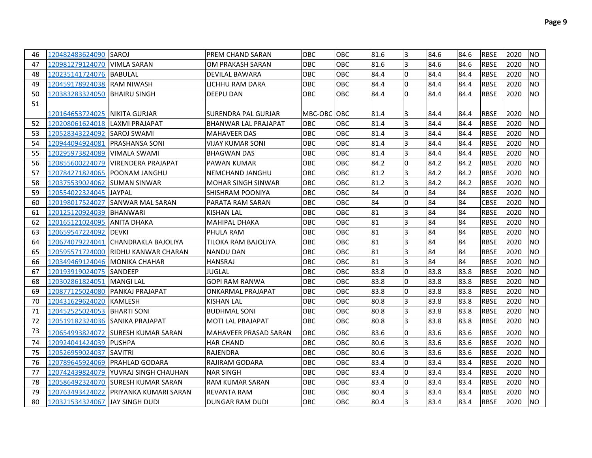| 46 | 120482483624090 SAROJ           |                                       | IPREM CHAND SARAN         | <b>OBC</b>  | OBC        | 81.6 | 13  | 84.6 | 84.6 | <b>RBSE</b> | 2020 | <b>NO</b> |
|----|---------------------------------|---------------------------------------|---------------------------|-------------|------------|------|-----|------|------|-------------|------|-----------|
| 47 | 120981279124070 VIMLA SARAN     |                                       | OM PRAKASH SARAN          | OBC         | <b>OBC</b> | 81.6 | 3   | 84.6 | 84.6 | <b>RBSE</b> | 2020 | <b>NO</b> |
| 48 | 120235141724076  BABULAL        |                                       | <b>DEVILAL BAWARA</b>     | <b>OBC</b>  | <b>OBC</b> | 84.4 | I٥  | 84.4 | 84.4 | <b>RBSE</b> | 2020 | <b>NO</b> |
| 49 | 120459178924038 RAM NIWASH      |                                       | LICHHU RAM DARA           | OBC         | <b>OBC</b> | 84.4 | l0  | 84.4 | 84.4 | <b>RBSE</b> | 2020 | <b>NO</b> |
| 50 | 120383283324050 BHAIRU SINGH    |                                       | <b>DEEPU DAN</b>          | <b>OBC</b>  | <b>OBC</b> | 84.4 | l0. | 84.4 | 84.4 | <b>RBSE</b> | 2020 | <b>NO</b> |
| 51 |                                 |                                       |                           |             |            |      |     |      |      |             |      |           |
|    | 120164653724025   NIKITA GURJAR |                                       | SURENDRA PAL GURJAR       | MBC-OBC OBC |            | 81.4 | I3  | 84.4 | 84.4 | <b>RBSE</b> | 2020 | <b>NO</b> |
| 52 | 120208061624018 LAXMI PRAJAPAT  |                                       | BHANWAR LAL PRAJAPAT      | OBC         | <b>OBC</b> | 81.4 | l3  | 84.4 | 84.4 | <b>RBSE</b> | 2020 | <b>NO</b> |
| 53 | 120528343224092 SAROJ SWAMI     |                                       | <b>MAHAVEER DAS</b>       | OBC         | OBC        | 81.4 | 3   | 84.4 | 84.4 | <b>RBSE</b> | 2020 | <b>NO</b> |
| 54 | 120944094924081 PRASHANSA SONI  |                                       | VIJAY KUMAR SONI          | OBC         | <b>OBC</b> | 81.4 | 3   | 84.4 | 84.4 | <b>RBSE</b> | 2020 | <b>NO</b> |
| 55 | 120295973824089                 | <b>VIMALA SWAMI</b>                   | <b>BHAGWAN DAS</b>        | OBC         | OBC        | 81.4 | l3  | 84.4 | 84.4 | <b>RBSE</b> | 2020 | <b>NO</b> |
| 56 |                                 | 120855600224079  VIRENDERA PRAJAPAT   | <b>PAWAN KUMAR</b>        | OBC         | OBC        | 84.2 | l0  | 84.2 | 84.2 | <b>RBSE</b> | 2020 | <b>NO</b> |
| 57 | 120784271824065  POONAM JANGHU  |                                       | NEMCHAND JANGHU           | OBC         | OBC        | 81.2 | 3   | 84.2 | 84.2 | <b>RBSE</b> | 2020 | <b>NO</b> |
| 58 | 120375539024062 SUMAN SINWAR    |                                       | <b>MOHAR SINGH SINWAR</b> | OBC         | OBC        | 81.2 | 3   | 84.2 | 84.2 | <b>RBSE</b> | 2020 | <b>NO</b> |
| 59 | 120554022324045 JAYPAL          |                                       | SHISHRAM POONIYA          | OBC         | OBC        | 84   | l0  | 84   | 84   | <b>RBSE</b> | 2020 | <b>NO</b> |
| 60 |                                 | 120198017524027  SANWAR MAL SARAN     | PARATA RAM SARAN          | OBC         | OBC        | 84   | l0  | 84   | 84   | <b>CBSE</b> | 2020 | <b>NO</b> |
| 61 | 120125120924039 BHANWARI        |                                       | <b>KISHAN LAL</b>         | OBC         | OBC        | 81   | 3   | 84   | 84   | <b>RBSE</b> | 2020 | <b>NO</b> |
| 62 | 120165121024095  ANITA DHAKA    |                                       | MAHIPAL DHAKA             | OBC         | OBC        | 81   | 3   | 84   | 84   | <b>RBSE</b> | 2020 | <b>NO</b> |
| 63 | 120659547224092  DEVKI          |                                       | PHULA RAM                 | OBC         | <b>OBC</b> | 81   | 3   | 84   | 84   | <b>RBSE</b> | 2020 | <b>NO</b> |
| 64 | 120674079224041                 | <b>ICHANDRAKLA BAJOLIYA</b>           | TILOKA RAM BAJOLIYA       | OBC         | OBC        | 81   | 3   | 84   | 84   | <b>RBSE</b> | 2020 | <b>NO</b> |
| 65 | 120595571724000                 | IRIDHU KANWAR CHARAN                  | NANDU DAN                 | OBC         | OBC        | 81   | 3   | 84   | 84   | <b>RBSE</b> | 2020 | NO.       |
| 66 | 120349469124046   MONIKA CHAHAR |                                       | <b>HANSRAJ</b>            | OBC         | OBC        | 81   | l3  | 84   | 84   | <b>RBSE</b> | 2020 | <b>NO</b> |
| 67 | 120193919024075 SANDEEP         |                                       | JUGLAL                    | OBC         | OBC        | 83.8 | l0  | 83.8 | 83.8 | <b>RBSE</b> | 2020 | <b>NO</b> |
| 68 | 120302861824051  MANGI LAL      |                                       | <b>GOPI RAM RANWA</b>     | OBC         | <b>OBC</b> | 83.8 | I٥  | 83.8 | 83.8 | <b>RBSE</b> | 2020 | <b>NO</b> |
| 69 | 120877125024080 PANKAJ PRAJAPAT |                                       | <b>ONKARMAL PRAJAPAT</b>  | OBC         | OBC        | 83.8 | l0  | 83.8 | 83.8 | <b>RBSE</b> | 2020 | <b>NO</b> |
| 70 | 120431629624020 KAMLESH         |                                       | <b>KISHAN LAL</b>         | OBC         | OBC        | 80.8 | l3  | 83.8 | 83.8 | <b>RBSE</b> | 2020 | <b>NO</b> |
| 71 | 120452525024053 BHARTI SONI     |                                       | <b>BUDHMAL SONI</b>       | OBC         | <b>OBC</b> | 80.8 | 3   | 83.8 | 83.8 | <b>RBSE</b> | 2020 | <b>NO</b> |
| 72 | 120519182324036 SANIKA PRAJAPAT |                                       | <b>MOTI LAL PRAJAPAT</b>  | OBC         | <b>OBC</b> | 80.8 | l3  | 83.8 | 83.8 | <b>RBSE</b> | 2020 | <b>NO</b> |
| 73 |                                 | 120654993824072  ISURESH KUMAR SARAN  | MAHAVEER PRASAD SARAN     | OBC         | OBC        | 83.6 | I0  | 83.6 | 83.6 | <b>RBSE</b> | 2020 | <b>NO</b> |
| 74 | 120924041424039 PUSHPA          |                                       | <b>HAR CHAND</b>          | <b>OBC</b>  | <b>OBC</b> | 80.6 | 3   | 83.6 | 83.6 | <b>RBSE</b> | 2020 | <b>NO</b> |
| 75 |                                 |                                       | RAJENDRA                  | OBC         | <b>OBC</b> | 80.6 | 3   | 83.6 | 83.6 | <b>RBSE</b> | 2020 | <b>NO</b> |
| 76 |                                 | 120789645924069 PRAHLAD GODARA        | RAJIRAM GODARA            | OBC         | <b>OBC</b> | 83.4 | I٥  | 83.4 | 83.4 | <b>RBSE</b> | 2020 | <b>NO</b> |
| 77 |                                 | 120742439824079  YUVRAJ SINGH CHAUHAN | <b>NAR SINGH</b>          | OBC         | <b>OBC</b> | 83.4 | I٥  | 83.4 | 83.4 | <b>RBSE</b> | 2020 | <b>NO</b> |
| 78 |                                 | 120586492324070 SURESH KUMAR SARAN    | <b>RAM KUMAR SARAN</b>    | OBC         | <b>OBC</b> | 83.4 | l0  | 83.4 | 83.4 | <b>RBSE</b> | 2020 | NO.       |
| 79 |                                 | 120763493424022 PRIYANKA KUMARI SARAN | <b>REVANTA RAM</b>        | OBC         | <b>OBC</b> | 80.4 | l3  | 83.4 | 83.4 | <b>RBSE</b> | 2020 | <b>NO</b> |
| 80 | 120321534324067 JAY SINGH DUDI  |                                       | <b>DUNGAR RAM DUDI</b>    | OBC         | OBC        | 80.4 | 3   | 83.4 | 83.4 | <b>RBSE</b> | 2020 | <b>NO</b> |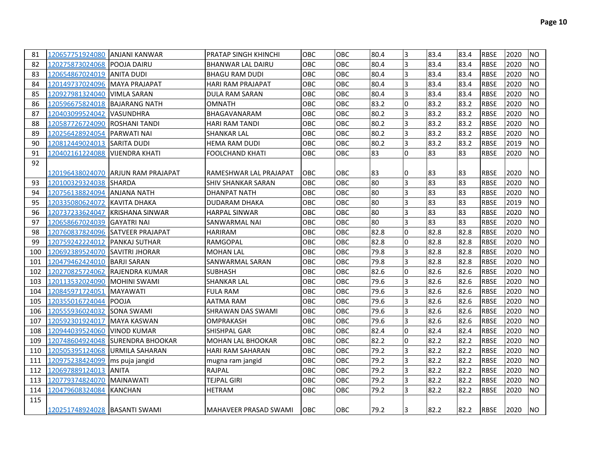| 81  | 120657751924080                | <b>JANJANI KANWAR</b>              | PRATAP SINGH KHINCHI      | OBC        | OBC        | 80.4 | 3              | 83.4 | 83.4 | <b>RBSE</b> | 2020 | <b>NO</b> |
|-----|--------------------------------|------------------------------------|---------------------------|------------|------------|------|----------------|------|------|-------------|------|-----------|
| 82  | 120275873024068                | <b>POOJA DAIRU</b>                 | <b>BHANWAR LAL DAIRU</b>  | <b>OBC</b> | OBC        | 80.4 | l3             | 83.4 | 83.4 | <b>RBSE</b> | 2020 | <b>NO</b> |
| 83  | 120654867024019 ANITA DUDI     |                                    | <b>BHAGU RAM DUDI</b>     | <b>OBC</b> | OBC        | 80.4 | 3              | 83.4 | 83.4 | <b>RBSE</b> | 2020 | <b>NO</b> |
| 84  | 120149737024096                | <b>MAYA PRAJAPAT</b>               | <b>HARI RAM PRAJAPAT</b>  | OBC        | OBC        | 80.4 | l3             | 83.4 | 83.4 | <b>RBSE</b> | 2020 | <b>NO</b> |
| 85  | 120927981324040                | <b>VIMLA SARAN</b>                 | DULA RAM SARAN            | <b>OBC</b> | OBC        | 80.4 | $\overline{3}$ | 83.4 | 83.4 | <b>RBSE</b> | 2020 | <b>NO</b> |
| 86  | 120596675824018                | <b>BAJARANG NATH</b>               | <b>OMNATH</b>             | OBC        | OBC        | 83.2 | l0             | 83.2 | 83.2 | <b>RBSE</b> | 2020 | <b>NO</b> |
| 87  | 120403099524042                | <b>VASUNDHRA</b>                   | BHAGAVANARAM              | OBC        | OBC        | 80.2 | 3              | 83.2 | 83.2 | <b>RBSE</b> | 2020 | <b>NO</b> |
| 88  | 120587726724090                | <b>ROSHANI TANDI</b>               | <b>HARI RAM TANDI</b>     | OBC        | OBC        | 80.2 | 3              | 83.2 | 83.2 | <b>RBSE</b> | 2020 | <b>NO</b> |
| 89  | 120256428924054                | <b>PARWATI NAI</b>                 | <b>SHANKAR LAL</b>        | <b>OBC</b> | OBC        | 80.2 | 3              | 83.2 | 83.2 | <b>RBSE</b> | 2020 | <b>NO</b> |
| 90  | 120812449024013 SARITA DUDI    |                                    | <b>HEMA RAM DUDI</b>      | OBC.       | OBC        | 80.2 | l3             | 83.2 | 83.2 | <b>RBSE</b> | 2019 | <b>NO</b> |
| 91  | 120402161224088 VIJENDRA KHATI |                                    | <b>FOOLCHAND KHATI</b>    | OBC.       | OBC        | 83   | I٥             | 83   | 83   | <b>RBSE</b> | 2020 | <b>NO</b> |
| 92  |                                |                                    |                           |            |            |      |                |      |      |             |      |           |
|     |                                | 120196438024070 ARJUN RAM PRAJAPAT | RAMESHWAR LAL PRAJAPAT    | <b>OBC</b> | OBC        | 83   | 10             | 83   | 83   | <b>RBSE</b> | 2020 | <b>NO</b> |
| 93  | 120100329324038                | <b>ISHARDA</b>                     | <b>SHIV SHANKAR SARAN</b> | OBC        | OBC        | 80   | $\overline{3}$ | 83   | 83   | <b>RBSE</b> | 2020 | <b>NO</b> |
| 94  | 120756138824094 ANJANA NATH    |                                    | <b>DHANPAT NATH</b>       | OBC        | OBC        | 80   | 3              | 83   | 83   | <b>RBSE</b> | 2020 | <b>NO</b> |
| 95  | 120335080624072                | <b>KAVITA DHAKA</b>                | <b>DUDARAM DHAKA</b>      | OBC        | OBC        | 80   | l3             | 83   | 83   | <b>RBSE</b> | 2019 | <b>NO</b> |
| 96  | 120737233624047                | IKRISHANA SINWAR                   | <b>HARPAL SINWAR</b>      | OBC        | OBC        | 80   | lз             | 83   | 83   | <b>RBSE</b> | 2020 | <b>NO</b> |
| 97  | 120658667024039                | <b>GAYATRI NAI</b>                 | SANWARMAL NAI             | <b>OBC</b> | OBC        | 80   | l3             | 83   | 83   | <b>RBSE</b> | 2020 | <b>NO</b> |
| 98  |                                | 120760837824096 SATVEER PRAJAPAT   | <b>HARIRAM</b>            | <b>OBC</b> | OBC        | 82.8 | I٥             | 82.8 | 82.8 | <b>RBSE</b> | 2020 | <b>NO</b> |
| 99  | 120759242224012                | <b>PANKAJ SUTHAR</b>               | RAMGOPAL                  | OBC        | OBC        | 82.8 | I٥             | 82.8 | 82.8 | <b>RBSE</b> | 2020 | <b>NO</b> |
| 100 | 120692389524070                | <b>SAVITRI JHORAR</b>              | <b>MOHAN LAL</b>          | OBC        | OBC        | 79.8 | l3             | 82.8 | 82.8 | <b>RBSE</b> | 2020 | <b>NO</b> |
| 101 | 120479462424010                | <b>BARJI SARAN</b>                 | SANWARMAL SARAN           | OBC        | OBC        | 79.8 | l3             | 82.8 | 82.8 | <b>RBSE</b> | 2020 | <b>NO</b> |
| 102 | 120270825724062                | <b>RAJENDRA KUMAR</b>              | <b>SUBHASH</b>            | OBC        | OBC        | 82.6 | I٥             | 82.6 | 82.6 | <b>RBSE</b> | 2020 | <b>NO</b> |
| 103 | 120113532024090                | <b>IMOHINI SWAMI</b>               | <b>SHANKAR LAL</b>        | <b>OBC</b> | <b>OBC</b> | 79.6 | l3             | 82.6 | 82.6 | <b>RBSE</b> | 2020 | <b>NO</b> |
| 104 | 120845971724051                | <b>MAYAWATI</b>                    | <b>FULA RAM</b>           | <b>OBC</b> | OBC        | 79.6 | 3              | 82.6 | 82.6 | <b>RBSE</b> | 2020 | <b>NO</b> |
| 105 | 120355016724044 POOJA          |                                    | AATMA RAM                 | OBC        | OBC        | 79.6 | 3              | 82.6 | 82.6 | <b>RBSE</b> | 2020 | <b>NO</b> |
| 106 | 120555936024032                | <b>SONA SWAMI</b>                  | SHRAWAN DAS SWAMI         | OBC        | OBC        | 79.6 | l3             | 82.6 | 82.6 | <b>RBSE</b> | 2020 | <b>NO</b> |
| 107 | 120592301924017                | <b>MAYA KASWAN</b>                 | OMPRAKASH                 | OBC        | OBC        | 79.6 | l3             | 82.6 | 82.6 | <b>RBSE</b> | 2020 | <b>NO</b> |
| 108 | 120944039524060                | <b>IVINOD KUMAR</b>                | SHISHPAL GAR              | OBC        | OBC        | 82.4 | I٥             | 82.4 | 82.4 | <b>RBSE</b> | 2020 | <b>NO</b> |
| 109 |                                | 120748604924048 SURENDRA BHOOKAR   | <b>MOHAN LAL BHOOKAR</b>  | OBC        | <b>OBC</b> | 82.2 | l0             | 82.2 | 82.2 | <b>RBSE</b> | 2020 | <b>NO</b> |
| 110 | 120505395124068 URMILA SAHARAN |                                    | <b>HARI RAM SAHARAN</b>   | OBC        | OBC        | 79.2 | l3             | 82.2 | 82.2 | <b>RBSE</b> | 2020 | <b>NO</b> |
| 111 | 120975238424099                | ms puja jangid                     | mugna ram jangid          | OBC        | OBC        | 79.2 | 3              | 82.2 | 82.2 | <b>RBSE</b> | 2020 | <b>NO</b> |
| 112 | 120697889124013 ANITA          |                                    | RAJPAL                    | OBC        | OBC        | 79.2 | 3              | 82.2 | 82.2 | <b>RBSE</b> | 2020 | <b>NO</b> |
| 113 | 120779374824070                | <b>MAINAWATI</b>                   | <b>TEJPAL GIRI</b>        | OBC        | OBC        | 79.2 | Iз             | 82.2 | 82.2 | <b>RBSE</b> | 2020 | <b>NO</b> |
| 114 | 120479608324084                | <b>KANCHAN</b>                     | <b>HETRAM</b>             | <b>OBC</b> | OBC        | 79.2 | Iз             | 82.2 | 82.2 | <b>RBSE</b> | 2020 | <b>NO</b> |
| 115 |                                |                                    |                           |            |            |      |                |      |      |             |      |           |
|     | 120251748924028 BASANTI SWAMI  |                                    | MAHAVEER PRASAD SWAMI     | <b>OBC</b> | <b>OBC</b> | 79.2 | l3             | 82.2 | 82.2 | <b>RBSE</b> | 2020 | <b>NO</b> |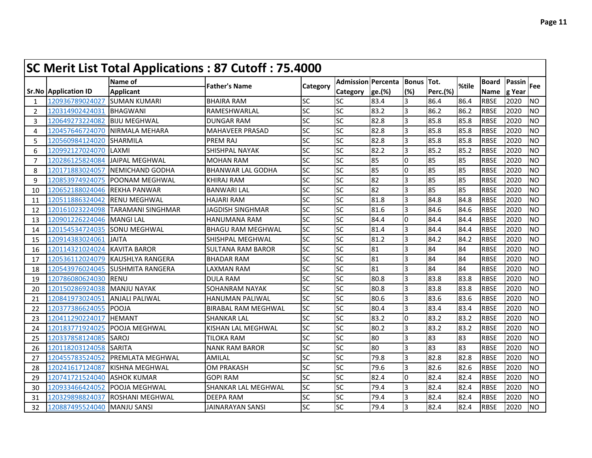|              |                             | <b>SC Merit List Total Applications: 87 Cutoff: 75.4000</b> |                            |           |                           |        |            |                 |       |              |        |                |
|--------------|-----------------------------|-------------------------------------------------------------|----------------------------|-----------|---------------------------|--------|------------|-----------------|-------|--------------|--------|----------------|
|              |                             | Name of                                                     | <b>Father's Name</b>       | Category  | <b>Admission Percenta</b> |        | Bonus Tot. |                 | %tile | <b>Board</b> | Passin | <b>Fee</b>     |
|              | <b>Sr.No Application ID</b> | <b>Applicant</b>                                            |                            |           | Category                  | ge.(%) | (%)        | <b>Perc.(%)</b> |       | <b>Name</b>  | g Year |                |
| $\mathbf{1}$ | 120936789024027             | <b>SUMAN KUMARI</b>                                         | <b>BHAIRA RAM</b>          | SC        | <b>SC</b>                 | 83.4   | 3          | 86.4            | 86.4  | <b>RBSE</b>  | 2020   | <b>NO</b>      |
| 2            | 120314902424031             | <b>BHAGWANI</b>                                             | RAMESHWARLAL               | SC        | <b>SC</b>                 | 83.2   | 3          | 86.2            | 86.2  | <b>RBSE</b>  | 2020   | <b>NO</b>      |
| 3            | 120649273224082             | <b>IBIJU MEGHWAL</b>                                        | <b>DUNGAR RAM</b>          | SC        | <b>SC</b>                 | 82.8   | 3          | 85.8            | 85.8  | <b>RBSE</b>  | 2020   | <b>NO</b>      |
| 4            | 120457646724070             | NIRMALA MEHARA                                              | <b>MAHAVEER PRASAD</b>     | <b>SC</b> | <b>SC</b>                 | 82.8   | 3          | 85.8            | 85.8  | <b>RBSE</b>  | 2020   | <b>NO</b>      |
| 5            | 120560984124020             | <b>SHARMILA</b>                                             | <b>PREM RAJ</b>            | SC        | <b>SC</b>                 | 82.8   | 3          | 85.8            | 85.8  | <b>RBSE</b>  | 2020   | <b>NO</b>      |
| 6            | 120992127024070             | LAXMI                                                       | SHISHPAL NAYAK             | SC        | <b>SC</b>                 | 82.2   | 3          | 85.2            | 85.2  | <b>RBSE</b>  | 2020   | <b>NO</b>      |
| 7            | 120286125824084             | <b>JAIPAL MEGHWAL</b>                                       | <b>MOHAN RAM</b>           | SC        | SC                        | 85     | I0         | 85              | 85    | <b>RBSE</b>  | 2020   | <b>NO</b>      |
| 8            | 120171883024057             | INEMICHAND GODHA                                            | <b>BHANWAR LAL GODHA</b>   | SC        | <b>SC</b>                 | 85     | I0         | 85              | 85    | <b>RBSE</b>  | 2020   | <b>NO</b>      |
| 9            | 120853974924075             | <b>POONAM MEGHWAL</b>                                       | KHIRAJ RAM                 | SC        | <b>SC</b>                 | 82     | 3          | 85              | 85    | <b>RBSE</b>  | 2020   | <b>NO</b>      |
| 10           | 120652188024046             | <b>IREKHA PANWAR</b>                                        | <b>BANWARI LAL</b>         | <b>SC</b> | SC                        | 82     | 3          | 85              | 85    | <b>RBSE</b>  | 2020   | <b>NO</b>      |
| 11           | 120511886324042             | <b>RENU MEGHWAL</b>                                         | <b>HAJARI RAM</b>          | SC        | SC                        | 81.8   | l3         | 84.8            | 84.8  | <b>RBSE</b>  | 2020   | <b>NO</b>      |
| 12           | 120161023224098             | <b>TARAMANI SINGHMAR</b>                                    | <b>JAGDISH SINGHMAR</b>    | <b>SC</b> | <b>SC</b>                 | 81.6   | 3          | 84.6            | 84.6  | <b>RBSE</b>  | 2020   | <b>NO</b>      |
| 13           | 120901226224046             | <b>MANGILAL</b>                                             | <b>HANUMANA RAM</b>        | SC        | <b>SC</b>                 | 84.4   | 0          | 84.4            | 84.4  | <b>RBSE</b>  | 2020   | <b>NO</b>      |
| 14           | 120154534724035             | <b>I</b> SONU MEGHWAL                                       | <b>BHAGU RAM MEGHWAL</b>   | <b>SC</b> | <b>SC</b>                 | 81.4   | 3          | 84.4            | 84.4  | <b>RBSE</b>  | 2020   | <b>NO</b>      |
| 15           | 120914383024061             | <b>JAITA</b>                                                | SHISHPAL MEGHWAL           | <b>SC</b> | <b>SC</b>                 | 81.2   | 3          | 84.2            | 84.2  | <b>RBSE</b>  | 2020   | <b>NO</b>      |
| 16           | 120114321024024             | <b>KAVITA BAROR</b>                                         | <b>SULTANA RAM BAROR</b>   | <b>SC</b> | $\overline{SC}$           | 81     | 3          | 84              | 84    | <b>RBSE</b>  | 2020   | <b>NO</b>      |
| 17           | 120536112024079             | KAUSHLYA RANGERA                                            | <b>BHADAR RAM</b>          | SC        | SC                        | 81     | 3          | 84              | 84    | <b>RBSE</b>  | 2020   | <b>NO</b>      |
| 18           | 120543976024045             | SUSHMITA RANGERA                                            | LAXMAN RAM                 | SC        | SC                        | 81     | 3          | 84              | 84    | <b>RBSE</b>  | 2020   | <b>NO</b>      |
| 19           | 120786080624030             | <b>RENU</b>                                                 | <b>DULA RAM</b>            | SC        | <b>SC</b>                 | 80.8   | IЗ         | 83.8            | 83.8  | <b>RBSE</b>  | 2020   | <b>NO</b>      |
| 20           | 120150286924038             | <b>MANJU NAYAK</b>                                          | <b>SOHANRAM NAYAK</b>      | <b>SC</b> | <b>SC</b>                 | 80.8   | 3          | 83.8            | 83.8  | <b>RBSE</b>  | 2020   | N <sub>O</sub> |
| 21           | 120841973024051             | <b>ANJALI PALIWAL</b>                                       | <b>HANUMAN PALIWAL</b>     | <b>SC</b> | <b>SC</b>                 | 80.6   | 3          | 83.6            | 83.6  | <b>RBSE</b>  | 2020   | <b>NO</b>      |
| 22           | 120377386624055             | <b>POOJA</b>                                                | <b>BIRABAL RAM MEGHWAL</b> | <b>SC</b> | <b>SC</b>                 | 80.4   | 3          | 83.4            | 83.4  | <b>RBSE</b>  | 2020   | <b>NO</b>      |
| 23           | 120411290224017             | <b>HEMANT</b>                                               | <b>SHANKAR LAL</b>         | SC        | SC                        | 83.2   | l0         | 83.2            | 83.2  | <b>RBSE</b>  | 2020   | <b>NO</b>      |
| 24           | 120183771924025             | <b>POOJA MEGHWAL</b>                                        | KISHAN LAL MEGHWAL         | SC        | <b>SC</b>                 | 80.2   | 3          | 83.2            | 83.2  | <b>RBSE</b>  | 2020   | <b>NO</b>      |
| 25           | 120337858124085             | <b>SAROJ</b>                                                | <b>TILOKA RAM</b>          | <b>SC</b> | <b>SC</b>                 | 80     | 3          | 83              | 83    | <b>RBSE</b>  | 2020   | <b>NO</b>      |
| 26           | 120118203124058             | <b>SARITA</b>                                               | <b>NANK RAM BAROR</b>      | SC        | SC                        | 80     | 3          | 83              | 83    | <b>RBSE</b>  | 2020   | <b>NO</b>      |
| 27           | 120455783524052             | <b>PREMLATA MEGHWAL</b>                                     | AMILAL                     | SC        | <b>SC</b>                 | 79.8   | 3          | 82.8            | 82.8  | <b>RBSE</b>  | 2020   | <b>NO</b>      |
| 28           | 120241617124087             | KISHNA MEGHWAL                                              | <b>OM PRAKASH</b>          | SC        | <b>SC</b>                 | 79.6   | 3          | 82.6            | 82.6  | <b>RBSE</b>  | 2020   | <b>NO</b>      |
| 29           | 120741721524040             | <b>ASHOK KUMAR</b>                                          | GOPI RAM                   | SC        | <b>SC</b>                 | 82.4   | I0         | 82.4            | 82.4  | <b>RBSE</b>  | 2020   | <b>NO</b>      |
| 30           | 120933466424052             | <b>POOJA MEGHWAL</b>                                        | <b>SHANKAR LAL MEGHWAL</b> | <b>SC</b> | <b>SC</b>                 | 79.4   | 13         | 82.4            | 82.4  | <b>RBSE</b>  | 2020   | <b>NO</b>      |
| 31           | 120329898824037             | <b>ROSHANI MEGHWAL</b>                                      | <b>DEEPA RAM</b>           | <b>SC</b> | <b>SC</b>                 | 79.4   | 3          | 82.4            | 82.4  | <b>RBSE</b>  | 2020   | <b>NO</b>      |
| 32           | 120887495524040             | <b>MANJU SANSI</b>                                          | <b>JAINARAYAN SANSI</b>    | <b>SC</b> | <b>SC</b>                 | 79.4   | 3          | 82.4            | 82.4  | <b>RBSE</b>  | 2020   | <b>NO</b>      |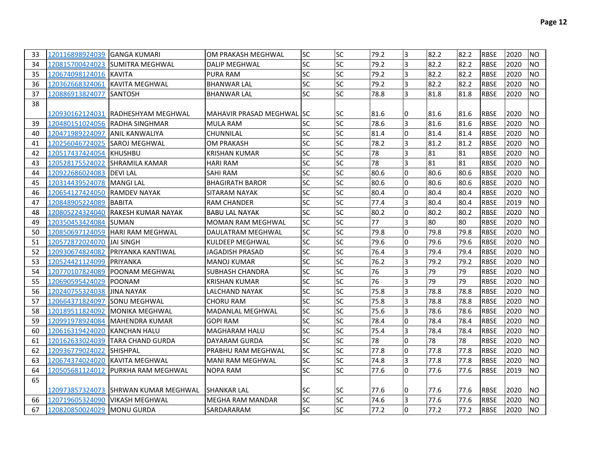| 33 | 120116898924039 GANGA KUMARI     |                                     | OM PRAKASH MEGHWAL         | <b>SC</b> | <b>SC</b> | 79.2 | 3        | 82.2 | 82.2 | <b>RBSE</b> | 2020 | <b>NO</b> |
|----|----------------------------------|-------------------------------------|----------------------------|-----------|-----------|------|----------|------|------|-------------|------|-----------|
| 34 |                                  | 120815700424023 SUMITRA MEGHWAL     | DALIP MEGHWAL              | SC        | <b>SC</b> | 79.2 | 3        | 82.2 | 82.2 | <b>RBSE</b> | 2020 | <b>NO</b> |
| 35 | 120674098124016 KAVITA           |                                     | <b>PURA RAM</b>            | <b>SC</b> | SC        | 79.2 | 3        | 82.2 | 82.2 | <b>RBSE</b> | 2020 | NO.       |
| 36 | 120362668324061                  | KAVITA MEGHWAL                      | <b>BHANWAR LAL</b>         | SC        | SC        | 79.2 | 3        | 82.2 | 82.2 | <b>RBSE</b> | 2020 | <b>NO</b> |
| 37 | 120886913824077                  | <b>ISANTOSH</b>                     | BHANWAR LAL                | <b>SC</b> | <b>SC</b> | 78.8 | 3        | 81.8 | 81.8 | <b>RBSE</b> | 2020 | <b>NO</b> |
| 38 |                                  |                                     |                            |           |           |      |          |      |      |             |      |           |
|    |                                  | 120930162124031 IRADHESHYAM MEGHWAL | MAHAVIR PRASAD MEGHWAL ISC |           | SC        | 81.6 | 10       | 81.6 | 81.6 | <b>RBSE</b> | 2020 | INO       |
| 39 |                                  | 120480151024056 RADHA SINGHMAR      | <b>MULA RAM</b>            | SC        | <b>SC</b> | 78.6 | 3        | 81.6 | 81.6 | <b>RBSE</b> | 2020 | <b>NO</b> |
| 40 |                                  |                                     | CHUNNILAL                  | <b>SC</b> | <b>SC</b> | 81.4 | IO.      | 81.4 | 81.4 | <b>RBSE</b> | 2020 | INO.      |
| 41 | 120256046724025 SAROJ MEGHWAL    |                                     | OM PRAKASH                 | SC        | SC        | 78.2 | 3        | 81.2 | 81.2 | <b>RBSE</b> | 2020 | <b>NO</b> |
| 42 | 120517437424054 KHUSHBU          |                                     | KRISHAN KUMAR              | <b>SC</b> | <b>SC</b> | 78   | 3        | 81   | 81   | <b>RBSE</b> | 2020 | <b>NO</b> |
| 43 | 120528175524022  ISHRAMILA KAMAR |                                     | <b>HARI RAM</b>            | SC        | SC        | 78   | 3        | 81   | 81   | <b>RBSE</b> | 2020 | INO.      |
| 44 | 120922686024083 DEVI LAL         |                                     | SAHI RAM                   | SC        | <b>SC</b> | 80.6 | l0       | 80.6 | 80.6 | <b>RBSE</b> | 2020 | <b>NO</b> |
| 45 | 120314439524078   MANGI LAL      |                                     | <b>BHAGIRATH BAROR</b>     | SC        | <b>SC</b> | 80.6 | 0        | 80.6 | 80.6 | <b>RBSE</b> | 2020 | <b>NO</b> |
| 46 | 120654127424050 RAMDEV NAYAK     |                                     | SITARAM NAYAK              | SC        | SC        | 80.4 | IO.      | 80.4 | 80.4 | <b>RBSE</b> | 2020 | INO.      |
| 47 | 120848905224089                  | <b>BABITA</b>                       | RAM CHANDER                | SC        | <b>SC</b> | 77.4 | 3        | 80.4 | 80.4 | <b>RBSE</b> | 2019 | <b>NO</b> |
| 48 | 120805224324040                  | <b>IRAKESH KUMAR NAYAK</b>          | <b>BABU LAL NAYAK</b>      | <b>SC</b> | <b>SC</b> | 80.2 | I٥       | 80.2 | 80.2 | <b>RBSE</b> | 2020 | <b>NO</b> |
| 49 | 120350453424084                  | <b>ISUMAN</b>                       | <b>MOMAN RAM MEGHWAL</b>   | <b>SC</b> | SC        | 77   | 3        | 80   | 80   | <b>RBSE</b> | 2020 | <b>NO</b> |
| 50 | 120850697124059                  | <b>IHARI RAM MEGHWAL</b>            | DAULATRAM MEGHWAL          | <b>SC</b> | SC        | 79.8 | 0        | 79.8 | 79.8 | <b>RBSE</b> | 2020 | NO.       |
| 51 | 120572872024070                  | <b>IJAI SINGH</b>                   | <b>KULDEEP MEGHWAL</b>     | SC        | <b>SC</b> | 79.6 | I٥       | 79.6 | 79.6 | <b>RBSE</b> | 2020 | <b>NO</b> |
| 52 | 120930674824082                  | IPRIYANKA KANTIWAL                  | JAGADISH PRASAD            | SC        | <b>SC</b> | 76.4 | 3        | 79.4 | 79.4 | IRBSE       | 2020 | <b>NO</b> |
| 53 | 120524421124099                  | <b>IPRIYANKA</b>                    | <b>MANOJ KUMAR</b>         | SC        | SC        | 76.2 | I3       | 79.2 | 79.2 | <b>RBSE</b> | 2020 | NO.       |
| 54 | 120770107824089                  | <b>POONAM MEGHWAL</b>               | SUBHASH CHANDRA            | SC        | SC        | 76   | 3        | 79   | 79   | <b>RBSE</b> | 2020 | INO       |
| 55 | 120690595424029                  | IPOONAM                             | KRISHAN KUMAR              | SC        | SC        | 76   | 3        | 79   | 79   | <b>RBSE</b> | 2020 | <b>NO</b> |
| 56 | 120240755324038                  | <b>JINA NAYAK</b>                   | LALCHAND NAYAK             | SC        | SC        | 75.8 | 3        | 78.8 | 78.8 | <b>RBSE</b> | 2020 | <b>NO</b> |
| 57 | 120664371824097                  | <b>SONU MEGHWAL</b>                 | CHORU RAM                  | SC        | SC        | 75.8 | 3        | 78.8 | 78.8 | <b>RBSE</b> | 2020 | <b>NO</b> |
| 58 | 120189511824092                  | IMONIKA MEGHWAL                     | MADANLAL MEGHWAL           | SC        | <b>SC</b> | 75.6 | 3        | 78.6 | 78.6 | <b>RBSE</b> | 2020 | <b>NO</b> |
| 59 | 120991978924084                  | MAHENDRA KUMAR                      | GOPI RAM                   | SC        | SC        | 78.4 | 0        | 78.4 | 78.4 | <b>RBSE</b> | 2020 | <b>NO</b> |
| 60 | 120616319424020                  | KANCHAN HALU                        | MAGHARAM HALU              | <b>SC</b> | SC        | 75.4 | 3        | 78.4 | 78.4 | <b>RBSE</b> | 2020 | <b>NO</b> |
| 61 | 120162633024039                  | TARA CHAND GURDA                    | DAYARAM GURDA              | SC        | <b>SC</b> | 78   | 0        | 78   | 78   | <b>RBSE</b> | 2020 | <b>NO</b> |
| 62 | 120936779024022                  | SHISHPAL                            | PRABHU RAM MEGHWAL         | <b>SC</b> | SC        | 77.8 | 0        | 77.8 | 77.8 | <b>RBSE</b> | 2020 | <b>NO</b> |
| 63 | 120674374024020                  | <b>KAVITA MEGHWAL</b>               | <b>MANI RAM MEGHWAL</b>    | SC        | <b>SC</b> | 74.8 | 3        | 77.8 | 77.8 | <b>RBSE</b> | 2020 | <b>NO</b> |
| 64 | 120505681124012                  | <b>PURKHA RAM MEGHWAL</b>           | NOPA RAM                   | SC        | <b>SC</b> | 77.6 | l0       | 77.6 | 77.6 | <b>RBSE</b> | 2019 | <b>NO</b> |
| 65 |                                  |                                     |                            |           |           |      |          |      |      |             |      |           |
|    |                                  |                                     | <b>SHANKAR LAL</b>         | <b>SC</b> | SC        | 77.6 | 10       | 77.6 | 77.6 | <b>RBSE</b> | 2020 | <b>NO</b> |
| 66 | 120719605324090                  | <b>VIKASH MEGHWAL</b>               | <b>MEGHA RAM MANDAR</b>    | <b>SC</b> | <b>SC</b> | 74.6 | 3        | 77.6 | 77.6 | <b>RBSE</b> | 2020 | <b>NO</b> |
| 67 | 120820850024029 MONU GURDA       |                                     | SARDARARAM                 | <b>SC</b> | <b>SC</b> | 77.2 | $\Omega$ | 77.2 | 77.2 | <b>RBSE</b> | 2020 | INO.      |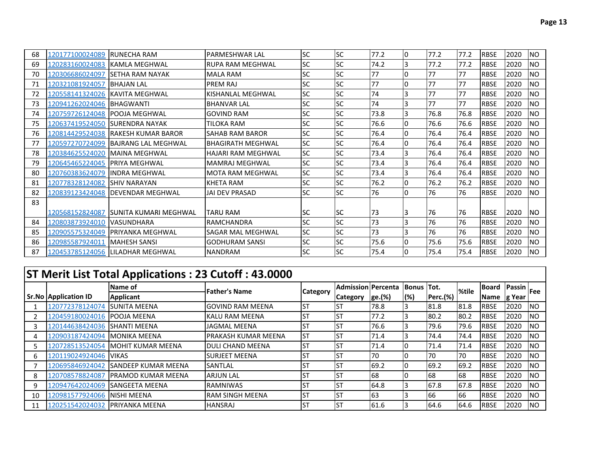| 68 | 120177100024089            | <b>RUNECHA RAM</b>                    | <b>IPARMESHWAR LAL</b>    | <b>SC</b> | <b>SC</b> | 77.2 | 10 | 77.2 | 77.2 | <b>RBSE</b> | 2020 | <b>NO</b> |
|----|----------------------------|---------------------------------------|---------------------------|-----------|-----------|------|----|------|------|-------------|------|-----------|
| 69 | 120283160024083            | <b>IKAMLA MEGHWAL</b>                 | IRUPA RAM MEGHWAL         | <b>SC</b> | <b>SC</b> | 74.2 | l3 | 77.2 | 77.2 | <b>RBSE</b> | 2020 | <b>NO</b> |
| 70 | 120306686024097            | <b>ISETHA RAM NAYAK</b>               | <b>MALA RAM</b>           | <b>SC</b> | <b>SC</b> | 77   | I٥ | 77   | 77   | <b>RBSE</b> | 2020 | <b>NO</b> |
| 71 | 120321081924057            | <b>BHAJAN LAL</b>                     | <b>PREM RAJ</b>           | <b>SC</b> | <b>SC</b> | 77   | I٥ | 77   | 77   | <b>RBSE</b> | 2020 | <b>NO</b> |
| 72 | 120558141324026            | <b>IKAVITA MEGHWAL</b>                | KISHANLAL MEGHWAL         | <b>SC</b> | <b>SC</b> | 74   | l3 | 77   | 77   | <b>RBSE</b> | 2020 | <b>NO</b> |
| 73 | 120941262024046            | <b>BHAGWANTI</b>                      | <b>BHANVAR LAL</b>        | <b>SC</b> | <b>SC</b> | 74   | l3 | 77   | 77   | <b>RBSE</b> | 2020 | <b>NO</b> |
| 74 | 120759726124048            | <b>IPOOJA MEGHWAL</b>                 | <b>GOVIND RAM</b>         | <b>SC</b> | <b>SC</b> | 73.8 | l3 | 76.8 | 76.8 | <b>RBSE</b> | 2020 | <b>NO</b> |
| 75 | 120637419524050            | <b>ISURENDRA NAYAK</b>                | TILOKA RAM                | <b>SC</b> | <b>SC</b> | 76.6 | I٥ | 76.6 | 76.6 | <b>RBSE</b> | 2020 | <b>NO</b> |
| 76 | 120814429524038            | <b>IRAKESH KUMAR BAROR</b>            | <b>SAHAB RAM BAROR</b>    | <b>SC</b> | <b>SC</b> | 76.4 | I0 | 76.4 | 76.4 | <b>RBSE</b> | 2020 | <b>NO</b> |
| 77 | 120597270724099            | <b>BAJRANG LAL MEGHWAL</b>            | <b>BHAGIRATH MEGHWAL</b>  | <b>SC</b> | <b>SC</b> | 76.4 | I٥ | 76.4 | 76.4 | <b>RBSE</b> | 2020 | <b>NO</b> |
| 78 | 120384625524020            | <b>IMAINA MEGHWAL</b>                 | <b>HAJARI RAM MEGHWAL</b> | <b>SC</b> | <b>SC</b> | 73.4 | l3 | 76.4 | 76.4 | <b>RBSE</b> | 2020 | <b>NO</b> |
| 79 | 120645465224045            | <b>IPRIYA MEGHWAL</b>                 | <b>MAMRAJ MEGHWAL</b>     | <b>SC</b> | <b>SC</b> | 73.4 | 13 | 76.4 | 76.4 | <b>RBSE</b> | 2020 | <b>NO</b> |
| 80 | 120760383624079            | <b>IINDRA MEGHWAL</b>                 | <b>MOTA RAM MEGHWAL</b>   | <b>SC</b> | <b>SC</b> | 73.4 | 3  | 76.4 | 76.4 | <b>RBSE</b> | 2020 | <b>NO</b> |
| 81 | 120778328124082            | <b>ISHIV NARAYAN</b>                  | KHETA RAM                 | <b>SC</b> | <b>SC</b> | 76.2 |    | 76.2 | 76.2 | <b>RBSE</b> | 2020 | <b>NO</b> |
| 82 | 120839123424048            | <b>IDEVENDAR MEGHWAL</b>              | <b>JAI DEV PRASAD</b>     | <b>SC</b> | <b>SC</b> | 76   |    | 76   | 76   | <b>RBSE</b> | 2020 | <b>NO</b> |
| 83 |                            |                                       |                           |           |           |      |    |      |      |             |      |           |
|    |                            | 120568152824087 SUNITA KUMARI MEGHWAL | <b>TARU RAM</b>           | <b>SC</b> | <b>SC</b> | 73   | I3 | 76   | 176  | <b>RBSE</b> | 2020 | <b>NO</b> |
| 84 | 120803873924010 VASUNDHARA |                                       | <b>RAMCHANDRA</b>         | <b>SC</b> | <b>SC</b> | 73   | l3 | 76   | 76   | <b>RBSE</b> | 2020 | <b>NO</b> |
| 85 | 120905575324049            | <b>IPRIYANKA MEGHWAL</b>              | SAGAR MAL MEGHWAL         | <b>SC</b> | <b>SC</b> | 73   | l3 | 76   | 76   | <b>RBSE</b> | 2020 | <b>NO</b> |
| 86 | 120985587924011            | <b>IMAHESH SANSI</b>                  | <b>GODHURAM SANSI</b>     | <b>SC</b> | <b>SC</b> | 75.6 | I0 | 75.6 | 75.6 | <b>RBSE</b> | 2020 | <b>NO</b> |
| 87 | 120453785124056            | <b>ILILADHAR MEGHWAL</b>              | <b>NANDRAM</b>            | <b>SC</b> | <b>SC</b> | 75.4 | I0 | 75.4 | 75.4 | <b>RBSE</b> | 2020 | <b>NO</b> |

## **ST Merit List Total Applications : 23 Cutoff : 43.0000**

|    |                              | . .<br>Name of             | <b>Father's Name</b>    |                 | Admission   Percenta |        | <b>Bonus Tot.</b> |                 | %tile | <b>Board</b> | $\frac{1}{\sqrt{1-\frac{1}{\sqrt{1-\frac{1}{\sqrt{1-\frac{1}{\sqrt{1-\frac{1}{\sqrt{1-\frac{1}{\sqrt{1-\frac{1}{\sqrt{1-\frac{1}{\sqrt{1-\frac{1}{\sqrt{1-\frac{1}{\sqrt{1-\frac{1}{\sqrt{1-\frac{1}{\sqrt{1-\frac{1}{\sqrt{1-\frac{1}{\sqrt{1-\frac{1}{\sqrt{1-\frac{1}{\sqrt{1-\frac{1}{\sqrt{1-\frac{1}{\sqrt{1-\frac{1}{\sqrt{1-\frac{1}{\sqrt{1-\frac{1}{\sqrt{1-\frac{1}{\sqrt{1-\frac{1}{\sqrt{1-\frac{1}{\sqrt{1-\frac{1$ |            |
|----|------------------------------|----------------------------|-------------------------|-----------------|----------------------|--------|-------------------|-----------------|-------|--------------|-----------------------------------------------------------------------------------------------------------------------------------------------------------------------------------------------------------------------------------------------------------------------------------------------------------------------------------------------------------------------------------------------------------------------------------|------------|
|    | <b>Sr.No Application ID</b>  | Applicant                  |                         | <b>Category</b> | Category             | ge.(%) | (%)               | <b>Perc.(%)</b> |       | <b>Name</b>  | g Year                                                                                                                                                                                                                                                                                                                                                                                                                            |            |
|    | 120772378124074              | <b>SUNITA MEENA</b>        | <b>GOVIND RAM MEENA</b> | .ST             | .ST                  | 78.8   |                   | 81.8            | 81.8  | <b>RBSE</b>  | 2020                                                                                                                                                                                                                                                                                                                                                                                                                              | <b>INO</b> |
|    | 120459180024016 POOJA MEENA  |                            | KALU RAM MEENA          | <b>ST</b>       | ST.                  | 77.2   |                   | 80.2            | 80.2  | <b>RBSE</b>  | 2020                                                                                                                                                                                                                                                                                                                                                                                                                              | <b>INO</b> |
|    | 120144638424036 SHANTI MEENA |                            | <b>JAGMAL MEENA</b>     | <b>ST</b>       | lst                  | 76.6   |                   | 79.6            | 79.6  | <b>RBSE</b>  | 2020                                                                                                                                                                                                                                                                                                                                                                                                                              | <b>INO</b> |
| 4  | 120903187424094              | <b>IMONIKA MEENA</b>       | PRAKASH KUMAR MEENA     | <b>ST</b>       | lst                  | 71.4   |                   | 74.4            | 74.4  | <b>RBSE</b>  | 2020                                                                                                                                                                                                                                                                                                                                                                                                                              | <b>NO</b>  |
|    | 120728513524054              | IMOHIT KUMAR MEENA         | <b>DULI CHAND MEENA</b> | <b>ST</b>       | <b>ST</b>            | 71.4   |                   | 71.4            | 71.4  | <b>RBSE</b>  | 2020                                                                                                                                                                                                                                                                                                                                                                                                                              | <b>INO</b> |
| 6  | 120119024924046              | <b>VIKAS</b>               | <b>SURJEET MEENA</b>    | .ST             | .ST                  | 70     |                   | 70              | 70    | <b>RBSE</b>  | 2020                                                                                                                                                                                                                                                                                                                                                                                                                              | <b>INO</b> |
|    | 120695846924042              | <b>SANDEEP KUMAR MEENA</b> | <b>SANTLAL</b>          | .ST             | <b>ST</b>            | 69.2   | 10                | 69.2            | 69.2  | <b>RBSE</b>  | 2020                                                                                                                                                                                                                                                                                                                                                                                                                              | <b>INO</b> |
| 8  | 120708578824087              | <b>IPRAMOD KUMAR MEENA</b> | <b>ARJUN LAL</b>        | <b>ST</b>       | lst                  | 68     | 10                | 68              | 168   | <b>RBSE</b>  | 2020                                                                                                                                                                                                                                                                                                                                                                                                                              | <b>NO</b>  |
| 9  | 120947642024069              | <b>ISANGEETA MEENA</b>     | <b>RAMNIWAS</b>         | .ST             | lst                  | 64.8   |                   | 67.8            | 67.8  | <b>RBSE</b>  | 2020                                                                                                                                                                                                                                                                                                                                                                                                                              | <b>NO</b>  |
| 10 | 120981577924066              | INISHI MEENA               | RAM SINGH MEENA         | ST              | lST                  | 63     |                   | 66              | 66    | <b>RBSE</b>  | 2020                                                                                                                                                                                                                                                                                                                                                                                                                              | <b>INO</b> |
| 11 | 120251542024032              | <b>IPRIYANKA MEENA</b>     | <b>HANSRAJ</b>          | IST             | S1                   | 61.6   |                   | 64.6            | 64.6  | <b>RBSE</b>  | 2020                                                                                                                                                                                                                                                                                                                                                                                                                              | <b>NO</b>  |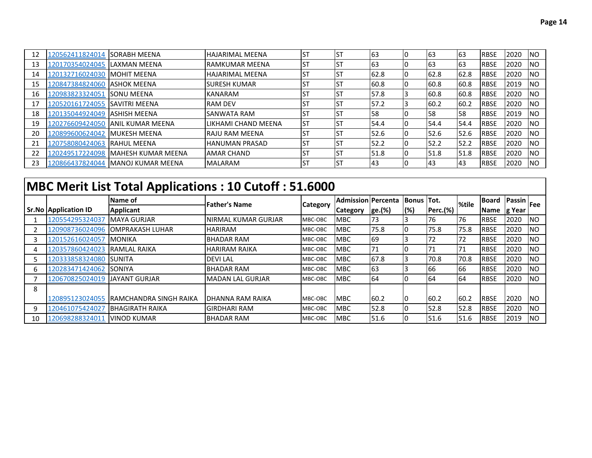| 12 | 120562411824014 SORABH MEENA |                          | IHAJARIMAL MEENA            | <b>ST</b> | lst | 63   | 63   | 63        | <b>RBSE</b>  | 2020 | <b>INO</b> |
|----|------------------------------|--------------------------|-----------------------------|-----------|-----|------|------|-----------|--------------|------|------------|
| 13 | 120170354024045              | ILAXMAN MEENA            | <b>IRAMKUMAR MEENA</b>      | <b>ST</b> | Ist | 63   | 63   | 63        | <b>IRBSE</b> | 2020 | <b>INO</b> |
| 14 | 120132716024030              | <b>IMOHIT MEENA</b>      | <b>HAJARIMAL MEENA</b>      | ST        | Ist | 62.8 | 62.8 | 62.8      | <b>IRBSE</b> | 2020 | <b>INO</b> |
| 15 | 120847384824060              | <b>ASHOK MEENA</b>       | <b>ISURESH KUMAR</b>        | <b>ST</b> | lst | 60.8 | 60.8 | 60.8      | <b>RBSE</b>  | 2019 | <b>INO</b> |
| 16 | 120983823324051              | <b>ISONU MEENA</b>       | <b>KANARAM</b>              | <b>ST</b> | lst | 57.8 | 60.8 | 60.8      | <b>IRBSE</b> | 2020 | <b>NO</b>  |
| 17 | 120520161724055              | ISAVITRI MEENA           | <b>IRAM DEV</b>             | <b>ST</b> | lst | 57.2 | 60.2 | 60.2      | <b>RBSE</b>  | 2020 | <b>NO</b>  |
| 18 | 120135044924049              | IASHISH MEENA            | ISANWATA RAM                | <b>ST</b> | lst | 158  | I58  | 158       | <b>IRBSE</b> | 2019 | <b>INO</b> |
| 19 | 120276609424050              | <b>JANIL KUMAR MEENA</b> | <b>ILIKHAMI CHAND MEENA</b> | <b>ST</b> | lst | 54.4 | 54.4 | 54.4      | <b>RBSE</b>  | 2020 | <b>INO</b> |
| 20 | 120899600624042              | IMUKESH MEENA            | IRAJU RAM MEENA             | IST       | lst | 52.6 | 52.6 | 52.6      | <b>IRBSE</b> | 2020 | <b>INO</b> |
| 21 | 120758080424063              | <b>IRAHUL MEENA</b>      | <b>HANUMAN PRASAD</b>       | IST       | lst | 52.2 | 52.2 | 52.2      | <b>RBSE</b>  | 2020 | <b>NO</b>  |
| 22 | 120249517224098              | IMAHESH KUMAR MEENA      | <b>JAMAR CHAND</b>          | <b>ST</b> | lst | 51.8 | 51.8 | 51.8      | <b>IRBSE</b> | 2020 | <b>NO</b>  |
| 23 | 120866437824044              | IMANOJ KUMAR MEENA       | <b>MALARAM</b>              | IST       | lst | 43   | 43   | <b>43</b> | <b>RBSE</b>  | 2020 | <b>NO</b>  |

## **MBC Merit List Total Applications : 10 Cutoff : 51.6000**

|    |                              | Name of                 | <b>Father's Name</b> | <b>Category</b> | Admission   Percenta |        | <b>Bonus Tot.</b> |                 | %tile | <b>Board</b> | $\frac{1}{\sqrt{1-\frac{1}{\sqrt{1-\frac{1}{\sqrt{1-\frac{1}{\sqrt{1-\frac{1}{\sqrt{1-\frac{1}{\sqrt{1-\frac{1}{\sqrt{1-\frac{1}{\sqrt{1-\frac{1}{\sqrt{1-\frac{1}{\sqrt{1-\frac{1}{\sqrt{1-\frac{1}{\sqrt{1-\frac{1}{\sqrt{1-\frac{1}{\sqrt{1-\frac{1}{\sqrt{1-\frac{1}{\sqrt{1-\frac{1}{\sqrt{1-\frac{1}{\sqrt{1-\frac{1}{\sqrt{1-\frac{1}{\sqrt{1-\frac{1}{\sqrt{1-\frac{1}{\sqrt{1-\frac{1}{\sqrt{1-\frac{1}{\sqrt{1-\frac{1$ |            |
|----|------------------------------|-------------------------|----------------------|-----------------|----------------------|--------|-------------------|-----------------|-------|--------------|-----------------------------------------------------------------------------------------------------------------------------------------------------------------------------------------------------------------------------------------------------------------------------------------------------------------------------------------------------------------------------------------------------------------------------------|------------|
|    | <b>Sr.No Application ID</b>  | <b>Applicant</b>        |                      |                 | <b>Category</b>      | ge.(%) | (%)               | <b>Perc.(%)</b> |       | Name         | g Year                                                                                                                                                                                                                                                                                                                                                                                                                            |            |
|    | 120554295324037              | <b>MAYA GURJAR</b>      | INIRMAL KUMAR GURJAR | MBC-OBC         | MBC                  | 73     |                   | 76              | 76    | <b>RBSE</b>  | 2020                                                                                                                                                                                                                                                                                                                                                                                                                              | <b>NO</b>  |
|    | 120908736024096              | <b>JOMPRAKASH LUHAR</b> | <b>HARIRAM</b>       | MBC-OBC         | <b>MBC</b>           | 75.8   | IC                | 75.8            | 75.8  | <b>RBSE</b>  | 2020                                                                                                                                                                                                                                                                                                                                                                                                                              | <b>INO</b> |
|    | 120152616024057              | <b>MONIKA</b>           | <b>BHADAR RAM</b>    | MBC-OBC         | <b>MBC</b>           | 69     |                   | 172             | 72    | <b>RBSE</b>  | 2020                                                                                                                                                                                                                                                                                                                                                                                                                              | <b>INO</b> |
|    | 120357860424023 RAMLAL RAIKA |                         | <b>HARIRAM RAIKA</b> | MBC-OBC         | <b>MBC</b>           | 171    |                   | 71              | 71    | <b>RBSE</b>  | 2020                                                                                                                                                                                                                                                                                                                                                                                                                              | <b>INO</b> |
|    | 120333858324080              | <b>ISUNITA</b>          | <b>DEVILAL</b>       | MBC-OBC         | <b>MBC</b>           | 67.8   |                   | 70.8            | 70.8  | <b>RBSE</b>  | 2020                                                                                                                                                                                                                                                                                                                                                                                                                              | <b>INO</b> |
| 6  | 120283471424062              | <b>SONIYA</b>           | <b>BHADAR RAM</b>    | MBC-OBC         | <b>MBC</b>           | 63     |                   | 66              | 166   | <b>RBSE</b>  | 2020                                                                                                                                                                                                                                                                                                                                                                                                                              | <b>INO</b> |
|    | 120670825024019              | <b>UAYANT GURJAR</b>    | IMADAN LAL GURJAR    | MBC-OBC         | <b>MBC</b>           | 64     | IO                | 64              | 64    | <b>RBSE</b>  | 2020                                                                                                                                                                                                                                                                                                                                                                                                                              | <b>INO</b> |
| 8  |                              |                         |                      |                 |                      |        |                   |                 |       |              |                                                                                                                                                                                                                                                                                                                                                                                                                                   |            |
|    | 120895123024055              | IRAMCHANDRA SINGH RAIKA | IDHANNA RAM RAIKA    | MBC-OBC         | <b>MBC</b>           | 60.2   |                   | 60.2            | 60.2  | <b>RBSE</b>  | 2020                                                                                                                                                                                                                                                                                                                                                                                                                              | <b>INO</b> |
| 9  | 120461075424027              | <b>IBHAGIRATH RAIKA</b> | İGIRDHARI RAM        | MBC-OBC         | <b>MBC</b>           | 52.8   |                   | 52.8            | 52.8  | <b>RBSE</b>  | 2020                                                                                                                                                                                                                                                                                                                                                                                                                              | <b>INO</b> |
| 10 | 120698288324011              | <b>VINOD KUMAR</b>      | <b>BHADAR RAM</b>    | MBC-OBC         | <b>MBC</b>           | 51.6   |                   | 51.6            | 51.6  | <b>RBSE</b>  | 2019                                                                                                                                                                                                                                                                                                                                                                                                                              | <b>NO</b>  |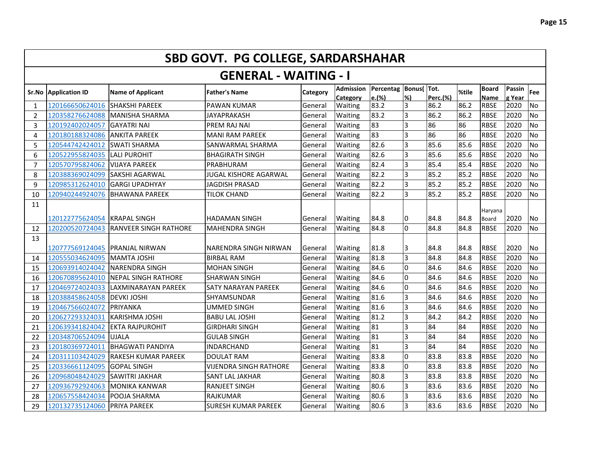|                | <b>SBD GOVT. PG COLLEGE, SARDARSHAHAR</b> |                              |                               |          |                              |                    |                 |          |       |                             |                  |           |  |  |
|----------------|-------------------------------------------|------------------------------|-------------------------------|----------|------------------------------|--------------------|-----------------|----------|-------|-----------------------------|------------------|-----------|--|--|
|                |                                           |                              | <b>GENERAL - WAITING - I</b>  |          |                              |                    |                 |          |       |                             |                  |           |  |  |
| Sr.No          | <b>Application ID</b>                     | <b>Name of Applicant</b>     | <b>Father's Name</b>          | Category | <b>Admission</b><br>Category | Percentag<br>e.(%) | Bonus(Tot.<br>% | Perc.(%) | %tile | <b>Board</b><br><b>Name</b> | Passin<br>g Year | Fee       |  |  |
| 1              | 120166650624016                           | <b>SHAKSHI PAREEK</b>        | <b>PAWAN KUMAR</b>            | General  | Waiting                      | 83.2               | 3               | 86.2     | 86.2  | <b>RBSE</b>                 | 2020             | No        |  |  |
| $\overline{2}$ | 120358276624088                           | MANISHA SHARMA               | JAYAPRAKASH                   | General  | Waiting                      | 83.2               | <sup>3</sup>    | 86.2     | 86.2  | <b>RBSE</b>                 | 2020             | No        |  |  |
| 3              | 120192402024057                           | <b>GAYATRI NAI</b>           | PREM RAJ NAI                  | General  | Waiting                      | 83                 | $\overline{3}$  | 86       | 86    | <b>RBSE</b>                 | 2020             | No        |  |  |
| 4              | 120180188324086                           | <b>ANKITA PAREEK</b>         | <b>MANI RAM PAREEK</b>        | General  | Waiting                      | 83                 | <sup>3</sup>    | 86       | 86    | <b>RBSE</b>                 | 2020             | <b>No</b> |  |  |
| 5              | 120544742424012                           | <b>SWATI SHARMA</b>          | SANWARMAL SHARMA              | General  | Waiting                      | 82.6               | 3               | 85.6     | 85.6  | <b>RBSE</b>                 | 2020             | <b>No</b> |  |  |
| 6              | 120522955824035                           | <b>LALI PUROHIT</b>          | <b>BHAGIRATH SINGH</b>        | General  | Waiting                      | 82.6               | $\overline{3}$  | 85.6     | 85.6  | <b>RBSE</b>                 | 2020             | <b>No</b> |  |  |
| $\overline{7}$ | 120570795824062                           | <b>VIJAYA PAREEK</b>         | PRABHURAM                     | General  | Waiting                      | 82.4               | 3               | 85.4     | 85.4  | <b>RBSE</b>                 | 2020             | <b>No</b> |  |  |
| 8              | 120388369024099                           | SAKSHI AGARWAL               | <b>JUGAL KISHORE AGARWAL</b>  | General  | Waiting                      | 82.2               | 3               | 85.2     | 85.2  | <b>RBSE</b>                 | 2020             | <b>No</b> |  |  |
| 9              | 120985312624010                           | <b>GARGI UPADHYAY</b>        | <b>JAGDISH PRASAD</b>         | General  | Waiting                      | 82.2               | $\overline{3}$  | 85.2     | 85.2  | <b>RBSE</b>                 | 2020             | <b>No</b> |  |  |
| 10             | 120940244924076                           | <b>BHAWANA PAREEK</b>        | TILOK CHAND                   | General  | Waiting                      | 82.2               | $\overline{3}$  | 85.2     | 85.2  | <b>RBSE</b>                 | 2020             | <b>No</b> |  |  |
| 11             |                                           |                              |                               |          |                              |                    |                 |          |       | Haryana                     |                  |           |  |  |
|                | 120122775624054                           | <b>KRAPAL SINGH</b>          | <b>HADAMAN SINGH</b>          | General  | Waiting                      | 84.8               | 0               | 84.8     | 84.8  | <b>Board</b>                | 2020             | <b>No</b> |  |  |
| 12             | 120200520724043                           | <b>RANVEER SINGH RATHORE</b> | <b>MAHENDRA SINGH</b>         | General  | Waiting                      | 84.8               | $\Omega$        | 84.8     | 84.8  | <b>RBSE</b>                 | 2020             | No        |  |  |
| 13             |                                           |                              |                               |          |                              |                    |                 |          |       |                             |                  |           |  |  |
|                | 120777569124045                           | <b>PRANJAL NIRWAN</b>        | NARENDRA SINGH NIRWAN         | General  | Waiting                      | 81.8               | 3               | 84.8     | 84.8  | <b>RBSE</b>                 | 2020             | <b>No</b> |  |  |
| 14             | 120555034624095                           | <b>MAMTA JOSHI</b>           | <b>BIRBAL RAM</b>             | General  | Waiting                      | 81.8               | $\overline{3}$  | 84.8     | 84.8  | <b>RBSE</b>                 | 2020             | <b>No</b> |  |  |
| 15             | 120693914024042                           | <b>NARENDRA SINGH</b>        | MOHAN SINGH                   | General  | Waiting                      | 84.6               | <sup>o</sup>    | 84.6     | 84.6  | <b>RBSE</b>                 | 2020             | No        |  |  |
| 16             | 120670895624010                           | <b>NEPAL SINGH RATHORE</b>   | SHARWAN SINGH                 | General  | Waiting                      | 84.6               | 0               | 84.6     | 84.6  | <b>RBSE</b>                 | 2020             | No        |  |  |
| 17             | 120469724024033                           | ILAXMINARAYAN PAREEK         | SATY NARAYAN PAREEK           | General  | Waiting                      | 84.6               | 0               | 84.6     | 84.6  | <b>RBSE</b>                 | 2020             | <b>No</b> |  |  |
| 18             | 120388458624058                           | <b>DEVKI JOSHI</b>           | SHYAMSUNDAR                   | General  | Waiting                      | 81.6               | 3               | 84.6     | 84.6  | <b>RBSE</b>                 | 2020             | <b>No</b> |  |  |
| 19             | 120467566024072                           | <b>PRIYANKA</b>              | UMMED SINGH                   | General  | Waiting                      | 81.6               | 3               | 84.6     | 84.6  | <b>RBSE</b>                 | 2020             | <b>No</b> |  |  |
| 20             | 120627293324031                           | KARISHMA JOSHI               | <b>BABU LAL JOSHI</b>         | General  | Waiting                      | 81.2               | 3               | 84.2     | 84.2  | <b>RBSE</b>                 | 2020             | <b>No</b> |  |  |
| 21             | 120639341824042                           | <b>EKTA RAJPUROHIT</b>       | <b>GIRDHARI SINGH</b>         | General  | Waiting                      | 81                 | $\overline{3}$  | 84       | 84    | <b>RBSE</b>                 | 2020             | No        |  |  |
| 22             | 120348706524094                           | <b>UJALA</b>                 | <b>GULAB SINGH</b>            | General  | Waiting                      | 81                 | $\overline{3}$  | 84       | 84    | <b>RBSE</b>                 | 2020             | <b>No</b> |  |  |
| 23             | 120180369724011                           | <b>BHAGWATI PANDIYA</b>      | INDARCHAND                    | General  | Waiting                      | 81                 | $\overline{3}$  | 84       | 84    | <b>RBSE</b>                 | 2020             | <b>No</b> |  |  |
| 24             | 120311103424029                           | <b>RAKESH KUMAR PAREEK</b>   | <b>DOULAT RAM</b>             | General  | Waiting                      | 83.8               | $\Omega$        | 83.8     | 83.8  | <b>RBSE</b>                 | 2020             | <b>No</b> |  |  |
| 25             | 120336661124095                           | <b>GOPAL SINGH</b>           | <b>VIJENDRA SINGH RATHORE</b> | General  | Waiting                      | 83.8               | l0              | 83.8     | 83.8  | <b>RBSE</b>                 | 2020             | No        |  |  |
| 26             | 120968048424029                           | SAWITRI JAKHAR               | <b>SANT LAL JAKHAR</b>        | General  | Waiting                      | 80.8               | $\overline{3}$  | 83.8     | 83.8  | <b>RBSE</b>                 | 2020             | <b>No</b> |  |  |
| 27             | 120936792924063                           | <b>MONIKA KANWAR</b>         | <b>RANJEET SINGH</b>          | General  | Waiting                      | 80.6               | $\overline{3}$  | 83.6     | 83.6  | <b>RBSE</b>                 | 2020             | <b>No</b> |  |  |
| 28             | 120657558424034                           | POOJA SHARMA                 | <b>RAJKUMAR</b>               | General  | Waiting                      | 80.6               | $\overline{3}$  | 83.6     | 83.6  | <b>RBSE</b>                 | 2020             | <b>No</b> |  |  |
| 29             | 120132735124060                           | <b>PRIYA PAREEK</b>          | <b>SURESH KUMAR PAREEK</b>    | General  | Waiting                      | 80.6               | lз              | 83.6     | 83.6  | <b>RBSE</b>                 | 2020             | <b>No</b> |  |  |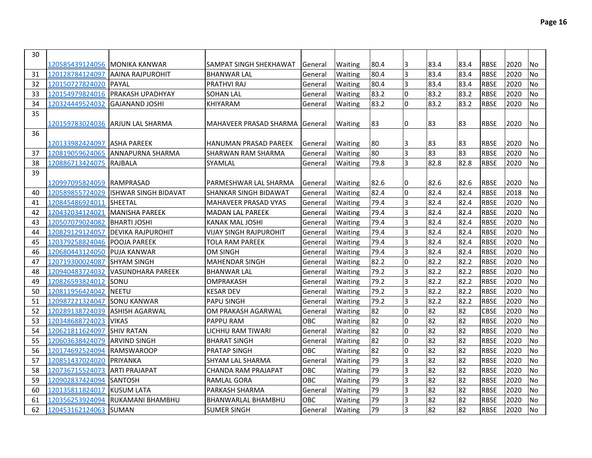| 30 |                                |                                   |                               |         |         |      |                |      |                 |             |      |                |
|----|--------------------------------|-----------------------------------|-------------------------------|---------|---------|------|----------------|------|-----------------|-------------|------|----------------|
|    | 120585439124056  MONIKA KANWAR |                                   | SAMPAT SINGH SHEKHAWAT        | General | Waiting | 80.4 | 3              | 83.4 | 83.4            | <b>RBSE</b> | 2020 | No             |
| 31 | 120128784124097                | AAINA RAJPUROHIT                  | <b>BHANWAR LAL</b>            | General | Waiting | 80.4 | 3              | 83.4 | 83.4            | <b>RBSE</b> | 2020 | No             |
| 32 | 120150727824020                | PAYAL                             | <b>PRATHVI RAJ</b>            | General | Waiting | 80.4 | 3              | 83.4 | 83.4            | RBSE        | 2020 | <b>No</b>      |
| 33 | 120154979824016                | <b>PRAKASH UPADHYAY</b>           | <b>SOHAN LAL</b>              | General | Waiting | 83.2 | <sup>o</sup>   | 83.2 | 83.2            | <b>RBSE</b> | 2020 | No             |
| 34 | 120324449524032                | IGAJANAND JOSHI                   | KHIYARAM                      | General | Waiting | 83.2 | <sup>o</sup>   | 83.2 | 83.2            | <b>RBSE</b> | 2020 | N <sub>o</sub> |
| 35 |                                |                                   |                               |         |         |      |                |      |                 |             |      |                |
|    |                                | 120159783024036  ARJUN LAL SHARMA | IMAHAVEER PRASAD SHARMA       | General | Waiting | 83   | 0              | 83   | 83              | RBSE        | 2020 | No             |
| 36 |                                |                                   |                               |         |         |      |                |      |                 |             |      |                |
|    | 120133982424097 ASHA PAREEK    |                                   | HANUMAN PRASAD PAREEK         | General | Waiting | 80   | 3              | 83   | 83              | <b>RBSE</b> | 2020 | No             |
| 37 | 120819059624065                | ANNAPURNA SHARMA                  | ISHARWAN RAM SHARMA           | General | Waiting | 80   | 3              | 83   | 83              | <b>RBSE</b> | 2020 | <b>No</b>      |
| 38 | 120886713424075                | RAJBALA                           | <b>SYAMLAL</b>                | General | Waiting | 79.8 | $\overline{3}$ | 82.8 | 82.8            | <b>RBSE</b> | 2020 | <b>No</b>      |
| 39 |                                |                                   |                               |         |         |      |                |      |                 |             |      |                |
|    | 120997095824059  RAMPRASAD     |                                   | IPARMESHWAR LAL SHARMA        | General | Waiting | 82.6 | 0              | 82.6 | 82.6            | RBSE        | 2020 | No             |
| 40 | 120589855724029                | IISHWAR SINGH BIDAVAT             | ISHANKAR SINGH BIDAWAT        | General | Waiting | 82.4 | O              | 82.4 | 82.4            | <b>RBSE</b> | 2018 | <b>No</b>      |
| 41 | 120845486924011                | <b>SHEETAL</b>                    | MAHAVEER PRASAD VYAS          | General | Waiting | 79.4 | 3              | 82.4 | 82.4            | <b>RBSE</b> | 2020 | No             |
| 42 | 120432034124021                | <b>MANISHA PAREEK</b>             | <b>MADAN LAL PAREEK</b>       | General | Waiting | 79.4 | $\overline{3}$ | 82.4 | 82.4            | <b>RBSE</b> | 2020 | No             |
| 43 | 120507079024082                | <b>BHARTI JOSHI</b>               | <b>KANAK MAL JOSHI</b>        | General | Waiting | 79.4 | $\overline{3}$ | 82.4 | 82.4            | <b>RBSE</b> | 2020 | No             |
| 44 | 120829129124057                | <b>DEVIKA RAJPUROHIT</b>          | <b>VIJAY SINGH RAJPUROHIT</b> | General | Waiting | 79.4 | $\overline{3}$ | 82.4 | 82.4            | <b>RBSE</b> | 2020 | No             |
| 45 | 120379258824046                | <b>POOJA PAREEK</b>               | TOLA RAM PAREEK               | General | Waiting | 79.4 | $\overline{3}$ | 82.4 | 82.4            | <b>RBSE</b> | 2020 | <b>No</b>      |
| 46 | 120680443124050                | <b>PUJA KANWAR</b>                | <b>OM SINGH</b>               | General | Waiting | 79.4 | $\overline{3}$ | 82.4 | 82.4            | <b>RBSE</b> | 2020 | <b>No</b>      |
| 47 | 120719300024087                | <b>SHYAM SINGH</b>                | <b>MAHENDAR SINGH</b>         | General | Waiting | 82.2 | <sup>o</sup>   | 82.2 | 82.2            | <b>RBSE</b> | 2020 | <b>No</b>      |
| 48 | 120940483724032                | VASUNDHARA PAREEK                 | <b>BHANWAR LAL</b>            | General | Waiting | 79.2 | $\overline{3}$ | 82.2 | 82.2            | <b>RBSE</b> | 2020 | <b>No</b>      |
| 49 | 120826593824012                | <b>SONU</b>                       | <b>OMPRAKASH</b>              | General | Waiting | 79.2 | $\overline{3}$ | 82.2 | 82.2            | <b>RBSE</b> | 2020 | No             |
| 50 | 120811956424042                | <b>NEETU</b>                      | <b>KESAR DEV</b>              | General | Waiting | 79.2 | $\overline{3}$ | 82.2 | 82.2            | <b>RBSE</b> | 2020 | No             |
| 51 | 120987221324047                | <b>SONU KANWAR</b>                | <b>PAPU SINGH</b>             | General | Waiting | 79.2 | $\overline{3}$ | 82.2 | 82.2            | <b>RBSE</b> | 2020 | No             |
| 52 | 120289138724039                | <b>ASHISH AGARWAL</b>             | OM PRAKASH AGARWAL            | General | Waiting | 82   | l0             | 82   | 82              | <b>CBSE</b> | 2020 | <b>No</b>      |
| 53 | 120348688724023                | <b>VIKAS</b>                      | <b>PAPPU RAM</b>              | OBC     | Waiting | 82   | l0             | 82   | 82              | <b>RBSE</b> | 2020 | <b>No</b>      |
| 54 | 120621811624097                | <b>SHIV RATAN</b>                 | LICHHU RAM TIWARI             | General | Waiting | 82   | O              | 82   | 82              | <b>RBSE</b> | 2020 | No             |
| 55 | 120603638424079                | <b>ARVIND SINGH</b>               | <b>BHARAT SINGH</b>           | General | Waiting | 82   | l0             | 82   | 82              | <b>RBSE</b> | 2020 | <b>No</b>      |
| 56 | 120174692524094                | <b>RAMSWAROOP</b>                 | <b>PRATAP SINGH</b>           | OBC     | Waiting | 82   | l0             | 82   | 82              | <b>RBSE</b> | 2020 | No             |
| 57 | 120851437024020                | <b>PRIYANKA</b>                   | SHYAM LAL SHARMA              | General | Waiting | 79   | $\overline{3}$ | 82   | 82              | <b>RBSE</b> | 2020 | No             |
| 58 | 120736715524073                | <b>ARTI PRAJAPAT</b>              | <b>CHANDA RAM PRAJAPAT</b>    | OBC     | Waiting | 79   | $\overline{3}$ | 82   | 82              | <b>RBSE</b> | 2020 | No             |
| 59 | 120902837424094                | <b>SANTOSH</b>                    | <b>RAMLAL GORA</b>            | OBC     | Waiting | 79   | $\overline{3}$ | 82   | 82              | <b>RBSE</b> | 2020 | No             |
| 60 | 120135811824017                | <b>KUSUM LATA</b>                 | <b>PARKASH SHARMA</b>         | General | Waiting | 79   | $\overline{3}$ | 82   | 82              | <b>RBSE</b> | 2020 | No             |
| 61 | 120356253924094                | RUKAMANI BHAMBHU                  | <b>BHANWARLAL BHAMBHU</b>     | OBC     | Waiting | 79   | 3              | 82   | 82              | <b>RBSE</b> | 2020 | No             |
| 62 | 120453162124063                | <b>SUMAN</b>                      | <b>SUMER SINGH</b>            | General | Waiting | 79   | $\overline{3}$ | 82   | $\overline{82}$ | <b>RBSE</b> | 2020 | <b>No</b>      |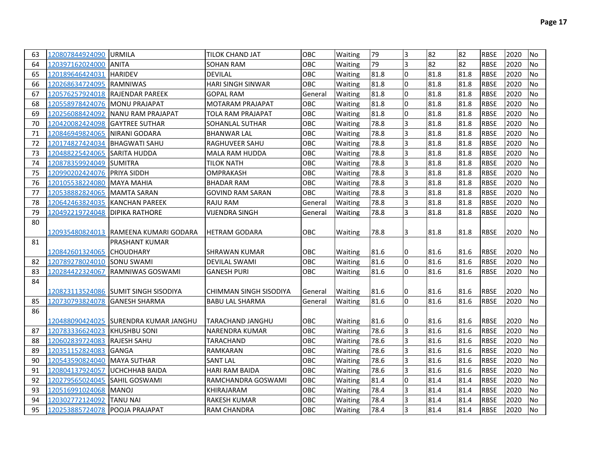| 63 | 120807844924090 URMILA           |                                        | <b>TILOK CHAND JAT</b>  | <b>OBC</b> | <b>Waiting</b> | 79   | 3              | 82   | 82   | <b>RBSE</b> | 2020 | No             |
|----|----------------------------------|----------------------------------------|-------------------------|------------|----------------|------|----------------|------|------|-------------|------|----------------|
| 64 | 120397162024000                  | <b>ANITA</b>                           | <b>SOHAN RAM</b>        | <b>OBC</b> | Waiting        | 79   | 3              | 82   | 82   | <b>RBSE</b> | 2020 | No             |
| 65 | 120189646424031                  | <b>HARIDEV</b>                         | <b>DEVILAL</b>          | <b>OBC</b> | Waiting        | 81.8 | l0             | 81.8 | 81.8 | <b>RBSE</b> | 2020 | No             |
| 66 | 120268634724095 RAMNIWAS         |                                        | HARI SINGH SINWAR       | <b>OBC</b> | Waiting        | 81.8 | I٥             | 81.8 | 81.8 | <b>RBSE</b> | 2020 | No             |
| 67 | 120576257924018 RAJENDAR PAREEK  |                                        | <b>GOPAL RAM</b>        | General    | Waiting        | 81.8 | I٥             | 81.8 | 81.8 | <b>RBSE</b> | 2020 | No             |
| 68 | 120558978424076 MONU PRAJAPAT    |                                        | <b>MOTARAM PRAJAPAT</b> | <b>OBC</b> | Waiting        | 81.8 | I٥             | 81.8 | 81.8 | <b>RBSE</b> | 2020 | <b>No</b>      |
| 69 | 120256088424092                  | <b>INANU RAM PRAJAPAT</b>              | TOLA RAM PRAJAPAT       | <b>OBC</b> | Waiting        | 81.8 | l0             | 81.8 | 81.8 | <b>RBSE</b> | 2020 | No             |
| 70 | 120420082424098                  | <b>IGAYTREE SUTHAR</b>                 | SOHANLAL SUTHAR         | OBC        | Waiting        | 78.8 | $\overline{3}$ | 81.8 | 81.8 | <b>RBSE</b> | 2020 | No             |
| 71 | 120846949824065                  | NIRANI GODARA                          | <b>BHANWAR LAL</b>      | OBC        | Waiting        | 78.8 | $\overline{3}$ | 81.8 | 81.8 | <b>RBSE</b> | 2020 | <b>No</b>      |
| 72 | 120174827424034                  | <b>BHAGWATI SAHU</b>                   | RAGHUVEER SAHU          | OBC        | Waiting        | 78.8 | 3              | 81.8 | 81.8 | <b>RBSE</b> | 2020 | <b>No</b>      |
| 73 | 120488225424065                  | <b>SARITA HUDDA</b>                    | MALA RAM HUDDA          | OBC        | Waiting        | 78.8 | 3              | 81.8 | 81.8 | <b>RBSE</b> | 2020 | No             |
| 74 | 120878359924049                  | <b>ISUMITRA</b>                        | <b>TILOK NATH</b>       | OBC        | Waiting        | 78.8 | 3              | 81.8 | 81.8 | <b>RBSE</b> | 2020 | No             |
| 75 | 120990202424076 PRIYA SIDDH      |                                        | <b>OMPRAKASH</b>        | <b>OBC</b> | Waiting        | 78.8 | $\overline{3}$ | 81.8 | 81.8 | <b>RBSE</b> | 2020 | No             |
| 76 | 120105538224080                  | IMAYA MAHIA                            | <b>BHADAR RAM</b>       | <b>OBC</b> | Waiting        | 78.8 | $\overline{3}$ | 81.8 | 81.8 | <b>RBSE</b> | 2020 | No             |
| 77 | 120538882824065                  | <b>MAMTA SARAN</b>                     | <b>GOVIND RAM SARAN</b> | OBC        | Waiting        | 78.8 | l3             | 81.8 | 81.8 | <b>RBSE</b> | 2020 | No             |
| 78 | 120642463824035                  | KANCHAN PAREEK                         | RAJU RAM                | General    | Waiting        | 78.8 | 3              | 81.8 | 81.8 | <b>RBSE</b> | 2020 | <b>No</b>      |
| 79 | 120492219724048   DIPIKA RATHORE |                                        | <b>VIJENDRA SINGH</b>   | General    | Waiting        | 78.8 | l3             | 81.8 | 81.8 | <b>RBSE</b> | 2020 | <b>No</b>      |
| 80 |                                  |                                        |                         |            |                |      |                |      |      |             |      |                |
|    |                                  | 120935480824013  RAMEENA KUMARI GODARA | <b>IHETRAM GODARA</b>   | <b>OBC</b> | Waiting        | 78.8 | I3             | 81.8 | 81.8 | <b>RBSE</b> | 2020 | No             |
| 81 |                                  | <b>PRASHANT KUMAR</b>                  |                         |            |                |      |                |      |      |             |      |                |
|    | 120842601324065 CHOUDHARY        |                                        | SHRAWAN KUMAR           | <b>OBC</b> | Waiting        | 81.6 | 10             | 81.6 | 81.6 | <b>RBSE</b> | 2020 | No.            |
| 82 | 120789278024010                  | <b>SONU SWAMI</b>                      | <b>DEVILAL SWAMI</b>    | <b>OBC</b> | Waiting        | 81.6 | lo             | 81.6 | 81.6 | <b>RBSE</b> | 2020 | <b>No</b>      |
| 83 | 120284422324067                  | <b>IRAMNIWAS GOSWAMI</b>               | <b>GANESH PURI</b>      | OBC        | Waiting        | 81.6 | I٥             | 81.6 | 81.6 | <b>RBSE</b> | 2020 | No             |
| 84 |                                  |                                        |                         |            |                |      |                |      |      |             |      |                |
|    |                                  | 120823113524086 SUMIT SINGH SISODIYA   | CHIMMAN SINGH SISODIYA  | General    | <b>Waiting</b> | 81.6 | 10             | 81.6 | 81.6 | <b>RBSE</b> | 2020 | No             |
| 85 | 120730793824078 GANESH SHARMA    |                                        | <b>BABU LAL SHARMA</b>  | General    | Waiting        | 81.6 | I٥             | 81.6 | 81.6 | <b>RBSE</b> | 2020 | No             |
| 86 |                                  |                                        |                         |            |                |      |                |      |      |             |      |                |
|    |                                  | 120488090424025 SURENDRA KUMAR JANGHU  | <b>TARACHAND JANGHU</b> | <b>OBC</b> | Waiting        | 81.6 | 0              | 81.6 | 81.6 | <b>RBSE</b> | 2020 | No             |
| 87 | 120783336624023 KHUSHBU SONI     |                                        | <b>NARENDRA KUMAR</b>   | OBC        | Waiting        | 78.6 | l3             | 81.6 | 81.6 | <b>RBSE</b> | 2020 | <b>No</b>      |
| 88 | 120602839724083                  | <b>RAJESH SAHU</b>                     | <b>TARACHAND</b>        | OBC        | Waiting        | 78.6 | l3             | 81.6 | 81.6 | <b>RBSE</b> | 2020 | <b>No</b>      |
| 89 | 120351152824083                  | IGANGA                                 | RAMKARAN                | OBC        | Waiting        | 78.6 | l3             | 81.6 | 81.6 | <b>RBSE</b> | 2020 | No             |
| 90 | 120543590824040                  | <b>MAYA SUTHAR</b>                     | <b>SANT LAL</b>         | OBC        | Waiting        | 78.6 | 3              | 81.6 | 81.6 | <b>RBSE</b> | 2020 | <b>No</b>      |
| 91 | 120804137924057                  | <b>UCHCHHAB BAIDA</b>                  | <b>HARI RAM BAIDA</b>   | OBC        | Waiting        | 78.6 | 3              | 81.6 | 81.6 | <b>RBSE</b> | 2020 | <b>No</b>      |
| 92 | 120279565024045                  | SAHIL GOSWAMI                          | RAMCHANDRA GOSWAMI      | OBC        | Waiting        | 81.4 | l0             | 81.4 | 81.4 | <b>RBSE</b> | 2020 | <b>No</b>      |
| 93 | 120516991024068                  | <b>MANOJ</b>                           | KHIRAJARAM              | <b>OBC</b> | Waiting        | 78.4 | l3             | 81.4 | 81.4 | <b>RBSE</b> | 2020 | No             |
| 94 | 120302772124092                  | <b>TANU NAI</b>                        | <b>RAKESH KUMAR</b>     | <b>OBC</b> | Waiting        | 78.4 | 3              | 81.4 | 81.4 | <b>RBSE</b> | 2020 | No             |
| 95 | 120253885724078 POOJA PRAJAPAT   |                                        | RAM CHANDRA             | <b>OBC</b> | Waiting        | 78.4 | l3             | 81.4 | 81.4 | <b>RBSE</b> | 2020 | N <sub>o</sub> |
|    |                                  |                                        |                         |            |                |      |                |      |      |             |      |                |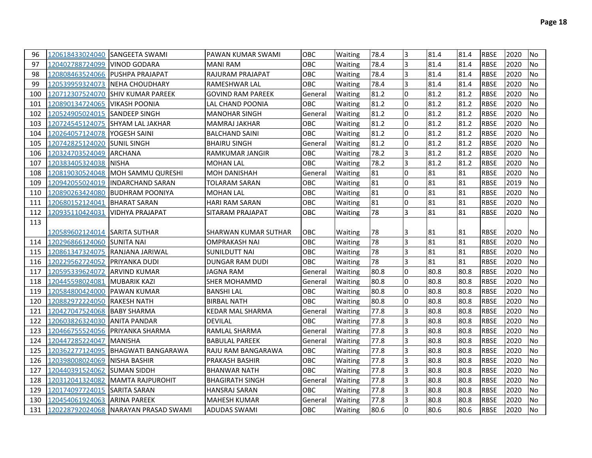| 96  | 120618433024040 SANGEETA SWAMI |                                      | [PAWAN KUMAR SWAMI       | <b>OBC</b> | Waiting        | 78.4 | 3  | 81.4 | 81.4 | <b>RBSE</b> | 2020 | No        |
|-----|--------------------------------|--------------------------------------|--------------------------|------------|----------------|------|----|------|------|-------------|------|-----------|
| 97  | 120402788724099                | <b>IVINOD GODARA</b>                 | <b>MANI RAM</b>          | OBC        | Waiting        | 78.4 | 3  | 81.4 | 81.4 | <b>RBSE</b> | 2020 | No        |
| 98  |                                | 120808463524066 PUSHPA PRAJAPAT      | RAJURAM PRAJAPAT         | OBC        | Waiting        | 78.4 | 3  | 81.4 | 81.4 | <b>RBSE</b> | 2020 | <b>No</b> |
| 99  |                                | 120539959324073 NEHA CHOUDHARY       | RAMESHWAR LAL            | OBC        | Waiting        | 78.4 | 3  | 81.4 | 81.4 | <b>RBSE</b> | 2020 | No        |
| 100 |                                | 120712307524070 SHIV KUMAR PAREEK    | <b>GOVIND RAM PAREEK</b> | General    | Waiting        | 81.2 | 0  | 81.2 | 81.2 | <b>RBSE</b> | 2020 | No        |
| 101 | 120890134724065                | <b>VIKASH POONIA</b>                 | LAL CHAND POONIA         | OBC        | Waiting        | 81.2 | 0  | 81.2 | 81.2 | <b>RBSE</b> | 2020 | No        |
| 102 | 120524905024015 SANDEEP SINGH  |                                      | <b>MANOHAR SINGH</b>     | General    | Waiting        | 81.2 | l0 | 81.2 | 81.2 | <b>RBSE</b> | 2020 | <b>No</b> |
| 103 |                                | 120724545124075 SHYAM LAL JAKHAR     | MAMRAJ JAKHAR            | OBC        | Waiting        | 81.2 | l0 | 81.2 | 81.2 | <b>RBSE</b> | 2020 | No        |
| 104 | 120264057124078   YOGESH SAINI |                                      | <b>BALCHAND SAINI</b>    | OBC        | Waiting        | 81.2 | l0 | 81.2 | 81.2 | <b>RBSE</b> | 2020 | <b>No</b> |
| 105 | 120742825124020 SUNIL SINGH    |                                      | <b>BHAIRU SINGH</b>      | General    | <b>Waiting</b> | 81.2 | l0 | 81.2 | 81.2 | <b>RBSE</b> | 2020 | <b>No</b> |
| 106 | 120324703524049 ARCHANA        |                                      | <b>RAMKUMAR JANGIR</b>   | <b>OBC</b> | Waiting        | 78.2 | 3  | 81.2 | 81.2 | <b>RBSE</b> | 2020 | <b>No</b> |
| 107 | 120383405324038 NISHA          |                                      | <b>MOHAN LAL</b>         | OBC        | Waiting        | 78.2 | l3 | 81.2 | 81.2 | <b>RBSE</b> | 2020 | No        |
| 108 |                                | 120819030524048  MOH SAMMU QURESHI   | <b>MOH DANISHAH</b>      | General    | Waiting        | 81   | l0 | 81   | 81   | <b>RBSE</b> | 2020 | <b>No</b> |
| 109 |                                | 120942055024019  INDARCHAND SARAN    | TOLARAM SARAN            | <b>OBC</b> | Waiting        | 81   | I٥ | 81   | 81   | <b>RBSE</b> | 2019 | <b>No</b> |
| 110 |                                | 120890263424080 BUDHRAM POONIYA      | <b>MOHAN LAL</b>         | OBC        | Waiting        | 81   | l0 | 81   | 81   | <b>RBSE</b> | 2020 | <b>No</b> |
| 111 | 120680152124041                | <b>BHARAT SARAN</b>                  | <b>HARI RAM SARAN</b>    | OBC        | Waiting        | 81   | l0 | 81   | 81   | <b>RBSE</b> | 2020 | <b>No</b> |
| 112 | 120935110424031                | <b>VIDHYA PRAJAPAT</b>               | SITARAM PRAJAPAT         | OBC        | Waiting        | 78   | l3 | 81   | 81   | <b>RBSE</b> | 2020 | No        |
| 113 |                                |                                      |                          |            |                |      |    |      |      |             |      |           |
|     | 120589602124014  SARITA SUTHAR |                                      | SHARWAN KUMAR SUTHAR     | <b>OBC</b> | Waiting        | 78   | ıз | 81   | 81   | <b>RBSE</b> | 2020 | No        |
| 114 | 120296866124060 SUNITA NAI     |                                      | <b>OMPRAKASH NAI</b>     | OBC        | Waiting        | 78   | l3 | 81   | 81   | <b>RBSE</b> | 2020 | <b>No</b> |
| 115 |                                | 120861347324075  RANJANA JARIWAL     | SUNILDUTT NAI            | OBC        | Waiting        | 78   | l3 | 81   | 81   | <b>RBSE</b> | 2020 | <b>No</b> |
| 116 | 120229562724052 PRIYANKA DUDI  |                                      | DUNGAR RAM DUDI          | OBC        | Waiting        | 78   | l3 | 81   | 81   | <b>RBSE</b> | 2020 | <b>No</b> |
| 117 | 120595339624072  ARVIND KUMAR  |                                      | JAGNA RAM                | General    | Waiting        | 80.8 | 0  | 80.8 | 80.8 | <b>RBSE</b> | 2020 | <b>No</b> |
| 118 | 120445598024081 MUBARIK KAZI   |                                      | <b>SHER MOHAMMD</b>      | General    | <b>Waiting</b> | 80.8 | 0  | 80.8 | 80.8 | <b>RBSE</b> | 2020 | <b>No</b> |
| 119 | 120584800424000 PAWAN KUMAR    |                                      | <b>BANSHI LAL</b>        | <b>OBC</b> | Waiting        | 80.8 | 0  | 80.8 | 80.8 | <b>RBSE</b> | 2020 | <b>No</b> |
| 120 | 120882972224050 RAKESH NATH    |                                      | <b>BIRBAL NATH</b>       | <b>OBC</b> | Waiting        | 80.8 | 0  | 80.8 | 80.8 | <b>RBSE</b> | 2020 | <b>No</b> |
| 121 | 120427047524068 BABY SHARMA    |                                      | <b>KEDAR MAL SHARMA</b>  | General    | Waiting        | 77.8 | 3  | 80.8 | 80.8 | <b>RBSE</b> | 2020 | <b>No</b> |
| 122 | 120603826324030 ANITA PANDAR   |                                      | <b>DEVILAL</b>           | OBC        | Waiting        | 77.8 | 3  | 80.8 | 80.8 | <b>RBSE</b> | 2020 | <b>No</b> |
| 123 |                                | 120466755524056 PRIYANKA SHARMA      | RAMLAL SHARMA            | General    | Waiting        | 77.8 | 3  | 80.8 | 80.8 | <b>RBSE</b> | 2020 | <b>No</b> |
| 124 | 120447285224047 MANISHA        |                                      | <b>BABULAL PAREEK</b>    | General    | Waiting        | 77.8 | l3 | 80.8 | 80.8 | <b>RBSE</b> | 2020 | <b>No</b> |
| 125 |                                | 120362277124095  BHAGWATI BANGARAWA  | RAJU RAM BANGARAWA       | OBC        | Waiting        | 77.8 | l3 | 80.8 | 80.8 | <b>RBSE</b> | 2020 | <b>No</b> |
| 126 | 120398008024069 NISHA BASHIR   |                                      | PRAKASH BASHIR           | OBC        | Waiting        | 77.8 | l3 | 80.8 | 80.8 | <b>RBSE</b> | 2020 | <b>No</b> |
| 127 | 120440391524062 SUMAN SIDDH    |                                      | <b>BHANWAR NATH</b>      | OBC        | Waiting        | 77.8 | l3 | 80.8 | 80.8 | <b>RBSE</b> | 2020 | <b>No</b> |
| 128 |                                | 120312041324082  MAMTA RAJPUROHIT    | <b>BHAGIRATH SINGH</b>   | General    | Waiting        | 77.8 | l3 | 80.8 | 80.8 | <b>RBSE</b> | 2020 | <b>No</b> |
| 129 | 120174097724015 SARITA SARAN   |                                      | <b>HANSRAJ SARAN</b>     | OBC.       | Waiting        | 77.8 | l3 | 80.8 | 80.8 | <b>RBSE</b> | 2020 | <b>No</b> |
| 130 | 120454061924063 ARINA PAREEK   |                                      | <b>MAHESH KUMAR</b>      | General    | <b>Waiting</b> | 77.8 | l3 | 80.8 | 80.8 | <b>RBSE</b> | 2020 | <b>No</b> |
| 131 |                                | 120228792024068 NARAYAN PRASAD SWAMI | <b>ADUDAS SWAMI</b>      | OBC.       | <b>Waiting</b> | 80.6 | 0  | 80.6 | 80.6 | <b>RBSE</b> | 2020 | No.       |
|     |                                |                                      |                          |            |                |      |    |      |      |             |      |           |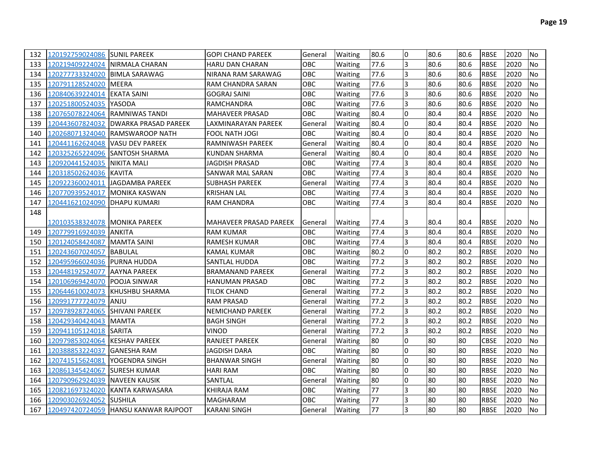| 132 | 120192759024086 SUNIL PAREEK    |                                      | <b>GOPI CHAND PAREEK</b> | General    | Waiting        | 80.6 | l0             | 80.6 | 80.6 | <b>RBSE</b> | 2020 | No             |
|-----|---------------------------------|--------------------------------------|--------------------------|------------|----------------|------|----------------|------|------|-------------|------|----------------|
| 133 |                                 | 120219409224024 INIRMALA CHARAN      | <b>HARU DAN CHARAN</b>   | OBC        | Waiting        | 77.6 | 3              | 80.6 | 80.6 | <b>RBSE</b> | 2020 | <b>No</b>      |
| 134 | 120277733324020   BIMLA SARAWAG |                                      | NIRANA RAM SARAWAG       | OBC        | Waiting        | 77.6 | 3              | 80.6 | 80.6 | <b>RBSE</b> | 2020 | <b>No</b>      |
| 135 | 120791128524020 MEERA           |                                      | RAM CHANDRA SARAN        | OBC        | Waiting        | 77.6 | $\overline{3}$ | 80.6 | 80.6 | <b>RBSE</b> | 2020 | <b>No</b>      |
| 136 | 120840639224014 lEKATA SAINI    |                                      | <b>GOGRAJ SAINI</b>      | OBC        | Waiting        | 77.6 | 3              | 80.6 | 80.6 | <b>RBSE</b> | 2020 | No             |
| 137 |                                 |                                      | RAMCHANDRA               | OBC        | Waiting        | 77.6 | 3              | 80.6 | 80.6 | <b>RBSE</b> | 2020 | <b>No</b>      |
| 138 |                                 | 120765078224064  RAMNIWAS TANDI      | <b>MAHAVEER PRASAD</b>   | OBC        | Waiting        | 80.4 | l0             | 80.4 | 80.4 | <b>RBSE</b> | 2020 | <b>No</b>      |
| 139 | 120443607824032                 | <b>IDWARKA PRASAD PAREEK</b>         | LAXMINARAYAN PAREEK      | General    | Waiting        | 80.4 | 0              | 80.4 | 80.4 | <b>RBSE</b> | 2020 | <b>No</b>      |
| 140 |                                 | 120268071324040 RAMSWAROOP NATH      | FOOL NATH JOGI           | OBC        | Waiting        | 80.4 | 0              | 80.4 | 80.4 | <b>RBSE</b> | 2020 | No             |
| 141 |                                 | 120441162624048   VASU DEV PAREEK    | RAMNIWASH PAREEK         | General    | Waiting        | 80.4 | I٥             | 80.4 | 80.4 | <b>RBSE</b> | 2020 | No             |
| 142 |                                 |                                      | KUNDAN SHARMA            | General    | Waiting        | 80.4 | I٥             | 80.4 | 80.4 | <b>RBSE</b> | 2020 | No             |
| 143 | 120920441524035   NIKITA MALI   |                                      | JAGDISH PRASAD           | OBC        | Waiting        | 77.4 | 3              | 80.4 | 80.4 | <b>RBSE</b> | 2020 | No             |
| 144 | 120318502624036 KAVITA          |                                      | SANWAR MAL SARAN         | OBC        | Waiting        | 77.4 | 3              | 80.4 | 80.4 | <b>RBSE</b> | 2020 | No             |
| 145 |                                 | 120922360024011  JAGDAMBA PAREEK     | <b>SUBHASH PAREEK</b>    | General    | Waiting        | 77.4 | 3              | 80.4 | 80.4 | <b>RBSE</b> | 2020 | No             |
| 146 | 120770939524017 MONIKA KASWAN   |                                      | <b>KRISHAN LAL</b>       | OBC        | Waiting        | 77.4 | l3             | 80.4 | 80.4 | <b>RBSE</b> | 2020 | No             |
| 147 | 120441621024090  DHAPU KUMARI   |                                      | RAM CHANDRA              | <b>OBC</b> | Waiting        | 77.4 | l3             | 80.4 | 80.4 | <b>RBSE</b> | 2020 | No             |
| 148 |                                 |                                      |                          |            |                |      |                |      |      |             |      |                |
|     | 120103538324078  MONIKA PAREEK  |                                      | MAHAVEER PRASAD PAREEK   | General    | Waiting        | 77.4 | I3             | 80.4 | 80.4 | <b>RBSE</b> | 2020 | No             |
| 149 | 120779916924039 ANKITA          |                                      | <b>RAM KUMAR</b>         | OBC        | Waiting        | 77.4 | 3              | 80.4 | 80.4 | <b>RBSE</b> | 2020 | No             |
| 150 | 120124058424087 MAMTA SAINI     |                                      | <b>RAMESH KUMAR</b>      | OBC        | Waiting        | 77.4 | l3             | 80.4 | 80.4 | <b>RBSE</b> | 2020 | No             |
| 151 | 120243607024057 BABULAL         |                                      | KAMAL KUMAR              | OBC        | Waiting        | 80.2 | l0             | 80.2 | 80.2 | <b>RBSE</b> | 2020 | No             |
| 152 | 120495966024036 PURNA HUDDA     |                                      | SANTLAL HUDDA            | OBC        | Waiting        | 77.2 | l3             | 80.2 | 80.2 | <b>RBSE</b> | 2020 | No             |
| 153 | 120448192524077 AAYNA PAREEK    |                                      | <b>BRAMANAND PAREEK</b>  | General    | Waiting        | 77.2 | 3              | 80.2 | 80.2 | <b>RBSE</b> | 2020 | No             |
| 154 | 120106969424070  POOJA SINWAR   |                                      | <b>HANUMAN PRASAD</b>    | OBC        | Waiting        | 77.2 | 3              | 80.2 | 80.2 | <b>RBSE</b> | 2020 | No             |
| 155 |                                 | 120644610024073 KHUSHBU SHARMA       | TILOK CHAND              | General    | Waiting        | 77.2 | l3             | 80.2 | 80.2 | <b>RBSE</b> | 2020 | No             |
| 156 | 120991777724079  ANJU           |                                      | <b>RAM PRASAD</b>        | General    | Waiting        | 77.2 | l3             | 80.2 | 80.2 | <b>RBSE</b> | 2020 | No             |
| 157 | 120978928724065 SHIVANI PAREEK  |                                      | <b>NEMICHAND PAREEK</b>  | General    | <b>Waiting</b> | 77.2 | l3             | 80.2 | 80.2 | <b>RBSE</b> | 2020 | <b>No</b>      |
| 158 | 120429340424043  MAMTA          |                                      | <b>BAGH SINGH</b>        | General    | Waiting        | 77.2 | l3             | 80.2 | 80.2 | <b>RBSE</b> | 2020 | No             |
| 159 | 120941105124018  SARITA         |                                      | VINOD                    | General    | Waiting        | 77.2 | 3              | 80.2 | 80.2 | <b>RBSE</b> | 2020 | <b>No</b>      |
| 160 | 120979853024064 KESHAV PAREEK   |                                      | RANJEET PAREEK           | General    | Waiting        | 80   | l0             | 80   | 80   | <b>CBSE</b> | 2020 | No             |
| 161 | 120388853224037  GANESHA RAM    |                                      | JAGDISH DARA             | OBC        | Waiting        | 80   | l0             | 80   | 80   | <b>RBSE</b> | 2020 | No             |
| 162 | 120741515624081 YOGENDRA SINGH  |                                      | <b>BHANWAR SINGH</b>     | General    | Waiting        | 80   | I٥             | 80   | 80   | <b>RBSE</b> | 2020 | No             |
| 163 | 120861345424067 SURESH KUMAR    |                                      | <b>HARI RAM</b>          | OBC        | Waiting        | 80   | I٥             | 80   | 80   | <b>RBSE</b> | 2020 | No             |
| 164 | 120790962924039 NAVEEN KAUSIK   |                                      | SANTLAL                  | General    | Waiting        | 80   | 0              | 80   | 80   | <b>RBSE</b> | 2020 | No             |
| 165 |                                 | 120821697324020  KANTA KARWASARA     | KHIRAJA RAM              | OBC        | Waiting        | 77   | l3             | 80   | 80   | <b>RBSE</b> | 2020 | <b>No</b>      |
| 166 | 120903026924052 SUSHILA         |                                      | <b>MAGHARAM</b>          | OBC        | Waiting        | 77   | 3              | 80   | 80   | <b>RBSE</b> | 2020 | <b>No</b>      |
| 167 |                                 | 120497420724059 HANSU KANWAR RAJPOOT | <b>KARANI SINGH</b>      | General    | Waiting        | 77   | l3             | 80   | 80   | <b>RBSE</b> | 2020 | N <sub>o</sub> |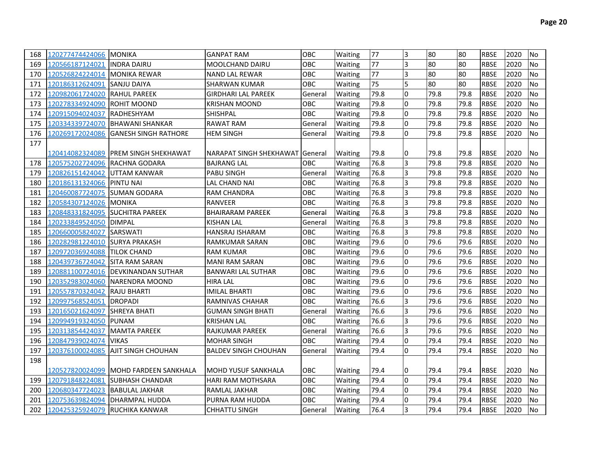| 168 | 120277474424066 MONIKA          |                                               | <b>GANPAT RAM</b>                 | <b>OBC</b> | Waiting        | 77   | 3                       | 80   | 80   | <b>RBSE</b> | 2020 | <b>No</b> |
|-----|---------------------------------|-----------------------------------------------|-----------------------------------|------------|----------------|------|-------------------------|------|------|-------------|------|-----------|
| 169 | 120566187124021 INDRA DAIRU     |                                               | <b>MOOLCHAND DAIRU</b>            | <b>OBC</b> | Waiting        | 77   | $\overline{\mathbf{3}}$ | 80   | 80   | <b>RBSE</b> | 2020 | <b>No</b> |
| 170 | 120526824224014 MONIKA REWAR    |                                               | <b>NAND LAL REWAR</b>             | <b>OBC</b> | Waiting        | 77   | $\overline{\mathbf{3}}$ | 80   | 80   | <b>RBSE</b> | 2020 | <b>No</b> |
| 171 | 120186312624091 SANJU DAIYA     |                                               | SHARWAN KUMAR                     | <b>OBC</b> | Waiting        | 75   | 5                       | 80   | 80   | <b>RBSE</b> | 2020 | <b>No</b> |
| 172 | 120982061724020 RAHUL PAREEK    |                                               | <b>GIRDHARI LAL PAREEK</b>        | General    | Waiting        | 79.8 | $\overline{0}$          | 79.8 | 79.8 | <b>RBSE</b> | 2020 | <b>No</b> |
| 173 | 120278334924090 ROHIT MOOND     |                                               | <b>KRISHAN MOOND</b>              | ОВС        | Waiting        | 79.8 | l0                      | 79.8 | 79.8 | <b>RBSE</b> | 2020 | No        |
| 174 | 120915094024037                 | <b>RADHESHYAM</b>                             | <b>SHISHPAL</b>                   | OBC        | Waiting        | 79.8 | l0                      | 79.8 | 79.8 | <b>RBSE</b> | 2020 | <b>No</b> |
| 175 |                                 | 120334339724070 BHAWANI SHANKAR               | RAWAT RAM                         | General    | Waiting        | 79.8 | <sup>0</sup>            | 79.8 | 79.8 | <b>RBSE</b> | 2020 | <b>No</b> |
| 176 |                                 | 120269172024086 GANESH SINGH RATHORE          | <b>HEM SINGH</b>                  | General    | Waiting        | 79.8 | l0                      | 79.8 | 79.8 | <b>RBSE</b> | 2020 | <b>No</b> |
| 177 |                                 |                                               |                                   |            |                |      |                         |      |      |             |      |           |
|     |                                 | 12041408232408 <b>9  PREM SINGH SHEKHAWAT</b> | NARAPAT SINGH SHEKHAWAT   General |            | <b>Waiting</b> | 79.8 | 10                      | 79.8 | 79.8 | IRBSE       | 2020 | lNo       |
| 178 | 120575202724096 RACHNA GODARA   |                                               | <b>BAJRANG LAL</b>                | OBC.       | Waiting        | 76.8 | $\overline{3}$          | 79.8 | 79.8 | <b>RBSE</b> | 2020 | <b>No</b> |
| 179 | 120826151424042 UTTAM KANWAR    |                                               | <b>PABU SINGH</b>                 | General    | Waiting        | 76.8 | 3                       | 79.8 | 79.8 | <b>RBSE</b> | 2020 | <b>No</b> |
| 180 | 120186131324066 PINTU NAI       |                                               | LAL CHAND NAI                     | OBC.       | Waiting        | 76.8 | 3                       | 79.8 | 79.8 | <b>RBSE</b> | 2020 | <b>No</b> |
| 181 | 120460087724075 SUMAN GODARA    |                                               | <b>RAM CHANDRA</b>                | OBC        | Waiting        | 76.8 | 3                       | 79.8 | 79.8 | <b>RBSE</b> | 2020 | <b>No</b> |
| 182 | 120584307124026 MONIKA          |                                               | <b>RANVEER</b>                    | <b>OBC</b> | Waiting        | 76.8 | 3                       | 79.8 | 79.8 | <b>RBSE</b> | 2020 | <b>No</b> |
| 183 | 120848331824095 SUCHITRA PAREEK |                                               | <b>BHAIRARAM PAREEK</b>           | General    | Waiting        | 76.8 | 3                       | 79.8 | 79.8 | <b>RBSE</b> | 2020 | No        |
| 184 | 120233849524050 DIMPAL          |                                               | KISHAN LAL                        | General    | Waiting        | 76.8 | 3                       | 79.8 | 79.8 | <b>RBSE</b> | 2020 | <b>No</b> |
| 185 | 120660005824027                 | <b>SARSWATI</b>                               | HANSRAJ ISHARAM                   | ОВС        | Waiting        | 76.8 | 3                       | 79.8 | 79.8 | <b>RBSE</b> | 2020 | <b>No</b> |
| 186 | 120282981224010 SURYA PRAKASH   |                                               | RAMKUMAR SARAN                    | OBC.       | Waiting        | 79.6 | $\overline{0}$          | 79.6 | 79.6 | <b>RBSE</b> | 2020 | <b>No</b> |
| 187 | 120972036924088 TILOK CHAND     |                                               | <b>RAM KUMAR</b>                  | OBC        | Waiting        | 79.6 | l0                      | 79.6 | 79.6 | <b>RBSE</b> | 2020 | <b>No</b> |
| 188 | 120439736724042                 | <b>SITA RAM SARAN</b>                         | <b>MANI RAM SARAN</b>             | ОВС        | Waiting        | 79.6 | $\overline{0}$          | 79.6 | 79.6 | <b>RBSE</b> | 2020 | <b>No</b> |
| 189 |                                 | 120881100724016   DEVKINANDAN SUTHAR          | <b>BANWARI LAL SUTHAR</b>         | OBC        | Waiting        | 79.6 | $\overline{0}$          | 79.6 | 79.6 | <b>RBSE</b> | 2020 | <b>No</b> |
| 190 |                                 | 120352983024060 NARENDRA MOOND                | <b>HIRA LAL</b>                   | <b>OBC</b> | Waiting        | 79.6 | $\overline{0}$          | 79.6 | 79.6 | <b>RBSE</b> | 2020 | <b>No</b> |
| 191 | 120557870324042                 | <b>RAJU BHARTI</b>                            | <b>IMILAL BHARTI</b>              | ОВС        | Waiting        | 79.6 | $\overline{0}$          | 79.6 | 79.6 | <b>RBSE</b> | 2020 | <b>No</b> |
| 192 | 120997568524051                 | <b>DROPADI</b>                                | RAMNIVAS CHAHAR                   | ОВС        | Waiting        | 76.6 | 3                       | 79.6 | 79.6 | <b>RBSE</b> | 2020 | No        |
| 193 | 120165021624097                 | <b>SHREYA BHATI</b>                           | <b>GUMAN SINGH BHATI</b>          | General    | Waiting        | 76.6 | 3                       | 79.6 | 79.6 | <b>RBSE</b> | 2020 | <b>No</b> |
| 194 | 120994919324050 PUNAM           |                                               | <b>KRISHAN LAL</b>                | <b>OBC</b> | Waiting        | 76.6 | 3                       | 79.6 | 79.6 | <b>RBSE</b> | 2020 | <b>No</b> |
| 195 | 120313854424037                 | <b>MAMTA PAREEK</b>                           | RAJKUMAR PAREEK                   | General    | Waiting        | 76.6 | 3                       | 79.6 | 79.6 | <b>RBSE</b> | 2020 | <b>No</b> |
| 196 | 120847939024074                 | <b>VIKAS</b>                                  | <b>MOHAR SINGH</b>                | <b>OBC</b> | Waiting        | 79.4 | $\overline{0}$          | 79.4 | 79.4 | <b>RBSE</b> | 2020 | <b>No</b> |
| 197 |                                 | 120376100024085 AJIT SINGH CHOUHAN            | <b>BALDEV SINGH CHOUHAN</b>       | General    | Waiting        | 79.4 | <sup>0</sup>            | 79.4 | 79.4 | <b>RBSE</b> | 2020 | <b>No</b> |
| 198 |                                 |                                               |                                   |            |                |      |                         |      |      |             |      |           |
|     |                                 | 120527820024099  MOHD FARDEEN SANKHALA        | IMOHD YUSUF SANKHALA              | ОВС        | Waiting        | 79.4 | 0                       | 79.4 | 79.4 | <b>RBSE</b> | 2020 | lNo.      |
| 199 |                                 | 120791848224081 SUBHASH CHANDAR               | <b>HARI RAM MOTHSARA</b>          | ОВС        | Waiting        | 79.4 | <sup>0</sup>            | 79.4 | 79.4 | <b>RBSE</b> | 2020 | No        |
| 200 | 120680347724023 BABULAL JAKHAR  |                                               | RAMLAL JAKHAR                     | OBC.       | Waiting        | 79.4 | $\overline{0}$          | 79.4 | 79.4 | <b>RBSE</b> | 2020 | <b>No</b> |
| 201 | 120753639824094                 | <b>DHARMPAL HUDDA</b>                         | PURNA RAM HUDDA                   | <b>OBC</b> | Waiting        | 79.4 | $\overline{0}$          | 79.4 | 79.4 | <b>RBSE</b> | 2020 | <b>No</b> |
| 202 | 120425325924079 RUCHIKA KANWAR  |                                               | <b>CHHATTU SINGH</b>              | General    | Waiting        | 76.4 | $\overline{3}$          | 79.4 | 79.4 | <b>RBSE</b> | 2020 | <b>No</b> |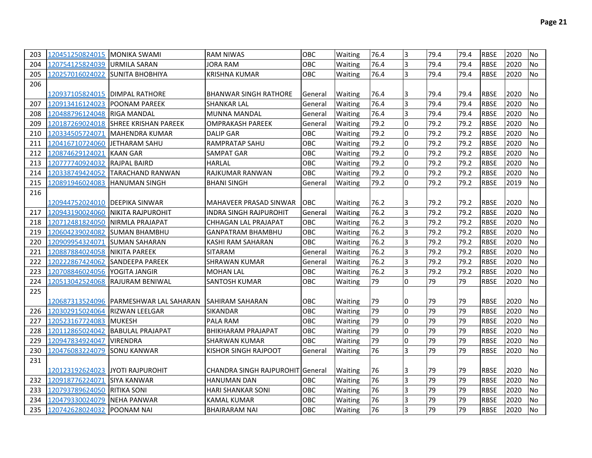| 203 | 120451250824015 MONIKA SWAMI     |                                          | <b>RAM NIWAS</b>                        | <b>OBC</b> | Waiting        | 76.4 | 3            | 79.4 | 79.4 | <b>RBSE</b> | 2020 | <b>No</b>      |
|-----|----------------------------------|------------------------------------------|-----------------------------------------|------------|----------------|------|--------------|------|------|-------------|------|----------------|
| 204 | 120754125824039                  | <b>URMILA SARAN</b>                      | <b>JORA RAM</b>                         | <b>OBC</b> | Waiting        | 76.4 | 3            | 79.4 | 79.4 | <b>RBSE</b> | 2020 | No             |
| 205 | 120257016024022 SUNITA BHOBHIYA  |                                          | <b>KRISHNA KUMAR</b>                    | <b>OBC</b> | Waiting        | 76.4 | l3           | 79.4 | 79.4 | <b>RBSE</b> | 2020 | N <sub>o</sub> |
| 206 |                                  |                                          |                                         |            |                |      |              |      |      |             |      |                |
|     | 120937105824015   DIMPAL RATHORE |                                          | <b>BHANWAR SINGH RATHORE</b>            | General    | Waiting        | 76.4 | 13           | 79.4 | 79.4 | <b>RBSE</b> | 2020 | No             |
| 207 | 120913416124023                  | <b>POONAM PAREEK</b>                     | <b>SHANKAR LAL</b>                      | General    | Waiting        | 76.4 | 3            | 79.4 | 79.4 | <b>RBSE</b> | 2020 | No             |
| 208 | 120488796124048 RIGA MANDAL      |                                          | <b>MUNNA MANDAL</b>                     | General    | Waiting        | 76.4 | 3            | 79.4 | 79.4 | <b>RBSE</b> | 2020 | No             |
| 209 |                                  | 120187269024018 SHREE KRISHAN PAREEK     | <b>OMPRAKASH PAREEK</b>                 | General    | Waiting        | 79.2 | l0           | 79.2 | 79.2 | <b>RBSE</b> | 2020 | No             |
| 210 | 120334505724071                  | lMAHENDRA KUMAR                          | <b>DALIP GAR</b>                        | <b>OBC</b> | Waiting        | 79.2 | l0           | 79.2 | 79.2 | <b>RBSE</b> | 2020 | <b>No</b>      |
| 211 | 120416710724060                  | <b>IJETHARAM SAHU</b>                    | <b>RAMPRATAP SAHU</b>                   | <b>OBC</b> | Waiting        | 79.2 | I٥           | 79.2 | 79.2 | <b>RBSE</b> | 2020 | <b>No</b>      |
| 212 | 120874629124021                  | <b>KAAN GAR</b>                          | <b>SAMPAT GAR</b>                       | <b>OBC</b> | Waiting        | 79.2 | I٥           | 79.2 | 79.2 | <b>RBSE</b> | 2020 | No             |
| 213 | 120777740924032                  | <b>RAJPAL BAIRD</b>                      | <b>HARLAL</b>                           | <b>OBC</b> | Waiting        | 79.2 | I٥           | 79.2 | 79.2 | <b>RBSE</b> | 2020 | No             |
| 214 | 120338749424052                  | <b>TARACHAND RANWAN</b>                  | RAJKUMAR RANWAN                         | <b>OBC</b> | Waiting        | 79.2 | l0           | 79.2 | 79.2 | <b>RBSE</b> | 2020 | No             |
| 215 | 120891946024083                  | <b>IHANUMAN SINGH</b>                    | <b>BHANI SINGH</b>                      | General    | Waiting        | 79.2 | I٥           | 79.2 | 79.2 | <b>RBSE</b> | 2019 | No             |
| 216 |                                  |                                          |                                         |            |                |      |              |      |      |             |      |                |
|     | 120944752024010 DEEPIKA SINWAR   |                                          | MAHAVEER PRASAD SINWAR                  | <b>OBC</b> | Waiting        | 76.2 | 13           | 79.2 | 79.2 | <b>RBSE</b> | 2020 | No             |
| 217 | 120943190024060                  | INIKITA RAJPUROHIT                       | <b>INDRA SINGH RAJPUROHIT</b>           | General    | <b>Waiting</b> | 76.2 | Iз           | 79.2 | 79.2 | <b>RBSE</b> | 2020 | <b>No</b>      |
| 218 | 120712481824050                  | <b>INIRMLA PRAJAPAT</b>                  | <b>CHHAGAN LAL PRAJAPAT</b>             | <b>OBC</b> | Waiting        | 76.2 | l3           | 79.2 | 79.2 | <b>RBSE</b> | 2020 | No             |
| 219 | 120604239024082                  | <b>SUMAN BHAMBHU</b>                     | <b>GANPATRAM BHAMBHU</b>                | <b>OBC</b> | Waiting        | 76.2 | 3            | 79.2 | 79.2 | <b>RBSE</b> | 2020 | No             |
| 220 | 120909954324071                  | <b>SUMAN SAHARAN</b>                     | KASHI RAM SAHARAN                       | <b>OBC</b> | Waiting        | 76.2 | 3            | 79.2 | 79.2 | <b>RBSE</b> | 2020 | No             |
| 221 | 120887884024058                  | <b>NIKITA PAREEK</b>                     | <b>SITARAM</b>                          | General    | Waiting        | 76.2 | 3            | 79.2 | 79.2 | <b>RBSE</b> | 2020 | No             |
| 222 | 120222867424062                  | <b>SANDEEPA PAREEK</b>                   | <b>SHRAWAN KUMAR</b>                    | General    | Waiting        | 76.2 | l3           | 79.2 | 79.2 | <b>RBSE</b> | 2020 | No             |
| 223 | 120708846024056                  | <b>YOGITA JANGIR</b>                     | <b>MOHAN LAL</b>                        | <b>OBC</b> | Waiting        | 76.2 | l3           | 79.2 | 79.2 | <b>RBSE</b> | 2020 | <b>No</b>      |
| 224 |                                  | 120513042524068 RAJURAM BENIWAL          | <b>SANTOSH KUMAR</b>                    | <b>OBC</b> | Waiting        | 79   | I٥           | 79   | 79   | <b>RBSE</b> | 2020 | No             |
| 225 |                                  |                                          |                                         |            |                |      |              |      |      |             |      |                |
|     |                                  | 120687313524096   PARMESHWAR LAL SAHARAN | <b>SAHIRAM SAHARAN</b>                  | <b>OBC</b> | Waiting        | 79   | 10           | 79   | 79   | <b>RBSE</b> | 2020 | No             |
| 226 | 120302915024064 RIZWAN LEELGAR   |                                          | SIKANDAR                                | OBC        | Waiting        | 79   | l0           | 79   | 79   | <b>RBSE</b> | 2020 | No             |
| 227 | 120523167724083                  | <b>IMUKESH</b>                           | PALA RAM                                | OBC        | Waiting        | 79   | I٥           | 79   | 79   | <b>RBSE</b> | 2020 | No             |
| 228 | 120112865024042                  | <b>BABULAL PRAJAPAT</b>                  | <b>BHIKHARAM PRAJAPAT</b>               | <b>OBC</b> | Waiting        | 79   | I٥           | 79   | 79   | <b>RBSE</b> | 2020 | No             |
| 229 | 120947834924047                  | <b>VIRENDRA</b>                          | SHARWAN KUMAR                           | <b>OBC</b> | Waiting        | 79   | l0           | 79   | 79   | <b>RBSE</b> | 2020 | <b>No</b>      |
| 230 | 120476083224079 SONU KANWAR      |                                          | KISHOR SINGH RAJPOOT                    | General    | Waiting        | 76   | lз           | 79   | 79   | <b>RBSE</b> | 2020 | No             |
| 231 |                                  |                                          |                                         |            |                |      |              |      |      |             |      |                |
|     | 120123192624023 JYOTI RAJPUROHIT |                                          | <b>CHANDRA SINGH RAJPUROHIT General</b> |            | Waiting        | 76   | I3           | 79   | 79   | <b>RBSE</b> | 2020 | No             |
| 232 | 120918776224071                  | <b>SIYA KANWAR</b>                       | <b>HANUMAN DAN</b>                      | <b>OBC</b> | Waiting        | 76   | l3           | 79   | 79   | <b>RBSE</b> | 2020 | No             |
| 233 | 120793789624050                  | <b>RITIKA SONI</b>                       | <b>HARI SHANKAR SONI</b>                | OBC        | Waiting        | 76   | 3            | 79   | 79   | <b>RBSE</b> | 2020 | No             |
| 234 | 120479330024079                  | <b>INEHA PANWAR</b>                      | KAMAL KUMAR                             | OBC        | Waiting        | 76   | 3            | 79   | 79   | <b>RBSE</b> | 2020 | No             |
| 235 | 120742628024032 POONAM NAI       |                                          | <b>BHAIRARAM NAI</b>                    | <b>OBC</b> | Waiting        | 76   | <sup>3</sup> | 79   | 79   | <b>RBSE</b> | 2020 | <b>No</b>      |
|     |                                  |                                          |                                         |            |                |      |              |      |      |             |      |                |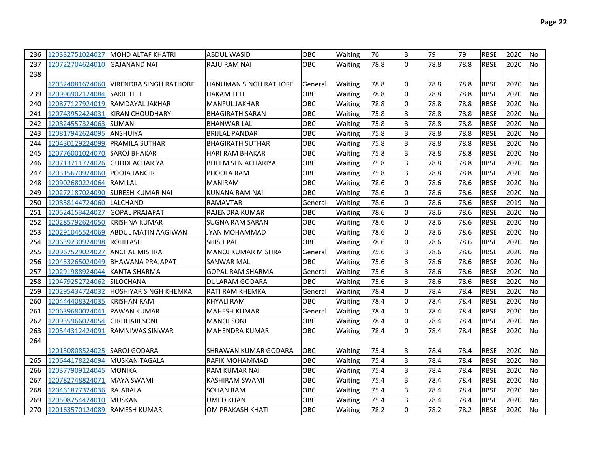| 236 |                                | 120332751024027   MOHD ALTAF KHATRI     | <b>ABDUL WASID</b>        | OBC        | Waiting        | 76   | I3             | 79   | 79   | <b>RBSE</b> | 2020 | No             |
|-----|--------------------------------|-----------------------------------------|---------------------------|------------|----------------|------|----------------|------|------|-------------|------|----------------|
| 237 | 120722704624010 GAJANAND NAI   |                                         | <b>RAJU RAM NAI</b>       | <b>OBC</b> | Waiting        | 78.8 | I٥             | 78.8 | 78.8 | <b>RBSE</b> | 2020 | N <sub>o</sub> |
| 238 |                                |                                         |                           |            |                |      |                |      |      |             |      |                |
|     |                                | 120324081624060  VIRENDRA SINGH RATHORE | IHANUMAN SINGH RATHORE    | General    | <b>Waiting</b> | 78.8 | IО             | 78.8 | 78.8 | <b>RBSE</b> | 2020 | No             |
| 239 | 120996902124084                | <b>SAKIL TELI</b>                       | <b>HAKAM TELI</b>         | OBC        | Waiting        | 78.8 | I٥             | 78.8 | 78.8 | <b>RBSE</b> | 2020 | No             |
| 240 | 120877127924019                | RAMDAYAL JAKHAR                         | <b>MANFUL JAKHAR</b>      | OBC        | Waiting        | 78.8 | lo.            | 78.8 | 78.8 | <b>RBSE</b> | 2020 | <b>No</b>      |
| 241 | 120743952424031                | <b>KIRAN CHOUDHARY</b>                  | <b>BHAGIRATH SARAN</b>    | OBC        | Waiting        | 75.8 | Iз             | 78.8 | 78.8 | <b>RBSE</b> | 2020 | No             |
| 242 | 120824557324063 SUMAN          |                                         | <b>BHANWAR LAL</b>        | OBC        | Waiting        | 75.8 | Iз             | 78.8 | 78.8 | <b>RBSE</b> | 2020 | No             |
| 243 | 120817942624095                | <b>ANSHUIYA</b>                         | <b>BRIJLAL PANDAR</b>     | OBC        | Waiting        | 75.8 | 3              | 78.8 | 78.8 | <b>RBSE</b> | 2020 | No             |
| 244 | 120430129224099 PRAMILA SUTHAR |                                         | <b>BHAGIRATH SUTHAR</b>   | <b>OBC</b> | Waiting        | 75.8 | 3              | 78.8 | 78.8 | <b>RBSE</b> | 2020 | No             |
| 245 | 120776001024070                | <b>SAROJ BHAKAR</b>                     | <b>HARI RAM BHAKAR</b>    | <b>OBC</b> | Waiting        | 75.8 | Iз             | 78.8 | 78.8 | <b>RBSE</b> | 2020 | <b>No</b>      |
| 246 | 120713711724026                | <b>GUDDI ACHARIYA</b>                   | <b>BHEEM SEN ACHARIYA</b> | <b>OBC</b> | Waiting        | 75.8 | Iз             | 78.8 | 78.8 | <b>RBSE</b> | 2020 | No             |
| 247 | 120315670924060                | <b>POOJA JANGIR</b>                     | PHOOLA RAM                | OBC        | Waiting        | 75.8 | Iз             | 78.8 | 78.8 | <b>RBSE</b> | 2020 | <b>No</b>      |
| 248 | 120902680224064                | <b>RAM LAL</b>                          | <b>MANIRAM</b>            | OBC        | Waiting        | 78.6 | Iо             | 78.6 | 78.6 | <b>RBSE</b> | 2020 | No             |
| 249 | 120272187024090                | <b>SURESH KUMAR NAI</b>                 | <b>KUNANA RAM NAI</b>     | OBC        | Waiting        | 78.6 | lo.            | 78.6 | 78.6 | <b>RBSE</b> | 2020 | No             |
| 250 | 120858144724060                | <b>LALCHAND</b>                         | <b>RAMAVTAR</b>           | General    | Waiting        | 78.6 | lo.            | 78.6 | 78.6 | <b>RBSE</b> | 2019 | No             |
| 251 | 120524153424027                | <b>GOPAL PRAJAPAT</b>                   | RAJENDRA KUMAR            | <b>OBC</b> | Waiting        | 78.6 | I٥             | 78.6 | 78.6 | <b>RBSE</b> | 2020 | <b>No</b>      |
| 252 | 120285792624050                | <b>KRISHNA KUMAR</b>                    | <b>SUGNA RAM SARAN</b>    | <b>OBC</b> | Waiting        | 78.6 | I0             | 78.6 | 78.6 | <b>RBSE</b> | 2020 | <b>No</b>      |
| 253 | 120291045524069                | ABDUL MATIN AAGIWAN                     | <b>JYAN MOHAMMAD</b>      | OBC        | Waiting        | 78.6 | lo.            | 78.6 | 78.6 | <b>RBSE</b> | 2020 | No             |
| 254 | 120639230924098                | <b>ROHITASH</b>                         | SHISH PAL                 | OBC        | Waiting        | 78.6 | Iо             | 78.6 | 78.6 | <b>RBSE</b> | 2020 | No             |
| 255 | 120967529024027                | <b>ANCHAL MISHRA</b>                    | <b>MANOJ KUMAR MISHRA</b> | General    | Waiting        | 75.6 | Iз             | 78.6 | 78.6 | <b>RBSE</b> | 2020 | No             |
| 256 | 120453265024049                | <b>IBHAWANA PRAJAPAT</b>                | <b>SANWAR MAL</b>         | <b>OBC</b> | Waiting        | 75.6 | Iз             | 78.6 | 78.6 | <b>RBSE</b> | 2020 | No             |
| 257 | 120291988924044                | <b>KANTA SHARMA</b>                     | <b>GOPAL RAM SHARMA</b>   | General    | Waiting        | 75.6 | 3              | 78.6 | 78.6 | <b>RBSE</b> | 2020 | No             |
| 258 | 120479252724062                | <b>SILOCHANA</b>                        | DULARAM GODARA            | OBC        | <b>Waiting</b> | 75.6 | 3              | 78.6 | 78.6 | <b>RBSE</b> | 2020 | <b>No</b>      |
| 259 | 120295434724032                | <b>HOSHIYAR SINGH KHEMKA</b>            | RATI RAM KHEMKA           | General    | Waiting        | 78.4 | I0             | 78.4 | 78.4 | <b>RBSE</b> | 2020 | No             |
| 260 | 120444408324035                | <b>KRISHAN RAM</b>                      | <b>KHYALI RAM</b>         | OBC        | Waiting        | 78.4 | Iо             | 78.4 | 78.4 | <b>RBSE</b> | 2020 | No             |
| 261 | 120639680024041                | <b>PAWAN KUMAR</b>                      | <b>MAHESH KUMAR</b>       | General    | Waiting        | 78.4 | Iо             | 78.4 | 78.4 | <b>RBSE</b> | 2020 | No             |
| 262 | 120935966024054                | <b>GIRDHARI SONI</b>                    | <b>MANOJ SONI</b>         | OBC        | Waiting        | 78.4 | l0             | 78.4 | 78.4 | <b>RBSE</b> | 2020 | No             |
| 263 | 120544312424091                | RAMNIWAS SINWAR                         | <b>MAHENDRA KUMAR</b>     | OBC        | Waiting        | 78.4 | l0             | 78.4 | 78.4 | <b>RBSE</b> | 2020 | No             |
| 264 |                                |                                         |                           |            |                |      |                |      |      |             |      |                |
|     | 120150808524025  SAROJ GODARA  |                                         | SHRAWAN KUMAR GODARA      | ІОВС       | Waiting        | 75.4 | I3             | 78.4 | 78.4 | <b>RBSE</b> | 2020 | No             |
| 265 | 120644178224094                | <b>MUSKAN TAGALA</b>                    | RAFIK MOHAMMAD            | <b>OBC</b> | Waiting        | 75.4 | l3             | 78.4 | 78.4 | <b>RBSE</b> | 2020 | No             |
| 266 | 120377909124045                | <b>MONIKA</b>                           | <b>RAM KUMAR NAI</b>      | OBC        | Waiting        | 75.4 | Iз             | 78.4 | 78.4 | <b>RBSE</b> | 2020 | No             |
| 267 | 120782748824071                | <b>MAYA SWAMI</b>                       | <b>KASHIRAM SWAMI</b>     | <b>OBC</b> | Waiting        | 75.4 | Iз             | 78.4 | 78.4 | <b>RBSE</b> | 2020 | No             |
| 268 | 120461877324036 RAJABALA       |                                         | <b>SOHAN RAM</b>          | OBC        | Waiting        | 75.4 | $\overline{3}$ | 78.4 | 78.4 | <b>RBSE</b> | 2020 | No             |
| 269 | 120508754424010                | <b>MUSKAN</b>                           | UMED KHAN                 | <b>OBC</b> | Waiting        | 75.4 | 3              | 78.4 | 78.4 | <b>RBSE</b> | 2020 | No             |
| 270 | 120163570124089 RAMESH KUMAR   |                                         | OM PRAKASH KHATI          | <b>OBC</b> | <b>Waiting</b> | 78.2 | I٥             | 78.2 | 78.2 | <b>RBSE</b> | 2020 | <b>No</b>      |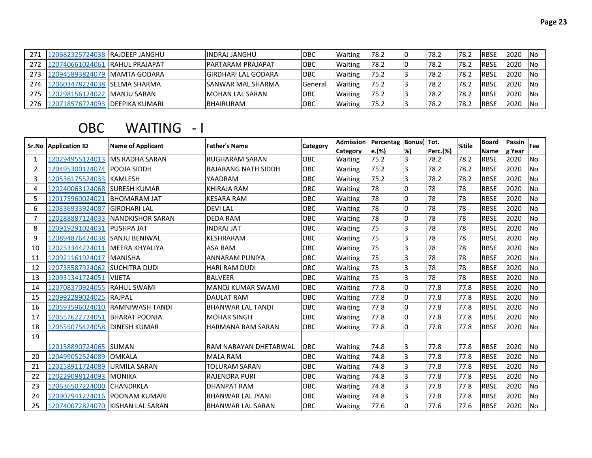| 271 | 120682325724038 RAJDEEP JANGHU | <b>IINDRAJ JANGHU</b>       | <b>IOBC</b>    | <b>Waiting</b> | 78.2  | 78.2  | ے.78   | <b>IRBSE</b> | 2020 | -INo |
|-----|--------------------------------|-----------------------------|----------------|----------------|-------|-------|--------|--------------|------|------|
| 272 | 120740661024061 RAHUL PRAJAPAT | <b>IPARTARAM PRAJAPAT</b>   | ІОВС           | <b>Waiting</b> | 178.2 | 178.2 | י∡.178 | <b>RBSE</b>  | 2020 | 1No  |
| 273 | 120945893824079  MAMTA GODARA  | <b>IGIRDHARI LAL GODARA</b> | <b>OBC</b>     | <b>Waiting</b> | 75.2  | 178.2 | ے.78   | <b>IRBSE</b> | 2020 | -INo |
| 274 |                                | <b>ISANWAR MAL SHARMA</b>   | <b>General</b> | <b>Waiting</b> | 75.2  | 178.2 | 178.2  | <b>RBSE</b>  | 2020 | -INo |
| 275 | 120298156124022  MANJU SARAN   | IMOHAN LAL SARAN            | <b>IOBC</b>    | <b>Waiting</b> | 75.2  | 78.2  | 78.2   | <b>RBSE</b>  | 2020 | -INo |
| 276 | 120718576724093 DEEPIKA KUMARI | <b>BHAIRURAM</b>            | <b>OBC</b>     | <b>Waiting</b> | 75.2  | 178.2 | 78.∠   | <b>RBSE</b>  | 2020 | -INo |

## OBC WAITING - I

|    | <b>Sr.No Application ID</b> | <b>Name of Applicant</b> | <b>Father's Name</b>       | Category   | <b>Admission</b> | Percentag Bonus( |              | Tot.     | %tile | <b>Board</b> | Passin | Fee       |
|----|-----------------------------|--------------------------|----------------------------|------------|------------------|------------------|--------------|----------|-------|--------------|--------|-----------|
|    |                             |                          |                            |            | Category         | e.(%)            | l%)          | Perc.(%) |       | Name         | g Year |           |
| 1  | 120294955124013             | <b>IMS RADHA SARAN</b>   | <b>RUGHARAM SARAN</b>      | <b>OBC</b> | Waiting          | 75.2             | 3            | 78.2     | 78.2  | <b>RBSE</b>  | 2020   | No        |
| 2  | 120495300124074             | <b>POOJA SIDDH</b>       | <b>BAJARANG NATH SIDDH</b> | OBC        | Waiting          | 75.2             | 3            | 78.2     | 78.2  | <b>RBSE</b>  | 2020   | <b>No</b> |
| 3  | 120536175524033             | <b>KAMLESH</b>           | YAADRAM                    | OBC        | Waiting          | 75.2             | 3            | 78.2     | 78.2  | <b>RBSE</b>  | 2020   | No        |
| 4  | 120240063124068             | <b>SURESH KUMAR</b>      | <b>KHIRAJA RAM</b>         | OBC        | Waiting          | 78               | l0           | 78       | 78    | <b>RBSE</b>  | 2020   | <b>No</b> |
| 5  | 120175960024021             | <b>IBHOMARAM JAT</b>     | <b>KESARA RAM</b>          | OBC        | Waiting          | 78               | $\Omega$     | 78       | 78    | <b>RBSE</b>  | 2020   | <b>No</b> |
| 6  | 120336933924087             | <b>GIRDHARI LAL</b>      | <b>DEVILAL</b>             | OBC        | Waiting          | 78               | <sup>0</sup> | 78       | 78    | <b>RBSE</b>  | 2020   | <b>No</b> |
| 7  | 120288887124033             | NANDKISHOR SARAN         | <b>DEDA RAM</b>            | OBC        | Waiting          | 78               | l0           | 78       | 78    | <b>RBSE</b>  | 2020   | No        |
| 8  | 120919291024031             | <b>PUSHPA JAT</b>        | <b>INDRAJ JAT</b>          | OBC        | Waiting          | 75               | 3            | 78       | 78    | <b>RBSE</b>  | 2020   | <b>No</b> |
| 9  | 120894876424038             | <b>SANJU BENIWAL</b>     | KESHRARAM                  | OBC        | Waiting          | 75               | 3            | 78       | 78    | <b>RBSE</b>  | 2020   | <b>No</b> |
| 10 | 120253344224011             | <b>MEERA KHYALIYA</b>    | <b>ASA RAM</b>             | OBC        | Waiting          | 75               | 3            | 78       | 78    | <b>RBSE</b>  | 2020   | No        |
| 11 | 120921161924017             | <b>MANISHA</b>           | <b>ANNARAM PUNIYA</b>      | OBC        | Waiting          | 75               | 3            | 78       | 78    | <b>RBSE</b>  | 2020   | <b>No</b> |
| 12 | 120735587924062             | <b>SUCHITRA DUDI</b>     | <b>HARI RAM DUDI</b>       | OBC        | Waiting          | 75               | IЗ           | 78       | 78    | <b>RBSE</b>  | 2020   | No        |
| 13 | 120931341724051             | <b>VIJETA</b>            | <b>BALVEER</b>             | OBC        | Waiting          | 75               | 3            | 78       | 78    | <b>RBSE</b>  | 2020   | <b>No</b> |
| 14 | 120708370924055             | <b>RAHUL SWAMI</b>       | <b>MANOJ KUMAR SWAMI</b>   | OBC        | Waiting          | 77.8             | $\Omega$     | 77.8     | 77.8  | <b>RBSE</b>  | 2020   | <b>No</b> |
| 15 | 120992289024025             | <b>RAJPAL</b>            | <b>DAULAT RAM</b>          | OBC        | Waiting          | 77.8             | <sup>0</sup> | 77.8     | 77.8  | <b>RBSE</b>  | 2020   | <b>No</b> |
| 16 | 120593596024010             | <b>RAMNIWASH TANDI</b>   | <b>BHANWAR LAL TANDI</b>   | OBC        | Waiting          | 77.8             | l0           | 77.8     | 77.8  | <b>RBSE</b>  | 2020   | No        |
| 17 | 120557622724051             | <b>BHARAT POONIA</b>     | <b>MOHAR SINGH</b>         | OBC        | Waiting          | 77.8             | l0           | 77.8     | 77.8  | <b>RBSE</b>  | 2020   | <b>No</b> |
| 18 | 120555075424058             | <b>DINESH KUMAR</b>      | <b>HARMANA RAM SARAN</b>   | OBC        | Waiting          | 77.8             | <sup>0</sup> | 77.8     | 77.8  | <b>RBSE</b>  | 2020   | No        |
| 19 |                             |                          |                            |            |                  |                  |              |          |       |              |        |           |
|    | 120158890724065             | <b>ISUMAN</b>            | RAM NARAYAN DHETARWAL      | OBC        | <b>Waiting</b>   | 74.8             | l3           | 77.8     | 77.8  | <b>RBSE</b>  | 2020   | <b>No</b> |
| 20 | 120499052524089             | <b>OMKALA</b>            | <b>MALA RAM</b>            | OBC        | Waiting          | 74.8             | 3            | 77.8     | 77.8  | <b>RBSE</b>  | 2020   | <b>No</b> |
| 21 | 120258911724089             | <b>URMILA SARAN</b>      | <b>TOLURAM SARAN</b>       | OBC        | Waiting          | 74.8             | 3            | 77.8     | 77.8  | <b>RBSE</b>  | 2020   | No        |
| 22 | 120229098124093             | <b>MONIKA</b>            | <b>RAJENDRA PURI</b>       | OBC        | Waiting          | 74.8             | 3            | 77.8     | 77.8  | <b>RBSE</b>  | 2020   | <b>No</b> |
| 23 | 120636507224000             | <b>CHANDRKLA</b>         | <b>DHANPAT RAM</b>         | OBC        | Waiting          | 74.8             | 3            | 77.8     | 77.8  | <b>RBSE</b>  | 2020   | No        |
| 24 | 120907941224016             | <b>POONAM KUMARI</b>     | <b>BHANWAR LAL JYANI</b>   | OBC        | Waiting          | 74.8             | 3            | 77.8     | 77.8  | <b>RBSE</b>  | 2020   | No        |
| 25 | 120740072824070             | <b>KISHAN LAL SARAN</b>  | <b>BHANWAR LAL SARAN</b>   | OBC        | Waiting          | 77.6             | I٥           | 77.6     | 77.6  | <b>RBSE</b>  | 2020   | <b>No</b> |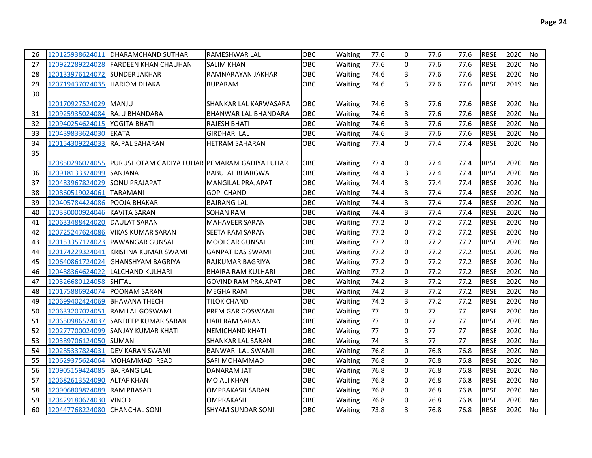| 26 |                               | 120125938624011   DHARAMCHAND SUTHAR                           | <b>RAMESHWAR LAL</b>        | <b>OBC</b> | Waiting | 77.6 | <sup>0</sup>   | 77.6 | 77.6 | <b>RBSE</b> | 2020 | <b>No</b>      |
|----|-------------------------------|----------------------------------------------------------------|-----------------------------|------------|---------|------|----------------|------|------|-------------|------|----------------|
| 27 |                               | 120922289224028 FARDEEN KHAN CHAUHAN                           | SALIM KHAN                  | <b>OBC</b> | Waiting | 77.6 | <sup>0</sup>   | 77.6 | 77.6 | <b>RBSE</b> | 2020 | <b>No</b>      |
| 28 | 120133976124072 SUNDER JAKHAR |                                                                | RAMNARAYAN JAKHAR           | OBC        | Waiting | 74.6 | $\overline{3}$ | 77.6 | 77.6 | <b>RBSE</b> | 2020 | No             |
| 29 |                               |                                                                | <b>RUPARAM</b>              | <b>OBC</b> | Waiting | 74.6 | $\overline{3}$ | 77.6 | 77.6 | <b>RBSE</b> | 2019 | <b>No</b>      |
| 30 |                               |                                                                |                             |            |         |      |                |      |      |             |      |                |
|    | 120170927524029  MANJU        |                                                                | SHANKAR LAL KARWASARA       | <b>OBC</b> | Waiting | 74.6 | 13             | 77.6 | 77.6 | <b>RBSE</b> | 2020 | <b>No</b>      |
| 31 | 120925935024084               | <b>RAJU BHANDARA</b>                                           | <b>BHANWAR LAL BHANDARA</b> | <b>OBC</b> | Waiting | 74.6 | $\overline{3}$ | 77.6 | 77.6 | <b>RBSE</b> | 2020 | <b>No</b>      |
| 32 | 120940254624015               | <b>IYOGITA BHATI</b>                                           | RAJESH BHATI                | OBC        | Waiting | 74.6 | $\overline{3}$ | 77.6 | 77.6 | <b>RBSE</b> | 2020 | <b>No</b>      |
| 33 | 120439833624030 EKATA         |                                                                | GIRDHARI LAL                | <b>OBC</b> | Waiting | 74.6 | $\overline{3}$ | 77.6 | 77.6 | <b>RBSE</b> | 2020 | <b>No</b>      |
| 34 |                               |                                                                | <b>HETRAM SAHARAN</b>       | <b>OBC</b> | Waiting | 77.4 | l0             | 77.4 | 77.4 | <b>RBSE</b> | 2020 | No             |
| 35 |                               |                                                                |                             |            |         |      |                |      |      |             |      |                |
|    |                               | 120850296024055  IPURUSHOTAM GADIYA LUHARIPEMARAM GADIYA LUHAR |                             | OBC.       | Waiting | 77.4 | 0              | 77.4 | 77.4 | <b>RBSE</b> | 2020 | No             |
| 36 | 120918133324099               | <b>SANJANA</b>                                                 | <b>BABULAL BHARGWA</b>      | OBC        | Waiting | 74.4 | <sup>3</sup>   | 77.4 | 77.4 | <b>RBSE</b> | 2020 | No             |
| 37 | 120483967824029               | <b>SONU PRAJAPAT</b>                                           | <b>MANGILAL PRAJAPAT</b>    | <b>OBC</b> | Waiting | 74.4 | 3              | 77.4 | 77.4 | <b>RBSE</b> | 2020 | <b>No</b>      |
| 38 | 120860519024061               | <b>TARAMANI</b>                                                | <b>GOPI CHAND</b>           | OBC        | Waiting | 74.4 | 3              | 77.4 | 77.4 | <b>RBSE</b> | 2020 | <b>No</b>      |
| 39 | 120405784424086               | <b>POOJA BHAKAR</b>                                            | <b>BAJRANG LAL</b>          | OBC        | Waiting | 74.4 | $\overline{3}$ | 77.4 | 77.4 | <b>RBSE</b> | 2020 | <b>No</b>      |
| 40 | 120330000924046               | <b>KAVITA SARAN</b>                                            | SOHAN RAM                   | OBC        | Waiting | 74.4 | $\overline{3}$ | 77.4 | 77.4 | <b>RBSE</b> | 2020 | No             |
| 41 | 120633488424020               | <b>IDAULAT SARAN</b>                                           | <b>MAHAVEER SARAN</b>       | OBC        | Waiting | 77.2 | l0             | 77.2 | 77.2 | <b>RBSE</b> | 2020 | <b>No</b>      |
| 42 | 120725247624086               | <b>VIKAS KUMAR SARAN</b>                                       | SEETA RAM SARAN             | OBC        | Waiting | 77.2 | l0             | 77.2 | 77.2 | <b>RBSE</b> | 2020 | <b>No</b>      |
| 43 |                               | 120153357124023 PAWANGAR GUNSAI                                | <b>MOOLGAR GUNSAL</b>       | <b>OBC</b> | Waiting | 77.2 | l0             | 77.2 | 77.2 | <b>RBSE</b> | 2020 | <b>No</b>      |
| 44 | 120174229324041               | <b>IKRISHNA KUMAR SWAMI</b>                                    | <b>GANPAT DAS SWAMI</b>     | <b>OBC</b> | Waiting | 77.2 | l0             | 77.2 | 77.2 | <b>RBSE</b> | 2020 | No             |
| 45 | 120640861724024               | IGHANSHYAM BAGRIYA                                             | RAJKUMAR BAGRIYA            | <b>OBC</b> | Waiting | 77.2 | l0             | 77.2 | 77.2 | <b>RBSE</b> | 2020 | <b>No</b>      |
| 46 | 120488364624022               | ILALCHAND KULHARI                                              | <b>BHAIRA RAM KULHARI</b>   | <b>OBC</b> | Waiting | 77.2 | l0             | 77.2 | 77.2 | <b>RBSE</b> | 2020 | <b>No</b>      |
| 47 | 120326680124058 SHITAL        |                                                                | <b>GOVIND RAM PRAJAPAT</b>  | <b>OBC</b> | Waiting | 74.2 | <sup>3</sup>   | 77.2 | 77.2 | <b>RBSE</b> | 2020 | <b>No</b>      |
| 48 | 120175886924074               | <b>IPOONAM SARAN</b>                                           | <b>MEGHA RAM</b>            | <b>OBC</b> | Waiting | 74.2 | <sup>3</sup>   | 77.2 | 77.2 | <b>RBSE</b> | 2020 | <b>No</b>      |
| 49 | 120699402424069 BHAVANA THECH |                                                                | TILOK CHAND                 | OBC.       | Waiting | 74.2 | <sup>3</sup>   | 77.2 | 77.2 | <b>RBSE</b> | 2020 | <b>No</b>      |
| 50 | 120633207024051               | <b>RAM LAL GOSWAMI</b>                                         | PREM GAR GOSWAMI            | OBC.       | Waiting | 77   | <sup>0</sup>   | 77   | 77   | <b>RBSE</b> | 2020 | <b>No</b>      |
| 51 | 120650986524037               | <b>ISANDEEP KUMAR SARAN</b>                                    | <b>HARI RAM SARAN</b>       | <b>OBC</b> | Waiting | 77   | <sup>0</sup>   | 77   | 77   | <b>RBSE</b> | 2020 | <b>No</b>      |
| 52 | 120277700024099               | <b>SANJAY KUMAR KHATI</b>                                      | <b>NEMICHAND KHATI</b>      | <b>OBC</b> | Waiting | 77   | <sup>o</sup>   | 77   | 77   | <b>RBSE</b> | 2020 | <b>No</b>      |
| 53 | 120389706124050 SUMAN         |                                                                | SHANKAR LAL SARAN           | <b>OBC</b> | Waiting | 74   | $\overline{3}$ | 77   | 77   | <b>RBSE</b> | 2020 | <b>No</b>      |
| 54 |                               | 120285337824031 DEV KARAN SWAMI                                | <b>BANWARI LAL SWAMI</b>    | <b>OBC</b> | Waiting | 76.8 | l0             | 76.8 | 76.8 | <b>RBSE</b> | 2020 | <b>No</b>      |
| 55 |                               | 120629375624064 MOHAMMAD IRSAD                                 | SAFI MOHAMMAD               | <b>OBC</b> | Waiting | 76.8 | l0             | 76.8 | 76.8 | <b>RBSE</b> | 2020 | <b>No</b>      |
| 56 | 120905159424085 BAJRANG LAL   |                                                                | <b>DANARAM JAT</b>          | <b>OBC</b> | Waiting | 76.8 | <sup>o</sup>   | 76.8 | 76.8 | <b>RBSE</b> | 2020 | <b>No</b>      |
| 57 | 120682613524090 ALTAF KHAN    |                                                                | MO ALI KHAN                 | <b>OBC</b> | Waiting | 76.8 | l0             | 76.8 | 76.8 | <b>RBSE</b> | 2020 | <b>No</b>      |
| 58 | 120906809824089               | <b>RAM PRASAD</b>                                              | <b>OMPRAKASH SARAN</b>      | <b>OBC</b> | Waiting | 76.8 | $\Omega$       | 76.8 | 76.8 | <b>RBSE</b> | 2020 | <b>No</b>      |
| 59 | 120429180624030 VINOD         |                                                                | <b>OMPRAKASH</b>            | <b>OBC</b> | Waiting | 76.8 | $\Omega$       | 76.8 | 76.8 | <b>RBSE</b> | 2020 | <b>No</b>      |
| 60 | 120447768224080 CHANCHAL SONI |                                                                | <b>SHYAM SUNDAR SONI</b>    | <b>OBC</b> | Waiting | 73.8 | 3              | 76.8 | 76.8 | <b>RBSE</b> | 2020 | N <sub>o</sub> |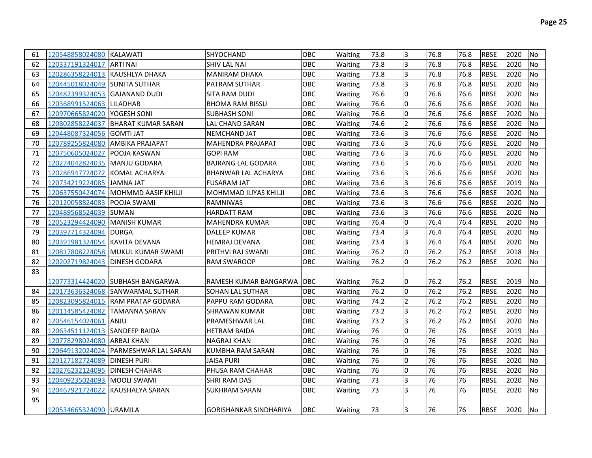| 61 | 120548858024080 KALAWATI       |                                      | SHYOCHAND                     | OBC.       | Waiting | 73.8 | 3              | 76.8 | 76.8 | <b>RBSE</b> | 2020 | No        |
|----|--------------------------------|--------------------------------------|-------------------------------|------------|---------|------|----------------|------|------|-------------|------|-----------|
| 62 | 120337191324017                | <b>ARTI NAI</b>                      | SHIV LAL NAI                  | <b>OBC</b> | Waiting | 73.8 | $\overline{3}$ | 76.8 | 76.8 | <b>RBSE</b> | 2020 | No        |
| 63 | 120286358224013 KAUSHLYA DHAKA |                                      | <b>MANIRAM DHAKA</b>          | OBC        | Waiting | 73.8 | 3              | 76.8 | 76.8 | <b>RBSE</b> | 2020 | No        |
| 64 | 120445018024049 SUNITA SUTHAR  |                                      | PATRAM SUTHAR                 | <b>OBC</b> | Waiting | 73.8 | 3              | 76.8 | 76.8 | <b>RBSE</b> | 2020 | No        |
| 65 | 120482399324053 GAJANAND DUDI  |                                      | SITA RAM DUDI                 | <b>OBC</b> | Waiting | 76.6 | l0             | 76.6 | 76.6 | <b>RBSE</b> | 2020 | <b>No</b> |
| 66 | 120368991524063 LILADHAR       |                                      | <b>BHOMA RAM BISSU</b>        | <b>OBC</b> | Waiting | 76.6 | l0             | 76.6 | 76.6 | <b>RBSE</b> | 2020 | <b>No</b> |
| 67 | 120970665824020                | <b>YOGESH SONI</b>                   | <b>SUBHASH SONI</b>           | <b>OBC</b> | Waiting | 76.6 | l0             | 76.6 | 76.6 | <b>RBSE</b> | 2020 | <b>No</b> |
| 68 | 120802858224037                | IBHARAT KUMAR SARAN                  | LAL CHAND SARAN               | OBC.       | Waiting | 74.6 | $\overline{2}$ | 76.6 | 76.6 | <b>RBSE</b> | 2020 | <b>No</b> |
| 69 | 120448087324056                | IGOMTI JAT                           | <b>NEMCHAND JAT</b>           | <b>OBC</b> | Waiting | 73.6 | $\overline{3}$ | 76.6 | 76.6 | <b>RBSE</b> | 2020 | <b>No</b> |
| 70 | 120789255824080                | <b>IAMBIKA PRAJAPAT</b>              | MAHENDRA PRAJAPAT             | <b>OBC</b> | Waiting | 73.6 | l3             | 76.6 | 76.6 | <b>RBSE</b> | 2020 | No        |
| 71 | 120750605024027                | IPOOJA KASWAN                        | <b>GOPI RAM</b>               | <b>OBC</b> | Waiting | 73.6 | l3             | 76.6 | 76.6 | <b>RBSE</b> | 2020 | No        |
| 72 | 120274042824035                | <b>IMANJU GODARA</b>                 | <b>BAJRANG LAL GODARA</b>     | OBC        | Waiting | 73.6 | l3             | 76.6 | 76.6 | <b>RBSE</b> | 2020 | <b>No</b> |
| 73 | 120286947724072                | IKOMAL ACHARYA                       | BHANWAR LAL ACHARYA           | OBC        | Waiting | 73.6 | l3             | 76.6 | 76.6 | <b>RBSE</b> | 2020 | No        |
| 74 | 120734219224085                | <b>JAMNA JAT</b>                     | <b>FUSARAM JAT</b>            | OBC        | Waiting | 73.6 | 3              | 76.6 | 76.6 | <b>RBSE</b> | 2019 | <b>No</b> |
| 75 | 120637550424074                | MOHMMD AASIF KHILJI                  | MOHMMAD ILIYAS KHILJI         | OBC        | Waiting | 73.6 | l3             | 76.6 | 76.6 | <b>RBSE</b> | 2020 | <b>No</b> |
| 76 | 120120058824083 POOJA SWAMI    |                                      | RAMNIWAS                      | OBC        | Waiting | 73.6 | 3              | 76.6 | 76.6 | <b>RBSE</b> | 2020 | No        |
| 77 | 120489568524039 SUMAN          |                                      | <b>HARDATT RAM</b>            | OBC        | Waiting | 73.6 | 3              | 76.6 | 76.6 | <b>RBSE</b> | 2020 | No        |
| 78 | 120523294424090                | <b>MANISH KUMAR</b>                  | <b>MAHENDRA KUMAR</b>         | OBC        | Waiting | 76.4 | Iо             | 76.4 | 76.4 | <b>RBSE</b> | 2020 | No        |
| 79 | 120397714324094                | <b>DURGA</b>                         | <b>DALEEP KUMAR</b>           | OBC        | Waiting | 73.4 | l3             | 76.4 | 76.4 | <b>RBSE</b> | 2020 | No        |
| 80 | 120391981324054                | <b>IKAVITA DEVANA</b>                | <b>HEMRAJ DEVANA</b>          | <b>OBC</b> | Waiting | 73.4 | 3              | 76.4 | 76.4 | <b>RBSE</b> | 2020 | No        |
| 81 |                                | 120817808224058 MUKUL KUMAR SWAMI    | PRITHVI RAJ SWAMI             | <b>OBC</b> | Waiting | 76.2 | I٥             | 76.2 | 76.2 | <b>RBSE</b> | 2018 | No        |
| 82 | 120202719824043 DINESH GODARA  |                                      | <b>RAM SWAROOP</b>            | OBC.       | Waiting | 76.2 | I٥             | 76.2 | 76.2 | <b>RBSE</b> | 2020 | No        |
| 83 |                                |                                      |                               |            |         |      |                |      |      |             |      |           |
|    |                                | 120773314424020 SUBHASH BANGARWA     | RAMESH KUMAR BANGARWA   OBC   |            | Waiting | 76.2 | 10             | 76.2 | 76.2 | IRBSE       | 2019 | No        |
| 84 |                                | 120173636324068 SANWARMAL SUTHAR     | <b>SOHAN LAL SUTHAR</b>       | <b>OBC</b> | Waiting | 76.2 | I٥             | 76.2 | 76.2 | <b>RBSE</b> | 2020 | No.       |
| 85 |                                | 120823095824015 RAM PRATAP GODARA    | PAPPU RAM GODARA              | <b>OBC</b> | Waiting | 74.2 | <b>2</b>       | 76.2 | 76.2 | <b>RBSE</b> | 2020 | No.       |
| 86 | 120114585424082                | <b>TAMANNA SARAN</b>                 | <b>SHRAWAN KUMAR</b>          | <b>OBC</b> | Waiting | 73.2 | 3              | 76.2 | 76.2 | <b>RBSE</b> | 2020 | No.       |
| 87 | 120546154024061                | ANJU                                 | PRAMESHWAR LAL                | <b>OBC</b> | Waiting | 73.2 | l3             | 76.2 | 76.2 | <b>RBSE</b> | 2020 | No        |
| 88 | 120634511124013 SANDEEP BAIDA  |                                      | <b>HETRAM BAIDA</b>           | <b>OBC</b> | Waiting | 76   | I٥             | 76   | 76   | <b>RBSE</b> | 2019 | No        |
| 89 | 120778298024080                | <b>ARBAJ KHAN</b>                    | <b>NAGRAJ KHAN</b>            | OBC        | Waiting | 76   | l0             | 76   | 76   | <b>RBSE</b> | 2020 | <b>No</b> |
| 90 |                                | 120649132024024 PARMESHWAR LAL SARAN | KUMBHA RAM SARAN              | OBC        | Waiting | 76   | I٥             | 76   | 76   | <b>RBSE</b> | 2020 | <b>No</b> |
| 91 | 120127182724089                | <b>DINESH PURI</b>                   | <b>JAISA PURI</b>             | OBC        | Waiting | 76   | I٥             | 76   | 76   | <b>RBSE</b> | 2020 | No        |
| 92 | 120276232124095 DINESH CHAHAR  |                                      | PHUSA RAM CHAHAR              | OBC        | Waiting | 76   | I٥             | 76   | 76   | <b>RBSE</b> | 2020 | No        |
| 93 | 120409235024093                | <b>MOOLI SWAMI</b>                   | SHRI RAM DAS                  | OBC.       | Waiting | 73   | l3             | 76   | 76   | <b>RBSE</b> | 2020 | No        |
| 94 | 120467921724022                | <b>KAUSHALYA SARAN</b>               | <b>SUKHRAM SARAN</b>          | OBC.       | Waiting | 73   | l3             | 76   | 76   | <b>RBSE</b> | 2020 | No        |
| 95 |                                |                                      |                               |            |         |      |                |      |      |             |      |           |
|    | 120534665324090 URAMILA        |                                      | <b>GORISHANKAR SINDHARIYA</b> | IOBC.      | Waiting | 73   | I3             | 76   | 76   | <b>RBSE</b> | 2020 | INo.      |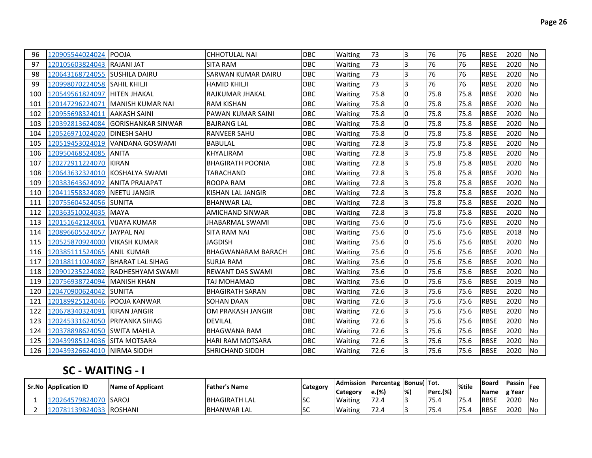| 96  | 120905544024024                | <b>POOJA</b>                     | <b>CHHOTULAL NAI</b>      | OBC        | Waiting | 73   | 3              | 76   | 76   | <b>RBSE</b> | 2020 | No             |
|-----|--------------------------------|----------------------------------|---------------------------|------------|---------|------|----------------|------|------|-------------|------|----------------|
| 97  | 120105603824043 RAJANI JAT     |                                  | <b>SITA RAM</b>           | OBC        | Waiting | 73   | 3              | 76   | 76   | <b>RBSE</b> | 2020 | <b>No</b>      |
| 98  | 120643168724055 SUSHILA DAIRU  |                                  | <b>SARWAN KUMAR DAIRU</b> | OBC        | Waiting | 73   | 3              | 76   | 76   | <b>RBSE</b> | 2020 | <b>No</b>      |
| 99  | 120998070224058 SAHIL KHILJI   |                                  | <b>HAMID KHILJI</b>       | OBC        | Waiting | 73   | $\overline{3}$ | 76   | 76   | <b>RBSE</b> | 2020 | N <sub>o</sub> |
| 100 | 120549561824097  HITEN JHAKAL  |                                  | RAJKUMAR JHAKAL           | OBC        | Waiting | 75.8 | 0              | 75.8 | 75.8 | <b>RBSE</b> | 2020 | N <sub>o</sub> |
| 101 | 120147296224071                | <b>IMANISH KUMAR NAI</b>         | <b>RAM KISHAN</b>         | OBC        | Waiting | 75.8 | <sup>o</sup>   | 75.8 | 75.8 | <b>RBSE</b> | 2020 | N <sub>o</sub> |
| 102 | 120955698324011 AAKASH SAINI   |                                  | <b>PAWAN KUMAR SAINI</b>  | OBC        | Waiting | 75.8 | l0             | 75.8 | 75.8 | <b>RBSE</b> | 2020 | <b>No</b>      |
| 103 | 120392813624084                | <b>GORISHANKAR SINWAR</b>        | <b>BAJRANG LAL</b>        | OBC        | Waiting | 75.8 | <sup>o</sup>   | 75.8 | 75.8 | <b>RBSE</b> | 2020 | <b>INo</b>     |
| 104 | 120526971024020                | <b>DINESH SAHU</b>               | <b>RANVEER SAHU</b>       | OBC        | Waiting | 75.8 | <sup>o</sup>   | 75.8 | 75.8 | <b>RBSE</b> | 2020 | No             |
| 105 |                                | 120519453024019 VANDANA GOSWAMI  | <b>BABULAL</b>            | OBC        | Waiting | 72.8 | 3              | 75.8 | 75.8 | <b>RBSE</b> | 2020 | <b>INo</b>     |
| 106 | 120950468524085                | <b>ANITA</b>                     | <b>KHYALIRAM</b>          | OBC        | Waiting | 72.8 | 3              | 75.8 | 75.8 | <b>RBSE</b> | 2020 | <b>INo</b>     |
| 107 | 120272911224070                | <b>KIRAN</b>                     | <b>BHAGIRATH POONIA</b>   | OBC        | Waiting | 72.8 | 3              | 75.8 | 75.8 | <b>RBSE</b> | 2020 | <b>I</b> No    |
| 108 | 120643632324010                | KOSHALYA SWAMI                   | TARACHAND                 | OBC        | Waiting | 72.8 | 3              | 75.8 | 75.8 | <b>RBSE</b> | 2020 | <b>INo</b>     |
| 109 | 120383643624092                | <b>ANITA PRAJAPAT</b>            | <b>ROOPA RAM</b>          | <b>OBC</b> | Waiting | 72.8 | 3              | 75.8 | 75.8 | <b>RBSE</b> | 2020 | N <sub>O</sub> |
| 110 | 120411558324089 NEETU JANGIR   |                                  | KISHAN LAL JANGIR         | OBC        | Waiting | 72.8 | 3              | 75.8 | 75.8 | <b>RBSE</b> | 2020 | <b>INo</b>     |
| 111 | 120755604524056 SUNITA         |                                  | <b>BHANWAR LAL</b>        | <b>OBC</b> | Waiting | 72.8 | 3              | 75.8 | 75.8 | <b>RBSE</b> | 2020 | <b>INo</b>     |
| 112 | 120363510024035 MAYA           |                                  | <b>AMICHAND SINWAR</b>    | OBC        | Waiting | 72.8 | 3              | 75.8 | 75.8 | <b>RBSE</b> | 2020 | lNo.           |
| 113 | 120151642124061                | VIJAYA KUMAR                     | JHABARMAL SWAMI           | OBC        | Waiting | 75.6 | $\overline{0}$ | 75.6 | 75.6 | <b>RBSE</b> | 2020 | <b>No</b>      |
| 114 | 120896605524057                | <b>JAYPAL NAI</b>                | SITA RAM NAI              | <b>OBC</b> | Waiting | 75.6 | <sup>0</sup>   | 75.6 | 75.6 | <b>RBSE</b> | 2018 | <b>No</b>      |
| 115 | 120525870924000 VIKASH KUMAR   |                                  | <b>JAGDISH</b>            | OBC        | Waiting | 75.6 | <sup>0</sup>   | 75.6 | 75.6 | <b>RBSE</b> | 2020 | <b>INo</b>     |
| 116 | 120385111524065 ANIL KUMAR     |                                  | <b>BHAGWANARAM BARACH</b> | <b>OBC</b> | Waiting | 75.6 | l0             | 75.6 | 75.6 | <b>RBSE</b> | 2020 | <b>INo</b>     |
| 117 |                                | 120188111024087 BHARAT LAL SIHAG | <b>SURJA RAM</b>          | OBC        | Waiting | 75.6 | <sup>0</sup>   | 75.6 | 75.6 | <b>RBSE</b> | 2020 | <b>No</b>      |
| 118 | 120901235224082                | <b>IRADHESHYAM SWAMI</b>         | <b>REWANT DAS SWAMI</b>   | <b>OBC</b> | Waiting | 75.6 | $\overline{0}$ | 75.6 | 75.6 | <b>RBSE</b> | 2020 | <b>No</b>      |
| 119 | 120756938724094                | <b>IMANISH KHAN</b>              | TAJ MOHAMAD               | OBC        | Waiting | 75.6 | l0             | 75.6 | 75.6 | <b>RBSE</b> | 2019 | <b>No</b>      |
| 120 | 120470900624042 SUNITA         |                                  | <b>BHAGIRATH SARAN</b>    | OBC        | Waiting | 72.6 | 3              | 75.6 | 75.6 | <b>RBSE</b> | 2020 | <b>INo</b>     |
| 121 | 120189925124046 POOJA KANWAR   |                                  | SOHAN DAAN                | OBC        | Waiting | 72.6 | 3              | 75.6 | 75.6 | <b>RBSE</b> | 2020 | <b>No</b>      |
| 122 | 120678340324091                | <b>KIRAN JANGIR</b>              | OM PRAKASH JANGIR         | OBC        | Waiting | 72.6 | 3              | 75.6 | 75.6 | <b>RBSE</b> | 2020 | N <sub>o</sub> |
| 123 | 120245331624050 PRIYANKA SIHAG |                                  | DEVILAL                   | OBC        | Waiting | 72.6 | 3              | 75.6 | 75.6 | <b>RBSE</b> | 2020 | INo.           |
| 124 | 120378898624050 SWITA MAHLA    |                                  | <b>BHAGWANA RAM</b>       | <b>OBC</b> | Waiting | 72.6 | 3              | 75.6 | 75.6 | <b>RBSE</b> | 2020 | INo.           |
| 125 | 120439985124036 SITA MOTSARA   |                                  | <b>HARI RAM MOTSARA</b>   | <b>OBC</b> | Waiting | 72.6 | 3              | 75.6 | 75.6 | <b>RBSE</b> | 2020 | <b>INo</b>     |
| 126 | 120439326624010 NIRMA SIDDH    |                                  | SHRICHAND SIDDH           | OBC        | Waiting | 72.6 | 3              | 75.6 | 75.6 | <b>RBSE</b> | 2020 | <b>No</b>      |

## **SC - WAITING - I**

| <b>Sr.No Application ID</b> | Name of Applicant | <b>Father's Name</b> | <b>Category</b> | Admission       | <b>Percentag Bonus Tot.</b> |               |              | %tile      | <b>IBoard</b> | <sup>'</sup> Passin <sub>Fee</sub> |       |
|-----------------------------|-------------------|----------------------|-----------------|-----------------|-----------------------------|---------------|--------------|------------|---------------|------------------------------------|-------|
|                             |                   |                      |                 | <b>Category</b> | le.(%)                      | $\frac{1}{2}$ | Perc.(%)     |            | Name          | lg Year                            |       |
| 120264579824070             | <b>SAROJ</b>      | <b>BHAGIRATH LAL</b> | lsc             | <b>Waiting</b>  | 172.4                       |               | フロ<br>-. د ۱ | 175<br>5.4 | <b>IRBSE</b>  | 2020                               | - INc |
| 13982403                    | <b>ROSHANI</b>    | <b>BHANWAR LAL</b>   | lsc             | <b>Waiting</b>  | 72.4                        |               | 75<br>۔ ر    | 75.4       | <b>RBSE</b>   | 2020                               | - INo |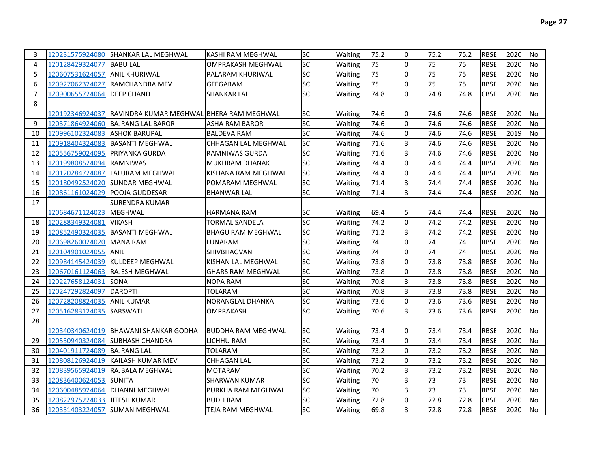| 3              |                                | 120231575924080 SHANKAR LAL MEGHWAL                       | KASHI RAM MEGHWAL        | SC        | Waiting | 75.2 | I٥             | 75.2 | 75.2 | <b>RBSE</b> | 2020 | No             |
|----------------|--------------------------------|-----------------------------------------------------------|--------------------------|-----------|---------|------|----------------|------|------|-------------|------|----------------|
| 4              | 120128429324077                | <b>BABU LAL</b>                                           | OMPRAKASH MEGHWAL        | SC        | Waiting | 75   | $\overline{0}$ | 75   | 75   | <b>RBSE</b> | 2020 | N <sub>o</sub> |
| 5              | 120607531624057                | <b>ANIL KHURIWAL</b>                                      | PALARAM KHURIWAL         | SC        | Waiting | 75   | $\overline{0}$ | 75   | 75   | <b>RBSE</b> | 2020 | <b>No</b>      |
| 6              | 120927062324027                | <b>RAMCHANDRA MEV</b>                                     | GEEGARAM                 | SC        | Waiting | 75   | $\overline{0}$ | 75   | 75   | <b>RBSE</b> | 2020 | N <sub>o</sub> |
| $\overline{7}$ | 120900655724064 DEEP CHAND     |                                                           | SHANKAR LAL              | SC        | Waiting | 74.8 | 0              | 74.8 | 74.8 | <b>CBSE</b> | 2020 | <b>No</b>      |
| 8              |                                |                                                           |                          |           |         |      |                |      |      |             |      |                |
|                |                                | 120192346924037  RAVINDRA KUMAR MEGHWAL BHERA RAM MEGHWAL |                          | SC        | Waiting | 74.6 | 0              | 74.6 | 74.6 | <b>RBSE</b> | 2020 | <b>No</b>      |
| 9              |                                | 120371864924060  BAJRANG LAL BAROR                        | ASHA RAM BAROR           | SC        | Waiting | 74.6 | l0             | 74.6 | 74.6 | <b>RBSE</b> | 2020 | No             |
| 10             | 120996102324083 ASHOK BARUPAL  |                                                           | <b>BALDEVA RAM</b>       | SC        | Waiting | 74.6 | $\overline{0}$ | 74.6 | 74.6 | <b>RBSE</b> | 2019 | No             |
| 11             |                                | 120918404324083 BASANTI MEGHWAL                           | CHHAGAN LAL MEGHWAL      | SC        | Waiting | 71.6 | 3              | 74.6 | 74.6 | <b>RBSE</b> | 2020 | <b>No</b>      |
| 12             | 120556759024095 PRIYANKA GURDA |                                                           | RAMNIWAS GURDA           | SC        | Waiting | 71.6 | $\overline{3}$ | 74.6 | 74.6 | <b>RBSE</b> | 2020 | <b>No</b>      |
| 13             | 120199808524094                | <b>RAMNIWAS</b>                                           | <b>MUKHRAM DHANAK</b>    | SC        | Waiting | 74.4 | l0             | 74.4 | 74.4 | <b>RBSE</b> | 2020 | No             |
| 14             | 120120284724087                | LALURAM MEGHWAL                                           | KISHANA RAM MEGHWAL      | SC        | Waiting | 74.4 | $\overline{0}$ | 74.4 | 74.4 | <b>RBSE</b> | 2020 | <b>No</b>      |
| 15             |                                | 120180492524020 SUNDAR MEGHWAL                            | POMARAM MEGHWAL          | SC        | Waiting | 71.4 | $\overline{3}$ | 74.4 | 74.4 | <b>RBSE</b> | 2020 | <b>No</b>      |
| 16             | 120861161024029 POOJA GUDDESAR |                                                           | <b>BHANWAR LAL</b>       | <b>SC</b> | Waiting | 71.4 | $\overline{3}$ | 74.4 | 74.4 | <b>RBSE</b> | 2020 | No             |
| 17             |                                | <b>SURENDRA KUMAR</b>                                     |                          |           |         |      |                |      |      |             |      |                |
|                | 120684671124023  MEGHWAL       |                                                           | IHARMANA RAM             | SC        | Waiting | 69.4 | 5              | 74.4 | 74.4 | <b>RBSE</b> | 2020 | INo.           |
| 18             | 120288349324081                | <b>VIKASH</b>                                             | <b>TORMAL SANDELA</b>    | SC        | Waiting | 74.2 | I٥             | 74.2 | 74.2 | <b>RBSE</b> | 2020 | N <sub>o</sub> |
| 19             |                                | 120852490324035 BASANTI MEGHWAL                           | <b>BHAGU RAM MEGHWAL</b> | <b>SC</b> | Waiting | 71.2 | 3              | 74.2 | 74.2 | <b>RBSE</b> | 2020 | <b>No</b>      |
| 20             | 120698260024020                | <b>MANA RAM</b>                                           | LUNARAM                  | SC        | Waiting | 74   | <sup>0</sup>   | 74   | 74   | <b>RBSE</b> | 2020 | <b>No</b>      |
| 21             | 120104901024055                | <b>ANIL</b>                                               | SHIVBHAGVAN              | <b>SC</b> | Waiting | 74   | I٥             | 74   | 74   | <b>RBSE</b> | 2020 | No             |
| 22             |                                | 120984145424039 KULDEEP MEGHWAL                           | KISHAN LAL MEGHWAL       | SC        | Waiting | 73.8 | $\overline{0}$ | 73.8 | 73.8 | <b>RBSE</b> | 2020 | <b>No</b>      |
| 23             |                                | 120670161124063 RAJESH MEGHWAL                            | <b>GHARSIRAM MEGHWAL</b> | <b>SC</b> | Waiting | 73.8 | l0             | 73.8 | 73.8 | <b>RBSE</b> | 2020 | No             |
| 24             | 120227658124031                | <b>ISONA</b>                                              | <b>NOPA RAM</b>          | <b>SC</b> | Waiting | 70.8 | $\overline{3}$ | 73.8 | 73.8 | <b>RBSE</b> | 2020 | No             |
| 25             | 120247292824097                | <b>DAROPTI</b>                                            | <b>TOLARAM</b>           | <b>SC</b> | Waiting | 70.8 | $\overline{3}$ | 73.8 | 73.8 | <b>RBSE</b> | 2020 | No             |
| 26             | 120728208824035                | <b>ANIL KUMAR</b>                                         | NORANGLAL DHANKA         | <b>SC</b> | Waiting | 73.6 | I٥             | 73.6 | 73.6 | <b>RBSE</b> | 2020 | N <sub>o</sub> |
| 27             | 120516283124035 SARSWATI       |                                                           | <b>OMPRAKASH</b>         | <b>SC</b> | Waiting | 70.6 | $\overline{3}$ | 73.6 | 73.6 | <b>RBSE</b> | 2020 | lNo            |
| 28             |                                |                                                           |                          |           |         |      |                |      |      |             |      |                |
|                |                                | 120340340624019 IBHAWANI SHANKAR GODHA                    | BUDDHA RAM MEGHWAL       | <b>SC</b> | Waiting | 73.4 | n              | 73.4 | 73.4 | <b>RBSE</b> | 2020 | No.            |
| 29             |                                | 120530940324084 SUBHASH CHANDRA                           | LICHHU RAM               | SC        | Waiting | 73.4 | I٥             | 73.4 | 73.4 | <b>RBSE</b> | 2020 | No             |
| 30             | 120401911724089 BAJRANG LAL    |                                                           | TOLARAM                  | SC        | Waiting | 73.2 | l0             | 73.2 | 73.2 | <b>RBSE</b> | 2020 | <b>No</b>      |
| 31             |                                | 120808126924019 KAILASH KUMAR MEV                         | CHHAGAN LAL              | SC        | Waiting | 73.2 | l0             | 73.2 | 73.2 | <b>RBSE</b> | 2020 | <b>No</b>      |
| 32             |                                | 120839565924019 RAJBALA MEGHWAL                           | <b>MOTARAM</b>           | SC        | Waiting | 70.2 | $\overline{3}$ | 73.2 | 73.2 | <b>RBSE</b> | 2020 | <b>No</b>      |
| 33             | 120836400624053 SUNITA         |                                                           | <b>SHARWAN KUMAR</b>     | SC        | Waiting | 70   | $\overline{3}$ | 73   | 73   | <b>RBSE</b> | 2020 | <b>No</b>      |
| 34             |                                | 120600485924064 DHANNI MEGHWAL                            | PURKHA RAM MEGHWAL       | SC        | Waiting | 70   | $\overline{3}$ | 73   | 73   | <b>RBSE</b> | 2020 | lNo            |
| 35             | 120822975224033 JITESH KUMAR   |                                                           | <b>BUDH RAM</b>          | SC        | Waiting | 72.8 | $\Omega$       | 72.8 | 72.8 | <b>CBSE</b> | 2020 | N <sub>o</sub> |
| 36             |                                | 120331403224057 SUMAN MEGHWAL                             | TEJA RAM MEGHWAL         | <b>SC</b> | Waiting | 69.8 | 3              | 72.8 | 72.8 | <b>RBSE</b> | 2020 | N <sub>o</sub> |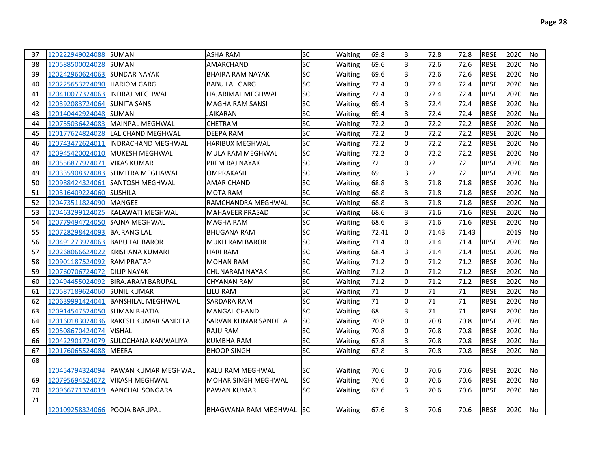| 37 | 120222949024088                | <b>SUMAN</b>                         | <b>ASHA RAM</b>            | SC        | Waiting | 69.8  | 3              | 72.8  | 72.8  | <b>RBSE</b> | 2020 | No        |
|----|--------------------------------|--------------------------------------|----------------------------|-----------|---------|-------|----------------|-------|-------|-------------|------|-----------|
| 38 | 120588500024028                | <b>ISUMAN</b>                        | AMARCHAND                  | <b>SC</b> | Waiting | 69.6  | 3              | 72.6  | 72.6  | <b>RBSE</b> | 2020 | No        |
| 39 | 120242960624063 SUNDAR NAYAK   |                                      | <b>BHAIRA RAM NAYAK</b>    | SC        | Waiting | 69.6  | $\overline{3}$ | 72.6  | 72.6  | <b>RBSE</b> | 2020 | <b>No</b> |
| 40 | 120225653224090 HARIOM GARG    |                                      | <b>BABU LAL GARG</b>       | <b>SC</b> | Waiting | 72.4  | l0             | 72.4  | 72.4  | <b>RBSE</b> | 2020 | <b>No</b> |
| 41 |                                | 120410077324063 INDRAJ MEGHWAL       | <b>HAJARIMAL MEGHWAL</b>   | <b>SC</b> | Waiting | 72.4  | l0             | 72.4  | 72.4  | <b>RBSE</b> | 2020 | <b>No</b> |
| 42 | 120392083724064 SUNITA SANSI   |                                      | MAGHA RAM SANSI            | <b>SC</b> | Waiting | 69.4  | 3              | 72.4  | 72.4  | <b>RBSE</b> | 2020 | No        |
| 43 | 120140442924048 SUMAN          |                                      | JAIKARAN                   | SC        | Waiting | 69.4  | l3             | 72.4  | 72.4  | <b>RBSE</b> | 2020 | <b>No</b> |
| 44 |                                | 120755036424083 MAINPAL MEGHWAL      | <b>CHETRAM</b>             | SC        | Waiting | 72.2  | 0              | 72.2  | 72.2  | <b>RBSE</b> | 2020 | <b>No</b> |
| 45 | 120177624824028                | <b>ILAL CHAND MEGHWAL</b>            | <b>DEEPA RAM</b>           | <b>SC</b> | Waiting | 72.2  | l0             | 72.2  | 72.2  | <b>RBSE</b> | 2020 | <b>No</b> |
| 46 | 120743472624011                | <b>INDRACHAND MEGHWAL</b>            | <b>HARIBUX MEGHWAL</b>     | SC        | Waiting | 72.2  | I٥             | 72.2  | 72.2  | <b>RBSE</b> | 2020 | No        |
| 47 |                                | 120945420024010  MUKESH MEGHWAL      | MULA RAM MEGHWAL           | SC        | Waiting | 72.2  | I٥             | 72.2  | 72.2  | <b>RBSE</b> | 2020 | No        |
| 48 | 120556877924071                | <b>VIKAS KUMAR</b>                   | PREM RAJ NAYAK             | SC        | Waiting | 72    | Iо             | 72    | 72    | <b>RBSE</b> | 2020 | No        |
| 49 |                                | 120335908324083 SUMITRA MEGHAWAL     | OMPRAKASH                  | SC        | Waiting | 69    | 3              | 72    | 72    | <b>RBSE</b> | 2020 | No        |
| 50 |                                | 120988424324061 SANTOSH MEGHWAL      | <b>AMAR CHAND</b>          | SC        | Waiting | 68.8  | l3             | 71.8  | 71.8  | <b>RBSE</b> | 2020 | <b>No</b> |
| 51 | 120316409224060 SUSHILA        |                                      | <b>MOTA RAM</b>            | SC        | Waiting | 68.8  | 3              | 71.8  | 71.8  | <b>RBSE</b> | 2020 | <b>No</b> |
| 52 | 120473511824090 MANGEE         |                                      | RAMCHANDRA MEGHWAL         | SC        | Waiting | 68.8  | l3             | 71.8  | 71.8  | <b>RBSE</b> | 2020 | <b>No</b> |
| 53 |                                | 120463299124025 KALAWATI MEGHWAL     | <b>MAHAVEER PRASAD</b>     | <b>SC</b> | Waiting | 68.6  | l3             | 71.6  | 71.6  | <b>RBSE</b> | 2020 | <b>No</b> |
| 54 | 120779494724050 SAJNA MEGHWAL  |                                      | <b>MAGHA RAM</b>           | <b>SC</b> | Waiting | 68.6  | l3             | 71.6  | 71.6  | <b>RBSE</b> | 2020 | No        |
| 55 | 120728298424093 BAJRANG LAL    |                                      | <b>BHUGANA RAM</b>         | <b>SC</b> | Waiting | 72.41 | l0             | 71.43 | 71.43 |             | 2019 | No        |
| 56 | 120491273924063 BABU LAL BAROR |                                      | <b>MUKH RAM BAROR</b>      | <b>SC</b> | Waiting | 71.4  | l0             | 71.4  | 71.4  | <b>RBSE</b> | 2020 | No        |
| 57 | 120268066624022                | KRISHANA KUMARI                      | <b>HARI RAM</b>            | <b>SC</b> | Waiting | 68.4  | l3             | 71.4  | 71.4  | <b>RBSE</b> | 2020 | No        |
| 58 | 120901187524092 RAM PRATAP     |                                      | <b>MOHAN RAM</b>           | <b>SC</b> | Waiting | 71.2  | l0             | 71.2  | 71.2  | <b>RBSE</b> | 2020 | No        |
| 59 | 120760706724072 DILIP NAYAK    |                                      | <b>CHUNARAM NAYAK</b>      | SC        | Waiting | 71.2  | l0             | 71.2  | 71.2  | <b>RBSE</b> | 2020 | No        |
| 60 |                                | 120494455024092 BIRAJARAM BARUPAL    | <b>CHYANAN RAM</b>         | <b>SC</b> | Waiting | 71.2  | I٥             | 71.2  | 71.2  | <b>RBSE</b> | 2020 | <b>No</b> |
| 61 | 120587189624060 SUNIL KUMAR    |                                      | <b>LILU RAM</b>            | <b>SC</b> | Waiting | 71    | I٥             | 71    | 71    | <b>RBSE</b> | 2020 | <b>No</b> |
| 62 |                                | 120639991424041 BANSHILAL MEGHWAL    | <b>SARDARA RAM</b>         | <b>SC</b> | Waiting | 71    | I٥             | 71    | 71    | <b>RBSE</b> | 2020 | <b>No</b> |
| 63 | 120914547524050 SUMAN BHATIA   |                                      | MANGAL CHAND               | <b>SC</b> | Waiting | 68    | l3             | 71    | 71    | <b>RBSE</b> | 2020 | No        |
| 64 |                                | 120160183024036 RAKESH KUMAR SANDELA | SARVAN KUMAR SANDELA       | <b>SC</b> | Waiting | 70.8  | l0             | 70.8  | 70.8  | <b>RBSE</b> | 2020 | No        |
| 65 | 120508670424074 VISHAL         |                                      | <b>RAJU RAM</b>            | <b>SC</b> | Waiting | 70.8  | l0             | 70.8  | 70.8  | <b>RBSE</b> | 2020 | No        |
| 66 |                                | 120422901724079 SULOCHANA KANWALIYA  | <b>KUMBHA RAM</b>          | SC        | Waiting | 67.8  | l3             | 70.8  | 70.8  | <b>RBSE</b> | 2020 | No        |
| 67 | 120176065524088 MEERA          |                                      | <b>BHOOP SINGH</b>         | <b>SC</b> | Waiting | 67.8  | l3             | 70.8  | 70.8  | <b>RBSE</b> | 2020 | No        |
| 68 |                                |                                      |                            |           |         |       |                |       |       |             |      |           |
|    |                                | 120454794324094  PAWAN KUMAR MEGHWAL | <b>KALU RAM MEGHWAL</b>    | SC        | Waiting | 70.6  | I0             | 70.6  | 70.6  | <b>RBSE</b> | 2020 | No        |
| 69 | 120795694524072 VIKASH MEGHWAL |                                      | <b>MOHAR SINGH MEGHWAL</b> | SC        | Waiting | 70.6  | I٥             | 70.6  | 70.6  | <b>RBSE</b> | 2020 | No        |
| 70 |                                | 120966771324019 AANCHAL SONGARA      | <b>PAWAN KUMAR</b>         | SC        | Waiting | 67.6  | l3             | 70.6  | 70.6  | <b>RBSE</b> | 2020 | No        |
| 71 |                                |                                      |                            |           |         |       |                |       |       |             |      |           |
|    | 120109258324066 POOJA BARUPAL  |                                      | BHAGWANA RAM MEGHWAL ISC   |           | Waiting | 67.6  | 13             | 70.6  | 70.6  | <b>RBSE</b> | 2020 | lNo.      |